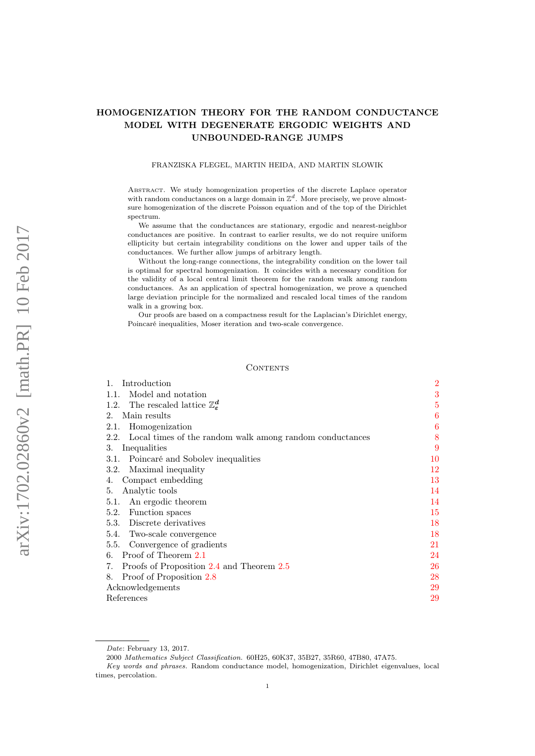# HOMOGENIZATION THEORY FOR THE RANDOM CONDUCTANCE MODEL WITH DEGENERATE ERGODIC WEIGHTS AND UNBOUNDED-RANGE JUMPS

### FRANZISKA FLEGEL, MARTIN HEIDA, AND MARTIN SLOWIK

Abstract. We study homogenization properties of the discrete Laplace operator with random conductances on a large domain in  $\mathbb{Z}^d$ . More precisely, we prove almostsure homogenization of the discrete Poisson equation and of the top of the Dirichlet spectrum.

We assume that the conductances are stationary, ergodic and nearest-neighbor conductances are positive. In contrast to earlier results, we do not require uniform ellipticity but certain integrability conditions on the lower and upper tails of the conductances. We further allow jumps of arbitrary length.

Without the long-range connections, the integrability condition on the lower tail is optimal for spectral homogenization. It coincides with a necessary condition for the validity of a local central limit theorem for the random walk among random conductances. As an application of spectral homogenization, we prove a quenched large deviation principle for the normalized and rescaled local times of the random walk in a growing box.

Our proofs are based on a compactness result for the Laplacian's Dirichlet energy, Poincaré inequalities, Moser iteration and two-scale convergence.

#### **CONTENTS**

| Introduction                                                     | $\overline{2}$ |
|------------------------------------------------------------------|----------------|
| Model and notation<br>1.1.                                       | 3              |
| The rescaled lattice $\mathbb{Z}_{\varepsilon}^d$<br>1.2.        | 5              |
| Main results<br>$2_{-}$                                          | 6              |
| Homogenization<br>2.1.                                           | 6              |
| Local times of the random walk among random conductances<br>2.2. | 8              |
| Inequalities<br>3.                                               | 9              |
| Poincaré and Sobolev inequalities<br>3.1.                        | 10             |
| Maximal inequality<br>3.2.                                       | 12             |
| Compact embedding<br>4.                                          | 13             |
| Analytic tools<br>5.                                             | 14             |
| An ergodic theorem<br>5.1.                                       | 14             |
| Function spaces<br>5.2.                                          | 15             |
| Discrete derivatives<br>5.3.                                     | 18             |
| Two-scale convergence<br>5.4.                                    | 18             |
| 5.5. Convergence of gradients                                    | 21             |
| Proof of Theorem 2.1<br>6.                                       | 24             |
| Proofs of Proposition 2.4 and Theorem 2.5<br>7.                  | 26             |
| Proof of Proposition 2.8<br>8.                                   | 28             |
| Acknowledgements                                                 | 29             |
| References                                                       | 29             |

Date: February 13, 2017.

<sup>2000</sup> Mathematics Subject Classification. 60H25, 60K37, 35B27, 35R60, 47B80, 47A75.

Key words and phrases. Random conductance model, homogenization, Dirichlet eigenvalues, local times, percolation.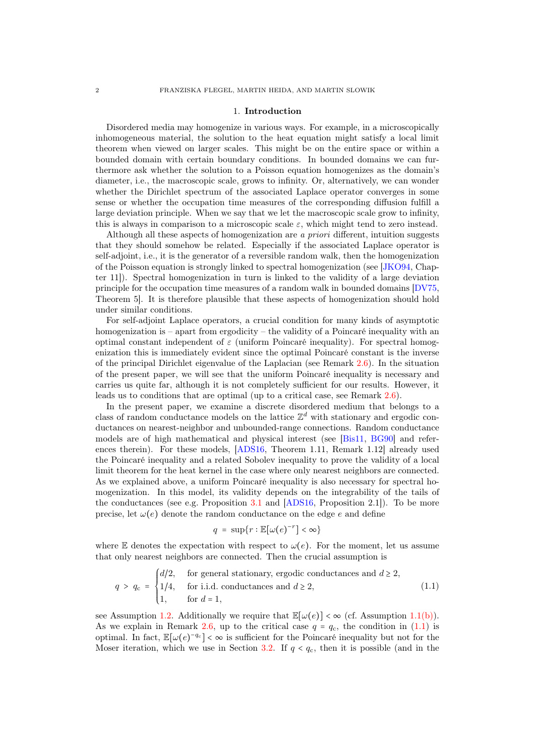#### 1. Introduction

<span id="page-1-0"></span>Disordered media may homogenize in various ways. For example, in a microscopically inhomogeneous material, the solution to the heat equation might satisfy a local limit theorem when viewed on larger scales. This might be on the entire space or within a bounded domain with certain boundary conditions. In bounded domains we can furthermore ask whether the solution to a Poisson equation homogenizes as the domain's diameter, i.e., the macroscopic scale, grows to infinity. Or, alternatively, we can wonder whether the Dirichlet spectrum of the associated Laplace operator converges in some sense or whether the occupation time measures of the corresponding diffusion fulfill a large deviation principle. When we say that we let the macroscopic scale grow to infinity, this is always in comparison to a microscopic scale  $\varepsilon$ , which might tend to zero instead.

Although all these aspects of homogenization are a priori different, intuition suggests that they should somehow be related. Especially if the associated Laplace operator is self-adjoint, i.e., it is the generator of a reversible random walk, then the homogenization of the Poisson equation is strongly linked to spectral homogenization (see [\[JKO94,](#page-28-2) Chapter 11]). Spectral homogenization in turn is linked to the validity of a large deviation principle for the occupation time measures of a random walk in bounded domains [\[DV75,](#page-28-3) Theorem 5]. It is therefore plausible that these aspects of homogenization should hold under similar conditions.

For self-adjoint Laplace operators, a crucial condition for many kinds of asymptotic homogenization is – apart from ergodicity – the validity of a Poincaré inequality with an optimal constant independent of  $\varepsilon$  (uniform Poincaré inequality). For spectral homogenization this is immediately evident since the optimal Poincaré constant is the inverse of the principal Dirichlet eigenvalue of the Laplacian (see Remark [2.6\)](#page-6-2). In the situation of the present paper, we will see that the uniform Poincaré inequality is necessary and carries us quite far, although it is not completely sufficient for our results. However, it leads us to conditions that are optimal (up to a critical case, see Remark [2.6\)](#page-6-2).

In the present paper, we examine a discrete disordered medium that belongs to a class of random conductance models on the lattice  $\mathbb{Z}^d$  with stationary and ergodic conductances on nearest-neighbor and unbounded-range connections. Random conductance models are of high mathematical and physical interest (see [\[Bis11,](#page-28-4) [BG90\]](#page-28-5) and references therein). For these models, [\[ADS16,](#page-28-6) Theorem 1.11, Remark 1.12] already used the Poincaré inequality and a related Sobolev inequality to prove the validity of a local limit theorem for the heat kernel in the case where only nearest neighbors are connected. As we explained above, a uniform Poincaré inequality is also necessary for spectral homogenization. In this model, its validity depends on the integrability of the tails of the conductances (see e.g. Proposition [3.1](#page-9-1) and [\[ADS16,](#page-28-6) Proposition 2.1]). To be more precise, let  $\omega(e)$  denote the random conductance on the edge e and define

<span id="page-1-1"></span>
$$
q = \sup\{r : \mathbb{E}[\omega(e)^{-r}] < \infty\}
$$

where E denotes the expectation with respect to  $\omega(e)$ . For the moment, let us assume that only nearest neighbors are connected. Then the crucial assumption is

$$
q > q_{\rm c} = \begin{cases} d/2, & \text{for general stationary, ergodic conductances and } d \ge 2, \\ 1/4, & \text{for i.i.d. conductances and } d \ge 2, \\ 1, & \text{for } d = 1, \end{cases} \tag{1.1}
$$

see Assumption [1.2.](#page-3-0) Additionally we require that  $\mathbb{E}[\omega(e)] < \infty$  (cf. Assumption [1.1](#page-3-1)[\(b\)\)](#page-3-2). As we explain in Remark [2.6,](#page-6-2) up to the critical case  $q = q_c$ , the condition in [\(1.1\)](#page-1-1) is optimal. In fact,  $\mathbb{E}[\omega(e)^{-q_c}] < \infty$  is sufficient for the Poincaré inequality but not for the Moser iteration, which we use in Section [3.2.](#page-11-0) If  $q < q_c$ , then it is possible (and in the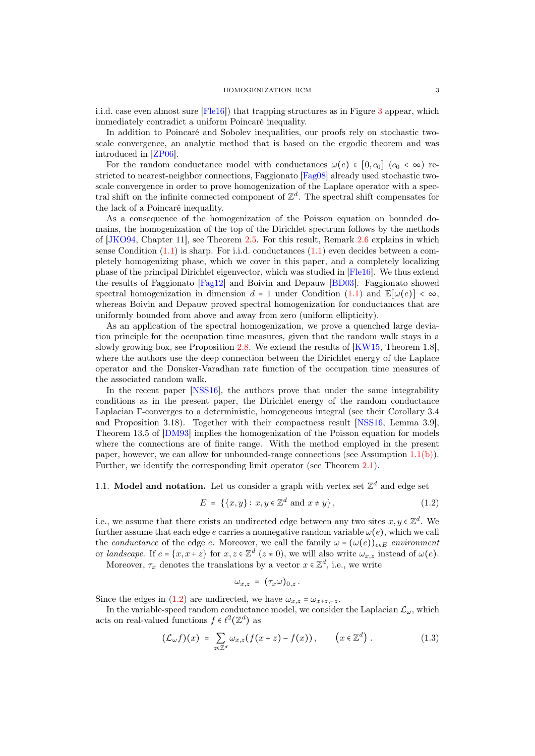i.i.d. case even almost sure [\[Fle16\]](#page-28-7)) that trapping structures as in Figure [3](#page-7-1) appear, which immediately contradict a uniform Poincaré inequality.

In addition to Poincaré and Sobolev inequalities, our proofs rely on stochastic twoscale convergence, an analytic method that is based on the ergodic theorem and was introduced in [\[ZP06\]](#page-29-0).

For the random conductance model with conductances  $\omega(e) \in [0, c_0]$  ( $c_0 < \infty$ ) restricted to nearest-neighbor connections, Faggionato [\[Fag08\]](#page-28-8) already used stochastic twoscale convergence in order to prove homogenization of the Laplace operator with a spectral shift on the infinite connected component of  $\mathbb{Z}^d$ . The spectral shift compensates for the lack of a Poincaré inequality.

As a consequence of the homogenization of the Poisson equation on bounded domains, the homogenization of the top of the Dirichlet spectrum follows by the methods of [\[JKO94,](#page-28-2) Chapter 11], see Theorem [2.5.](#page-6-1) For this result, Remark [2.6](#page-6-2) explains in which sense Condition  $(1.1)$  is sharp. For i.i.d. conductances  $(1.1)$  even decides between a completely homogenizing phase, which we cover in this paper, and a completely localizing phase of the principal Dirichlet eigenvector, which was studied in [\[Fle16\]](#page-28-7). We thus extend the results of Faggionato [\[Fag12\]](#page-28-9) and Boivin and Depauw [\[BD03\]](#page-28-10). Faggionato showed spectral homogenization in dimension  $d = 1$  under Condition [\(1.1\)](#page-1-1) and  $\mathbb{E}[\omega(e)] < \infty$ , whereas Boivin and Depauw proved spectral homogenization for conductances that are uniformly bounded from above and away from zero (uniform ellipticity).

As an application of the spectral homogenization, we prove a quenched large deviation principle for the occupation time measures, given that the random walk stays in a slowly growing box, see Proposition [2.8.](#page-8-1) We extend the results of [\[KW15,](#page-29-1) Theorem 1.8], where the authors use the deep connection between the Dirichlet energy of the Laplace operator and the Donsker-Varadhan rate function of the occupation time measures of the associated random walk.

In the recent paper [\[NSS16\]](#page-29-2), the authors prove that under the same integrability conditions as in the present paper, the Dirichlet energy of the random conductance Laplacian Γ-converges to a deterministic, homogeneous integral (see their Corollary 3.4 and Proposition 3.18). Together with their compactness result [\[NSS16,](#page-29-2) Lemma 3.9], Theorem 13.5 of [\[DM93\]](#page-28-11) implies the homogenization of the Poisson equation for models where the connections are of finite range. With the method employed in the present paper, however, we can allow for unbounded-range connections (see Assumption [1.1](#page-3-1)[\(b\)\)](#page-3-2). Further, we identify the corresponding limit operator (see Theorem [2.1\)](#page-5-2).

# <span id="page-2-0"></span>1.1. Model and notation. Let us consider a graph with vertex set  $\mathbb{Z}^d$  and edge set

$$
E = \{\{x, y\} : x, y \in \mathbb{Z}^d \text{ and } x \neq y\},\tag{1.2}
$$

i.e., we assume that there exists an undirected edge between any two sites  $x, y \in \mathbb{Z}^d$ . We further assume that each edge e carries a nonnegative random variable  $\omega(e)$ , which we call the conductance of the edge e. Moreover, we call the family  $\omega = (\omega(e))_{e \in E}$  environment or landscape. If  $e = \{x, x + z\}$  for  $x, z \in \mathbb{Z}^d$   $(z \neq 0)$ , we will also write  $\omega_{x,z}$  instead of  $\omega(e)$ .

Moreover,  $\tau_x$  denotes the translations by a vector  $x \in \mathbb{Z}^d$ , i.e., we write

<span id="page-2-2"></span><span id="page-2-1"></span>
$$
\omega_{x,z} = (\tau_x \omega)_{0,z}.
$$

Since the edges in [\(1.2\)](#page-2-1) are undirected, we have  $\omega_{x,z} = \omega_{x+z,-z}$ .

In the variable-speed random conductance model, we consider the Laplacian  $\mathcal{L}_{\omega}$ , which acts on real-valued functions  $f \in \ell^2(\mathbb{Z}^d)$  as

$$
(\mathcal{L}_{\omega}f)(x) = \sum_{z \in \mathbb{Z}^d} \omega_{x,z}(f(x+z) - f(x)), \qquad (x \in \mathbb{Z}^d).
$$
 (1.3)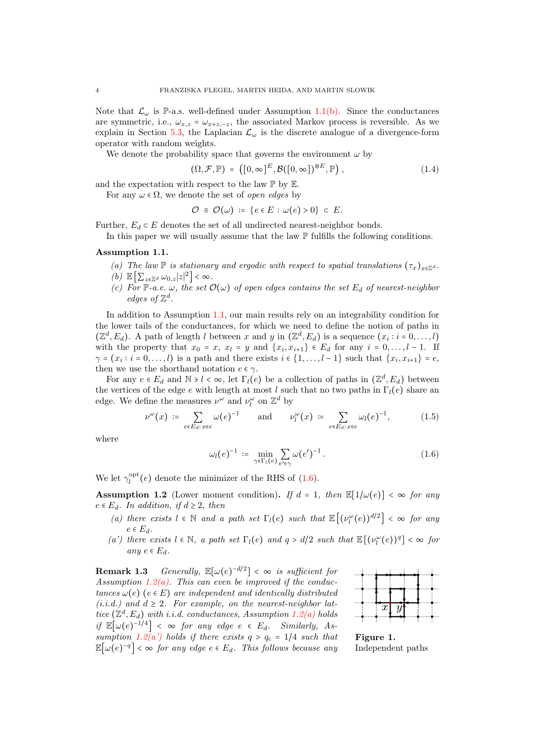Note that  $\mathcal{L}_{\omega}$  is P-a.s. well-defined under Assumption [1.1](#page-3-1)[\(b\).](#page-3-2) Since the conductances are symmetric, i.e.,  $\omega_{x,z} = \omega_{x+z,-z}$ , the associated Markov process is reversible. As we explain in Section [5.3,](#page-17-0) the Laplacian  $\mathcal{L}_{\omega}$  is the discrete analogue of a divergence-form operator with random weights.

We denote the probability space that governs the environment  $\omega$  by

<span id="page-3-9"></span>
$$
(\Omega, \mathcal{F}, \mathbb{P}) = ([0, \infty]^E, \mathcal{B}([0, \infty])^{\otimes E}, \mathbb{P}), \qquad (1.4)
$$

and the expectation with respect to the law  $\mathbb P$  by  $\mathbb E$ .

For any  $\omega \in \Omega$ , we denote the set of *open edges* by

$$
\mathcal{O} \equiv \mathcal{O}(\omega) \coloneqq \{e \in E : \omega(e) > 0\} \subset E.
$$

Further,  $E_d \subset E$  denotes the set of all undirected nearest-neighbor bonds.

In this paper we will usually assume that the law  $\mathbb P$  fulfills the following conditions.

### <span id="page-3-1"></span>Assumption 1.1.

- (a) The law  $\mathbb P$  is stationary and ergodic with respect to spatial translations  $(\tau_x)_{x\in\mathbb Z^d}$ .
- <span id="page-3-2"></span>(b)  $\mathbb{E}\left[\sum_{z\in\mathbb{Z}^d}\omega_{0,z}|z|^2\right]<\infty$ .
- <span id="page-3-7"></span>(c) For P-a.e.  $\omega$ , the set  $\mathcal{O}(\omega)$  of open edges contains the set  $E_d$  of nearest-neighbor edges of  $\mathbb{Z}^d$ .

In addition to Assumption [1.1,](#page-3-1) our main results rely on an integrability condition for the lower tails of the conductances, for which we need to define the notion of paths in  $(\mathbb{Z}^d, E_d)$ . A path of length l between x and y in  $(\mathbb{Z}^d, E_d)$  is a sequence  $(x_i : i = 0, \ldots, l)$ with the property that  $x_0 = x$ ,  $x_l = y$  and  $\{x_i, x_{i+1}\}\in E_d$  for any  $i = 0, \ldots, l-1$ . If  $\gamma = (x_i : i = 0, \ldots, l)$  is a path and there exists  $i \in \{1, \ldots, l-1\}$  such that  $\{x_i, x_{i+1}\} = e$ , then we use the shorthand notation  $e \in \gamma$ .

For any  $e \in E_d$  and  $\mathbb{N} \ni l < \infty$ , let  $\Gamma_l(e)$  be a collection of paths in  $(\mathbb{Z}^d, E_d)$  between the vertices of the edge e with length at most l such that no two paths in  $\Gamma_l(e)$  share an edge. We define the measures  $\nu^{\omega}$  and  $\nu^{\omega}_l$  on  $\mathbb{Z}^d$  by

$$
\nu^{\omega}(x) \coloneqq \sum_{e \in E_d: x \in e} \omega(e)^{-1} \quad \text{and} \quad \nu_l^{\omega}(x) \coloneqq \sum_{e \in E_d: x \in e} \omega_l(e)^{-1}, \tag{1.5}
$$

where

$$
\omega_l(e)^{-1} \coloneqq \min_{\gamma \in \Gamma_l(e)} \sum_{e' \in \gamma} \omega(e')^{-1} \,. \tag{1.6}
$$

We let  $\gamma_l^{\text{opt}}(e)$  denote the minimizer of the RHS of [\(1.6\)](#page-3-3).

<span id="page-3-0"></span>**Assumption 1.2** (Lower moment condition). If  $d = 1$ , then  $\mathbb{E}[1/\omega(e)] < \infty$  for any  $e \in E_d$ . In addition, if  $d \geq 2$ , then

- <span id="page-3-4"></span>(a) there exists  $l \in \mathbb{N}$  and a path set  $\Gamma_l(e)$  such that  $\mathbb{E}[(\nu_l^{\omega}(e))^{d/2}] < \infty$  for any  $e \in E_d$ .
- (a') there exists  $l \in \mathbb{N}$ , a path set  $\Gamma_l(e)$  and  $q > d/2$  such that  $\mathbb{E}[(\nu_l^{\omega}(e))^q] < \infty$  for any  $e \in E_d$ .

<span id="page-3-6"></span>**Remark 1.3** Generally,  $\mathbb{E}[\omega(e)^{-d/2}] < \infty$  is sufficient for Assumption [1.2](#page-3-0)[\(a\).](#page-3-4) This can even be improved if the conductances  $\omega(e)$  (e  $\in$  E) are independent and identically distributed  $(i.i.d.)$  and  $d \geq 2$ . For example, on the nearest-neighbor lattice  $(\mathbb{Z}^d, E_d)$  with i.i.d. conductances, Assumption [1.2](#page-3-0)[\(a\)](#page-3-4) holds if  $\mathbb{E}[\omega(e)^{-1/4}] < \infty$  for any edge  $e \in E_d$ . Similarly, As-sumption [1.2](#page-3-0)[\(a'\)](#page-3-4) holds if there exists  $q > q_c = 1/4$  such that  $\mathbb{E}[\omega(e)^{-q}] < \infty$  for any edge  $e \in E_d$ . This follows because any

<span id="page-3-8"></span><span id="page-3-5"></span><span id="page-3-3"></span>

Figure 1. Independent paths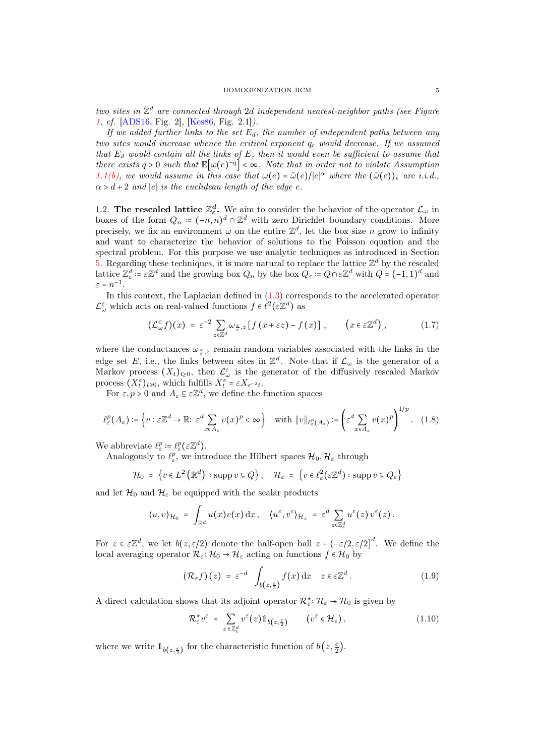two sites in  $\mathbb{Z}^d$  are connected through 2d independent nearest-neighbor paths (see Figure [1,](#page-3-5) cf. [\[ADS16,](#page-28-6) Fig. 2], [\[Kes86,](#page-28-12) Fig. 2.1]).

If we added further links to the set  $E_d$ , the number of independent paths between any two sites would increase whence the critical exponent  $q_c$  would decrease. If we assumed that  $E_d$  would contain all the links of  $E$ , then it would even be sufficient to assume that there exists  $q > 0$  such that  $\mathbb{E}[\omega(e)^{-q}] < \infty$ . Note that in order not to violate Assumption [1.1](#page-3-1)[\(b\),](#page-3-2) we would assume in this case that  $\omega(e) = \tilde{\omega}(e)/|e|^\alpha$  where the  $(\tilde{\omega}(e))_e$  are i.i.d.,  $\alpha > d + 2$  and |e| is the euclidean length of the edge e.

<span id="page-4-0"></span>1.2. The rescaled lattice  $\mathbb{Z}_{\epsilon}^d$ . We aim to consider the behavior of the operator  $\mathcal{L}_{\omega}$  in boxes of the form  $Q_n \coloneqq (-n, n)^d \cap \mathbb{Z}^d$  with zero Dirichlet boundary conditions. More precisely, we fix an environment  $\omega$  on the entire  $\mathbb{Z}^d$ , let the box size n grow to infinity and want to characterize the behavior of solutions to the Poisson equation and the spectral problem. For this purpose we use analytic techniques as introduced in Section [5.](#page-13-0) Regarding these techniques, it is more natural to replace the lattice  $\mathbb{Z}^d$  by the rescaled lattice  $\mathbb{Z}_{\varepsilon}^d := \varepsilon \mathbb{Z}^d$  and the growing box  $Q_n$  by the box  $Q_{\varepsilon} := Q \cap \varepsilon \mathbb{Z}^d$  with  $Q = (-1, 1)^d$  and  $\varepsilon = n^{-1}.$ 

In this context, the Laplacian defined in  $(1.3)$  corresponds to the accelerated operator  $\mathcal{L}^{\varepsilon}_{\omega}$  which acts on real-valued functions  $f \in \ell^2(\varepsilon \mathbb{Z}^d)$  as

$$
\left(\mathcal{L}_{\omega}^{\varepsilon}f\right)(x) = \varepsilon^{-2} \sum_{z \in \mathbb{Z}^d} \omega_{\frac{x}{\varepsilon},z} \left[ f\left(x + \varepsilon z\right) - f\left(x\right) \right], \qquad \left(x \in \varepsilon \mathbb{Z}^d\right), \tag{1.7}
$$

where the conductances  $\omega_{\frac{x}{\varepsilon},z}$  remain random variables associated with the links in the edge set E, i.e., the links between sites in  $\mathbb{Z}^d$ . Note that if  $\mathcal{L}_{\omega}$  is the generator of a Markov process  $(X_t)_{t\geq0}$ , then  $\mathcal{L}^{\varepsilon}_{\omega}$  is the generator of the diffusively rescaled Markov process  $(X_t^{\varepsilon})_{t\geq0}$ , which fulfills  $X_t^{\varepsilon} = \varepsilon X_{\varepsilon^{-2}t}$ .

For  $\varepsilon, p > 0$  and  $A_{\varepsilon} \subseteq \varepsilon \mathbb{Z}^d$ , we define the function spaces

$$
\ell_{\varepsilon}^{p}(A_{\varepsilon}) \coloneqq \left\{ v : \varepsilon \mathbb{Z}^{d} \to \mathbb{R} \colon \varepsilon^{d} \sum_{x \in A_{\varepsilon}} v(x)^{p} < \infty \right\} \quad \text{with} \ \Vert v \Vert_{\ell_{\varepsilon}^{p}(A_{\varepsilon})} \coloneqq \left( \varepsilon^{d} \sum_{x \in A_{\varepsilon}} v(x)^{p} \right)^{1/p} . \tag{1.8}
$$

We abbreviate  $\ell_{\varepsilon}^p := \ell_{\varepsilon}^p (\varepsilon \mathbb{Z}^d)$ .

Analogously to  $\ell_{\varepsilon}^p$ , we introduce the Hilbert spaces  $\mathcal{H}_0, \mathcal{H}_{\varepsilon}$  through

$$
\mathcal{H}_0 = \left\{ v \in L^2\left(\mathbb{R}^d\right) : \operatorname{supp} v \subseteq Q \right\}, \quad \mathcal{H}_{\varepsilon} = \left\{ v \in \ell_{\varepsilon}^2(\varepsilon \mathbb{Z}^d) : \operatorname{supp} v \subseteq Q_{\varepsilon} \right\}
$$

and let  $\mathcal{H}_0$  and  $\mathcal{H}_\varepsilon$  be equipped with the scalar products

$$
\langle u, v \rangle_{\mathcal{H}_0} = \int_{\mathbb{R}^d} u(x) v(x) \,dx, \quad \langle u^{\varepsilon}, v^{\varepsilon} \rangle_{\mathcal{H}_{\varepsilon}} = \varepsilon^d \sum_{z \in \mathbb{Z}^d_{\varepsilon}} u^{\varepsilon}(z) v^{\varepsilon}(z).
$$

For  $z \in \mathbb{Z}^d$ , we let  $b(z, \varepsilon/2)$  denote the half-open ball  $z + (-\varepsilon/2, \varepsilon/2]^d$ . We define the local averaging operator  $\mathcal{R}_{\varepsilon} : \mathcal{H}_0 \to \mathcal{H}_{\varepsilon}$  acting on functions  $f \in \mathcal{H}_0$  by

<span id="page-4-1"></span>
$$
\left(\mathcal{R}_{\varepsilon}f\right)(z) = \varepsilon^{-d} \int_{b(z,\frac{\varepsilon}{2})} f(x) \, \mathrm{d}x \quad z \in \varepsilon \mathbb{Z}^d. \tag{1.9}
$$

A direct calculation shows that its adjoint operator  $\mathcal{R}_{\varepsilon}^* \colon \mathcal{H}_{\varepsilon} \to \mathcal{H}_0$  is given by

$$
\mathcal{R}_{\varepsilon}^* v^{\varepsilon} = \sum_{z \in \mathbb{Z}_{\varepsilon}^d} v^{\varepsilon}(z) 1\!\!1_{b(z, \frac{\varepsilon}{2})} \qquad (v^{\varepsilon} \in \mathcal{H}_{\varepsilon}), \qquad (1.10)
$$

where we write  $1\!\!1_{b(z,\frac{\varepsilon}{2})}$  for the characteristic function of  $b(z,\frac{\varepsilon}{2})$ .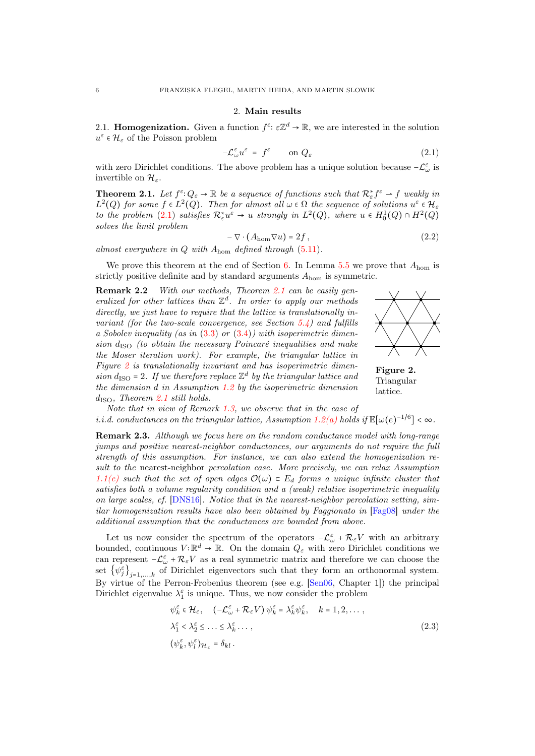#### 2. Main results

<span id="page-5-1"></span><span id="page-5-0"></span>2.1. **Homogenization.** Given a function  $f^{\varepsilon}$ :  $\varepsilon \mathbb{Z}^d \to \mathbb{R}$ , we are interested in the solution  $u^{\varepsilon} \in \mathcal{H}_{\varepsilon}$  of the Poisson problem

$$
-\mathcal{L}_{\omega}^{\varepsilon}u^{\varepsilon} = f^{\varepsilon} \qquad \text{on } Q_{\varepsilon} \tag{2.1}
$$

with zero Dirichlet conditions. The above problem has a unique solution because  $-\mathcal{L}^{\varepsilon}_{\omega}$  is invertible on  $\mathcal{H}_{\varepsilon}$ .

<span id="page-5-2"></span>**Theorem 2.1.** Let  $f^{\epsilon}: Q_{\epsilon} \to \mathbb{R}$  be a sequence of functions such that  $\mathcal{R}_{\epsilon}^{*} f^{\epsilon} \to f$  weakly in  $L^2(Q)$  for some  $f \in L^2(Q)$ . Then for almost all  $\omega \in \Omega$  the sequence of solutions  $u^{\varepsilon} \in \mathcal{H}_{\varepsilon}$ to the problem [\(2.1\)](#page-5-3) satisfies  $\mathcal{R}^*_\varepsilon u^\varepsilon \to u$  strongly in  $L^2(Q)$ , where  $u \in H_0^1(Q) \cap H^2(Q)$ solves the limit problem

<span id="page-5-6"></span>
$$
-\nabla \cdot (A_{\text{hom}} \nabla u) = 2f , \qquad (2.2)
$$

almost everywhere in  $Q$  with  $A_{\text{hom}}$  defined through  $(5.11)$ .

We prove this theorem at the end of Section [6.](#page-23-0) In Lemma [5.5](#page-16-0) we prove that  $A_{\text{hom}}$  is strictly positive definite and by standard arguments  $A_{\text{hom}}$  is symmetric.

Remark 2.2 With our methods, Theorem [2.1](#page-5-2) can be easily generalized for other lattices than  $\mathbb{Z}^d$ . In order to apply our methods directly, we just have to require that the lattice is translationally invariant (for the two-scale convergence, see Section  $5.4$ ) and fulfills a Sobolev inequality (as in  $(3.3)$  or  $(3.4)$ ) with isoperimetric dimension  $d_{\rm ISO}$  (to obtain the necessary Poincaré inequalities and make the Moser iteration work). For example, the triangular lattice in Figure  $2$  is translationally invariant and has isoperimetric dimension  $d_{\text{ISO}} = 2$ . If we therefore replace  $\mathbb{Z}^d$  by the triangular lattice and the dimension d in Assumption [1.2](#page-3-0) by the isoperimetric dimension  $d<sub>ISO</sub>$ , Theorem [2.1](#page-5-2) still holds.

<span id="page-5-4"></span><span id="page-5-3"></span>

Figure 2. Triangular lattice.

Note that in view of Remark [1.3,](#page-3-6) we observe that in the case of i.i.d. conductances on the triangular lattice, Assumption [1.2](#page-3-0)[\(a\)](#page-3-4) holds if  $\mathbb{E}[\omega(e)^{-1/6}] < \infty$ .

Remark 2.3. Although we focus here on the random conductance model with long-range jumps and positive nearest-neighbor conductances, our arguments do not require the full strength of this assumption. For instance, we can also extend the homogenization result to the nearest-neighbor percolation case. More precisely, we can relax Assumption [1.1](#page-3-1)[\(c\)](#page-3-7) such that the set of open edges  $\mathcal{O}(\omega) \subset E_d$  forms a unique infinite cluster that satisfies both a volume regularity condition and a (weak) relative isoperimetric inequality on large scales, cf. [\[DNS16\]](#page-28-13). Notice that in the nearest-neighbor percolation setting, similar homogenization results have also been obtained by Faggionato in [\[Fag08\]](#page-28-8) under the additional assumption that the conductances are bounded from above.

Let us now consider the spectrum of the operators  $-\mathcal{L}^{\varepsilon}_{\omega} + \mathcal{R}_{\varepsilon}V$  with an arbitrary bounded, continuous  $V: \mathbb{R}^d \to \mathbb{R}$ . On the domain  $Q_\varepsilon$  with zero Dirichlet conditions we can represent  $-\mathcal{L}^{\varepsilon}_{\omega} + \mathcal{R}_{\varepsilon}V$  as a real symmetric matrix and therefore we can choose the set  $\{\psi_j^{\varepsilon}\}_{j=1,\ldots,k}$  of Dirichlet eigenvectors such that they form an orthonormal system. By virtue of the Perron-Frobenius theorem (see e.g. [\[Sen06,](#page-29-3) Chapter 1]) the principal Dirichlet eigenvalue  $\lambda_1^\varepsilon$  is unique. Thus, we now consider the problem

<span id="page-5-5"></span>
$$
\psi_{k}^{\varepsilon} \in \mathcal{H}_{\varepsilon}, \quad \left( -\mathcal{L}_{\omega}^{\varepsilon} + \mathcal{R}_{\varepsilon} V \right) \psi_{k}^{\varepsilon} = \lambda_{k}^{\varepsilon} \psi_{k}^{\varepsilon}, \quad k = 1, 2, \dots,
$$
  

$$
\lambda_{1}^{\varepsilon} \langle \lambda_{2}^{\varepsilon} \rangle \langle \lambda_{2}^{\varepsilon} \rangle \langle \lambda_{3}^{\varepsilon} \rangle \langle \lambda_{4}^{\varepsilon} \rangle = \delta_{k l}.
$$
  
(2.3)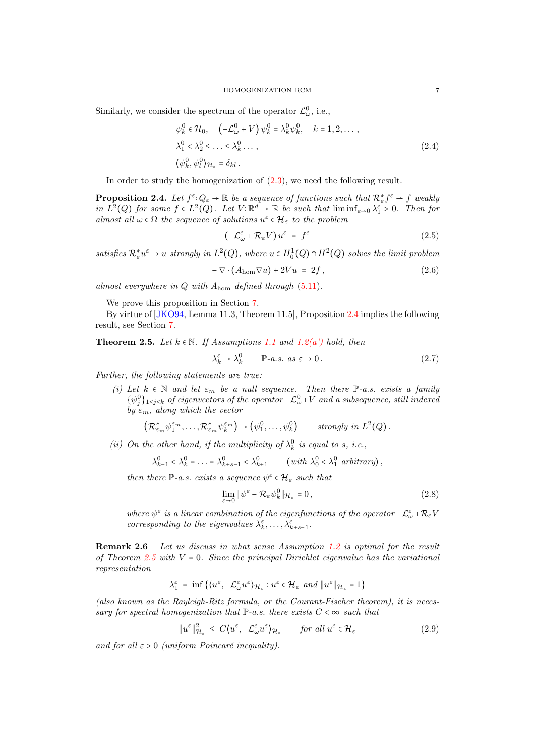Similarly, we consider the spectrum of the operator  $\mathcal{L}^0_\omega$ , i.e.,

$$
\psi_k^0 \in \mathcal{H}_0, \quad \left( -\mathcal{L}_{\omega}^0 + V \right) \psi_k^0 = \lambda_k^0 \psi_k^0, \quad k = 1, 2, \dots,
$$
  

$$
\lambda_1^0 < \lambda_2^0 \le \dots \le \lambda_k^0 \dots,
$$
  

$$
\left( \psi_k^0, \psi_l^0 \right)_{\mathcal{H}_{\varepsilon}} = \delta_{kl}.
$$
\n
$$
(2.4)
$$

In order to study the homogenization of  $(2.3)$ , we need the following result.

<span id="page-6-0"></span>**Proposition 2.4.** Let  $f^{\varepsilon} \colon Q_{\varepsilon} \to \mathbb{R}$  be a sequence of functions such that  $\mathcal{R}_{\varepsilon}^* f^{\varepsilon} \to f$  weakly in  $L^2(Q)$  for some  $f \in L^2(Q)$ . Let  $V: \mathbb{R}^d \to \mathbb{R}$  be such that  $\liminf_{\varepsilon \to 0} \lambda_1^{\varepsilon} > 0$ . Then for almost all  $\omega \in \Omega$  the sequence of solutions  $u^{\varepsilon} \in \mathcal{H}_{\varepsilon}$  to the problem

<span id="page-6-4"></span>
$$
\left(-\mathcal{L}_{\omega}^{\varepsilon} + \mathcal{R}_{\varepsilon}V\right)u^{\varepsilon} = f^{\varepsilon} \tag{2.5}
$$

satisfies  $\mathcal{R}_{\varepsilon}^* u^{\varepsilon} \to u$  strongly in  $L^2(Q)$ , where  $u \in H_0^1(Q) \cap H^2(Q)$  solves the limit problem

<span id="page-6-5"></span>
$$
-\nabla \cdot (A_{\text{hom}} \nabla u) + 2Vu = 2f, \qquad (2.6)
$$

almost everywhere in  $Q$  with  $A_{\text{hom}}$  defined through  $(5.11)$ .

We prove this proposition in Section [7.](#page-25-0)

By virtue of [\[JKO94,](#page-28-2) Lemma 11.3, Theorem 11.5], Proposition [2.4](#page-6-0) implies the following result, see Section [7.](#page-25-0)

<span id="page-6-1"></span>**Theorem 2.5.** Let  $k \in \mathbb{N}$ . If Assumptions [1.1](#page-3-1) and [1.2](#page-3-0)[\(a'\)](#page-3-4) hold, then

$$
\lambda_k^{\varepsilon} \to \lambda_k^0 \qquad \mathbb{P}\text{-}a.s. \text{ as } \varepsilon \to 0. \tag{2.7}
$$

Further, the following statements are true:

(i) Let  $k \in \mathbb{N}$  and let  $\varepsilon_m$  be a null sequence. Then there  $\mathbb{P}\text{-}a.s.$  exists a family  $\{\psi_j^0\}_{1\leq j\leq k}$  of eigenvectors of the operator  $-\mathcal{L}_{\omega}^0+V$  and a subsequence, still indexed by  $\varepsilon_m$ , along which the vector

$$
\left(\mathcal{R}_{\varepsilon_m}^*\psi_1^{\varepsilon_m},\ldots,\mathcal{R}_{\varepsilon_m}^*\psi_k^{\varepsilon_m}\right)\to\left(\psi_1^0,\ldots,\psi_k^0\right) \qquad \text{strongly in } L^2(Q).
$$

(ii) On the other hand, if the multiplicity of  $\lambda_k^0$  is equal to s, i.e.,

$$
\lambda_{k-1}^0 < \lambda_k^0 = \ldots = \lambda_{k+s-1}^0 < \lambda_{k+1}^0 \qquad \text{(with } \lambda_0^0 < \lambda_1^0 \text{ arbitrary}\text{),}
$$

then there  $\mathbb{P}\text{-}a.s.$  exists a sequence  $\psi^{\varepsilon} \in \mathcal{H}_{\varepsilon}$  such that

<span id="page-6-3"></span>
$$
\lim_{\varepsilon \to 0} \|\psi^{\varepsilon} - \mathcal{R}_{\varepsilon}\psi_k^0\|_{\mathcal{H}_{\varepsilon}} = 0, \tag{2.8}
$$

where  $\psi^{\varepsilon}$  is a linear combination of the eigenfunctions of the operator  $-\mathcal{L}_{\omega}^{\varepsilon}+\mathcal{R}_{\varepsilon}V$ corresponding to the eigenvalues  $\lambda_k^{\varepsilon}, \ldots, \lambda_{k+s-1}^{\varepsilon}$ .

<span id="page-6-2"></span>Remark 2.6 Let us discuss in what sense Assumption [1.2](#page-3-0) is optimal for the result of Theorem [2.5](#page-6-1) with  $V = 0$ . Since the principal Dirichlet eigenvalue has the variational representation

$$
\lambda_1^\varepsilon\;=\;\inf\;\bigl\{\bigl\langle u^\varepsilon,-\mathcal{L}_\omega^\varepsilon u^\varepsilon\bigr\rangle_{\mathcal{H}_\varepsilon}: u^\varepsilon\in\mathcal{H}_\varepsilon\;\;and\;\bigl\|u^\varepsilon\bigr\|_{\mathcal{H}_\varepsilon}=1\bigr\}
$$

(also known as the Rayleigh-Ritz formula, or the Courant-Fischer theorem), it is necessary for spectral homogenization that  $\mathbb{P}\text{-}a.s.$  there exists  $C < \infty$  such that

$$
\|u^{\varepsilon}\|_{\mathcal{H}_{\varepsilon}}^{2} \leq C\langle u^{\varepsilon}, -\mathcal{L}_{\omega}^{\varepsilon}u^{\varepsilon}\rangle_{\mathcal{H}_{\varepsilon}} \qquad \text{for all } u^{\varepsilon} \in \mathcal{H}_{\varepsilon}
$$
 (2.9)

and for all  $\varepsilon > 0$  (uniform Poincaré inequality).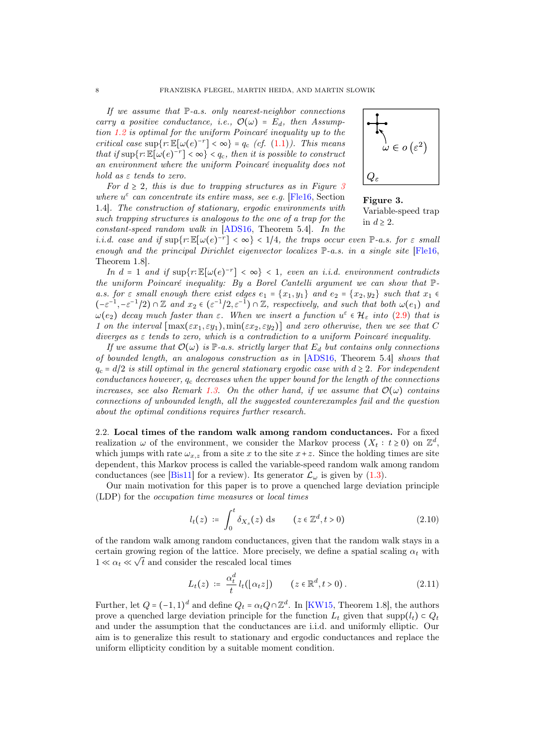If we assume that  $\mathbb{P}\text{-}a.s.$  only nearest-neighbor connections carry a positive conductance, i.e.,  $\mathcal{O}(\omega) = E_d$ , then Assumption [1.2](#page-3-0) is optimal for the uniform Poincaré inequality up to the critical case  $\sup\{r: \mathbb{E}[\omega(e)^{-r}] < \infty\} = q_c$  (cf. [\(1.1\)](#page-1-1)). This means that if  $\sup\{r: \mathbb{E}[\omega(e)^{-r}] < \infty\} < q_c$ , then it is possible to construct an environment where the uniform Poincaré inequality does not hold as  $\varepsilon$  tends to zero.

For  $d \geq 2$ , this is due to trapping structures as in Figure [3](#page-7-1) where  $u^{\varepsilon}$  can concentrate its entire mass, see e.g. [\[Fle16,](#page-28-7) Section 1.4]. The construction of stationary, ergodic environments with such trapping structures is analogous to the one of a trap for the constant-speed random walk in [\[ADS16,](#page-28-6) Theorem 5.4]. In the

<span id="page-7-1"></span>

Figure 3. Variable-speed trap in  $d \geq 2$ .

i.i.d. case and if  $\sup\{r : \mathbb{E}[\omega(e)^{-r}] < \infty\}$  < 1/4, the traps occur even P-a.s. for  $\varepsilon$  small enough and the principal Dirichlet eigenvector localizes  $\mathbb{P}\text{-}a.s.$  in a single site  $[File16,$ Theorem 1.8].

In  $d = 1$  and if  $\sup\{r : \mathbb{E}[\omega(e)^{-r}] < \infty\} < 1$ , even an i.i.d. environment contradicts the uniform Poincaré inequality: By a Borel Cantelli argument we can show that Pa.s. for  $\varepsilon$  small enough there exist edges  $e_1 = \{x_1, y_1\}$  and  $e_2 = \{x_2, y_2\}$  such that  $x_1 \in$  $(-\varepsilon^{-1}, -\varepsilon^{-1}/2) \cap \mathbb{Z}$  and  $x_2 \in (\varepsilon^{-1}/2, \varepsilon^{-1}) \cap \mathbb{Z}$ , respectively, and such that both  $\omega(e_1)$  and  $\omega(e_2)$  decay much faster than  $\varepsilon$ . When we insert a function  $u^{\varepsilon} \in \mathcal{H}_{\varepsilon}$  into  $(2.9)$  that is 1 on the interval  $\lceil \max(\varepsilon x_1, \varepsilon y_1), \min(\varepsilon x_2, \varepsilon y_2) \rceil$  and zero otherwise, then we see that C diverges as  $\varepsilon$  tends to zero, which is a contradiction to a uniform Poincaré inequality.

If we assume that  $\mathcal{O}(\omega)$  is P-a.s. strictly larger that  $E_d$  but contains only connections of bounded length, an analogous construction as in [\[ADS16,](#page-28-6) Theorem 5.4] shows that  $q_c = d/2$  is still optimal in the general stationary ergodic case with  $d \geq 2$ . For independent conductances however,  $q_c$  decreases when the upper bound for the length of the connections increases, see also Remark [1.3.](#page-3-6) On the other hand, if we assume that  $\mathcal{O}(\omega)$  contains connections of unbounded length, all the suggested counterexamples fail and the question about the optimal conditions requires further research.

<span id="page-7-0"></span>2.2. Local times of the random walk among random conductances. For a fixed realization  $\omega$  of the environment, we consider the Markov process  $(X_t : t \geq 0)$  on  $\mathbb{Z}^d$ , which jumps with rate  $\omega_{x,z}$  from a site x to the site  $x+z$ . Since the holding times are site dependent, this Markov process is called the variable-speed random walk among random conductances (see [\[Bis11\]](#page-28-4) for a review). Its generator  $\mathcal{L}_{\omega}$  is given by [\(1.3\)](#page-2-2).

Our main motivation for this paper is to prove a quenched large deviation principle (LDP) for the occupation time measures or local times

$$
l_t(z) \coloneqq \int_0^t \delta_{X_s}(z) \, \mathrm{d}s \qquad (z \in \mathbb{Z}^d, t > 0) \tag{2.10}
$$

of the random walk among random conductances, given that the random walk stays in a certain growing region of the lattice. More precisely, we define a spatial scaling  $\alpha_t$  with  $1 \ll \alpha_t \ll \sqrt{t}$  and consider the rescaled local times

$$
L_t(z) \coloneqq \frac{\alpha_t^d}{t} l_t(\lfloor \alpha_t z \rfloor) \qquad (z \in \mathbb{R}^d, t > 0). \tag{2.11}
$$

Further, let  $Q = (-1, 1)^d$  and define  $Q_t = \alpha_t Q \cap \mathbb{Z}^d$ . In [\[KW15,](#page-29-1) Theorem 1.8], the authors prove a quenched large deviation principle for the function  $L_t$  given that supp $(l_t) \subset Q_t$ and under the assumption that the conductances are i.i.d. and uniformly elliptic. Our aim is to generalize this result to stationary and ergodic conductances and replace the uniform ellipticity condition by a suitable moment condition.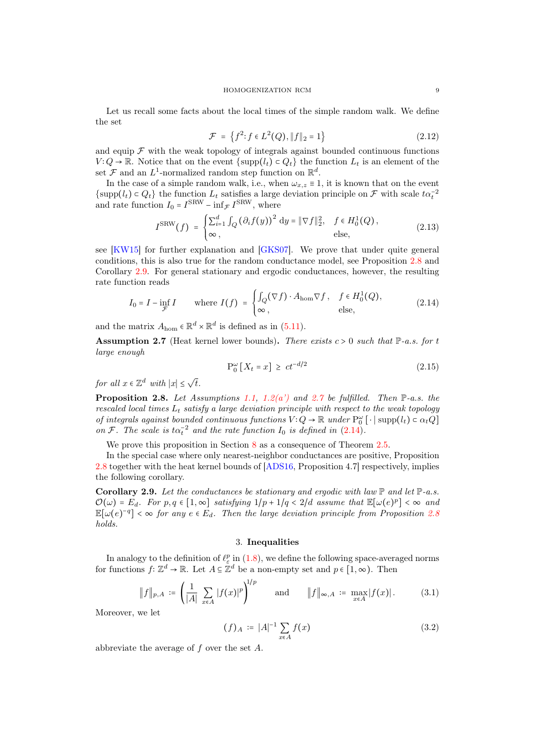Let us recall some facts about the local times of the simple random walk. We define the set

$$
\mathcal{F} = \left\{ f^2 : f \in L^2(Q), \|f\|_2 = 1 \right\} \tag{2.12}
$$

and equip  $\mathcal F$  with the weak topology of integrals against bounded continuous functions  $V:Q \to \mathbb{R}$ . Notice that on the event  $\{\text{supp}(l_t) \subset Q_t\}$  the function  $L_t$  is an element of the set  $\mathcal F$  and an  $L^1$ -normalized random step function on  $\mathbb R^d$ .

In the case of a simple random walk, i.e., when  $\omega_{x,z} \equiv 1$ , it is known that on the event  $\{\text{supp}(l_t) \subset Q_t\}$  the function  $L_t$  satisfies a large deviation principle on  $\mathcal F$  with scale  $t\alpha_t^{-2}$ and rate function  $I_0 = I^{\text{SRW}} - \inf_{\mathcal{F}} I^{\text{SRW}}$ , where

$$
I^{\text{SRW}}(f) = \begin{cases} \sum_{i=1}^{d} \int_{Q} \left(\partial_{i} f(y)\right)^{2} dy = \|\nabla f\|_{2}^{2}, & f \in H_{0}^{1}(Q), \\ \infty, & \text{else,} \end{cases}
$$
 (2.13)

see [\[KW15\]](#page-29-1) for further explanation and [\[GKS07\]](#page-28-14). We prove that under quite general conditions, this is also true for the random conductance model, see Proposition [2.8](#page-8-1) and Corollary [2.9.](#page-8-2) For general stationary and ergodic conductances, however, the resulting rate function reads

$$
I_0 = I - \inf_{\mathcal{F}} I \qquad \text{where } I(f) = \begin{cases} \int_Q (\nabla f) \cdot A_{\text{hom}} \nabla f, & f \in H_0^1(Q), \\ \infty, & \text{else,} \end{cases}
$$
 (2.14)

and the matrix  $A_{\text{hom}} \in \mathbb{R}^d \times \mathbb{R}^d$  is defined as in [\(5.11\)](#page-15-0).

<span id="page-8-3"></span>Assumption 2.7 (Heat kernel lower bounds). There exists  $c > 0$  such that  $\mathbb{P}\text{-}a.s.$  for t large enough

<span id="page-8-4"></span>
$$
\mathcal{P}_0^{\omega} \left[ X_t = x \right] \ge c t^{-d/2} \tag{2.15}
$$

for all  $x \in \mathbb{Z}^d$  with  $|x| \leq \sqrt{t}$ .

<span id="page-8-1"></span>**Proposition 2.8.** Let Assumptions [1.1,](#page-3-1) [1.2](#page-3-0)(a) and [2.7](#page-8-3) be fulfilled. Then  $\mathbb{P}\text{-}a.s.$  the rescaled local times  $L_t$  satisfy a large deviation principle with respect to the weak topology of integrals against bounded continuous functions  $V: Q \to \mathbb{R}$  under  $P_0^{\omega}$  [ $\cdot$ | supp $(l_t) \subset \alpha_t Q$ ] on F. The scale is  $t\alpha_t^{-2}$  and the rate function  $I_0$  is defined in [\(2.14\)](#page-8-4).

We prove this proposition in Section [8](#page-27-0) as a consequence of Theorem [2.5.](#page-6-1)

In the special case where only nearest-neighbor conductances are positive, Proposition [2.8](#page-8-1) together with the heat kernel bounds of [\[ADS16,](#page-28-6) Proposition 4.7] respectively, implies the following corollary.

<span id="page-8-2"></span>**Corollary 2.9.** Let the conductances be stationary and ergodic with law  $\mathbb{P}$  and let  $\mathbb{P}\text{-}a.s.$  $\mathcal{O}(\omega) = E_d$ . For  $p, q \in [1, \infty]$  satisfying  $1/p + 1/q < 2/d$  assume that  $\mathbb{E}[\omega(e)^p] < \infty$  and  $\mathbb{E}[\omega(e)^{-q}] < \infty$  for any  $e \in E_d$ . Then the large deviation principle from Proposition [2.8](#page-8-1) holds.

#### 3. Inequalities

<span id="page-8-0"></span>In analogy to the definition of  $\ell_{\varepsilon}^p$  in [\(1.8\)](#page-4-1), we define the following space-averaged norms for functions  $f: \mathbb{Z}^d \to \mathbb{R}$ . Let  $A \subseteq \mathbb{Z}^d$  be a non-empty set and  $p \in [1, \infty)$ . Then

$$
\|f\|_{p,A} \coloneqq \left(\frac{1}{|A|} \sum_{x \in A} |f(x)|^p\right)^{1/p} \quad \text{and} \quad \|f\|_{\infty,A} \coloneqq \max_{x \in A} |f(x)|. \tag{3.1}
$$

Moreover, we let

<span id="page-8-5"></span>
$$
(f)_A := |A|^{-1} \sum_{x \in A} f(x) \tag{3.2}
$$

abbreviate the average of f over the set A.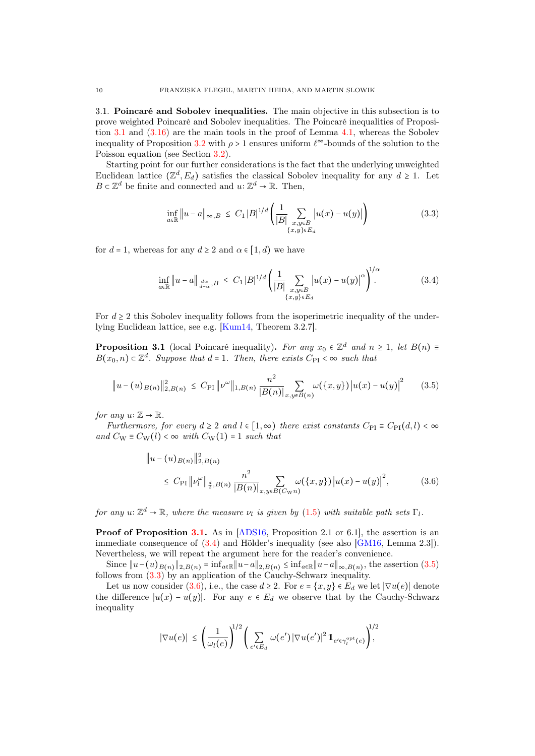<span id="page-9-0"></span>3.1. Poincaré and Sobolev inequalities. The main objective in this subsection is to prove weighted Poincaré and Sobolev inequalities. The Poincaré inequalities of Proposi-tion [3.1](#page-9-1) and  $(3.16)$  are the main tools in the proof of Lemma [4.1,](#page-12-1) whereas the Sobolev inequality of Proposition [3.2](#page-10-0) with  $\rho > 1$  ensures uniform  $\ell^{\infty}$ -bounds of the solution to the Poisson equation (see Section [3.2\)](#page-11-0).

Starting point for our further considerations is the fact that the underlying unweighted Euclidean lattice  $(\mathbb{Z}^d, E_d)$  satisfies the classical Sobolev inequality for any  $d \geq 1$ . Let  $B \subset \mathbb{Z}^d$  be finite and connected and  $u: \mathbb{Z}^d \to \mathbb{R}$ . Then,

<span id="page-9-3"></span><span id="page-9-2"></span>
$$
\inf_{a \in \mathbb{R}} \|u - a\|_{\infty, B} \le C_1 |B|^{1/d} \left( \frac{1}{|B|} \sum_{\substack{x, y \in B \\ \{x, y\} \in E_d}} |u(x) - u(y)| \right) \tag{3.3}
$$

for  $d = 1$ , whereas for any  $d \geq 2$  and  $\alpha \in [1, d)$  we have

<span id="page-9-4"></span>
$$
\inf_{a \in \mathbb{R}} \|u - a\|_{\frac{d\alpha}{d - \alpha}, B} \le C_1 |B|^{1/d} \left(\frac{1}{|B|} \sum_{\substack{x, y \in B \\ \{x, y\} \in E_d}} |u(x) - u(y)|^{\alpha}\right)^{1/\alpha}.
$$
 (3.4)

For  $d \geq 2$  this Sobolev inequality follows from the isoperimetric inequality of the underlying Euclidean lattice, see e.g. [\[Kum14,](#page-28-15) Theorem 3.2.7].

<span id="page-9-1"></span>**Proposition 3.1** (local Poincaré inequality). For any  $x_0 \in \mathbb{Z}^d$  and  $n \geq 1$ , let  $B(n) \equiv$  $B(x_0, n) \subset \mathbb{Z}^d$ . Suppose that  $d = 1$ . Then, there exists  $C_{\text{PI}} < \infty$  such that

$$
\|u - (u)_{B(n)}\|_{2,B(n)}^2 \le C_{\text{PI}} \|\nu^{\omega}\|_{1,B(n)} \frac{n^2}{|B(n)|} \sum_{x,y \in B(n)} \omega(\{x,y\}) |u(x) - u(y)|^2 \tag{3.5}
$$

for any  $u: \mathbb{Z} \to \mathbb{R}$ .

Furthermore, for every  $d \geq 2$  and  $l \in [1,\infty)$  there exist constants  $C_{\text{PI}} \equiv C_{\text{PI}}(d,l) < \infty$ and  $C_W \equiv C_W(l) < \infty$  with  $C_W(1) = 1$  such that

<span id="page-9-5"></span>
$$
\|u - (u)_{B(n)}\|_{2,B(n)}^2
$$
  
\$\leq C\_{\rm PI} \|v\_l^{\omega}\|\_{\frac{d}{2},B(n)} \frac{n^2}{|B(n)|} \sum\_{x,y \in B(C\_{\rm WP})} \omega(\{x,y\}) |u(x) - u(y)|^2\$, \qquad (3.6)\$

for any  $u: \mathbb{Z}^d \to \mathbb{R}$ , where the measure  $\nu_l$  is given by  $(1.5)$  with suitable path sets  $\Gamma_l$ .

Proof of Proposition [3.1.](#page-9-1) As in [\[ADS16,](#page-28-6) Proposition 2.1 or 6.1], the assertion is an immediate consequence of [\(3.4\)](#page-9-3) and Hölder's inequality (see also [\[GM16,](#page-28-16) Lemma 2.3]). Nevertheless, we will repeat the argument here for the reader's convenience.

Since  $||u-(u)_{B(n)}||_{2,B(n)} = \inf_{a\in\mathbb{R}} ||u-a||_{2,B(n)} \leq \inf_{a\in\mathbb{R}} ||u-a||_{\infty,B(n)}$ , the assertion  $(3.5)$ follows from [\(3.3\)](#page-9-2) by an application of the Cauchy-Schwarz inequality.

Let us now consider [\(3.6\)](#page-9-5), i.e., the case  $d \geq 2$ . For  $e = \{x, y\} \in E_d$  we let  $|\nabla u(e)|$  denote the difference  $|u(x) - u(y)|$ . For any  $e \in E_d$  we observe that by the Cauchy-Schwarz inequality

$$
|\nabla u(e)| \leq \left(\frac{1}{\omega_l(e)}\right)^{1/2} \left(\sum_{e' \in E_d} \omega(e') |\nabla u(e')|^2 1\!\!1_{e' \in \gamma_l^{\text{opt}}(e)}\right)^{1/2}
$$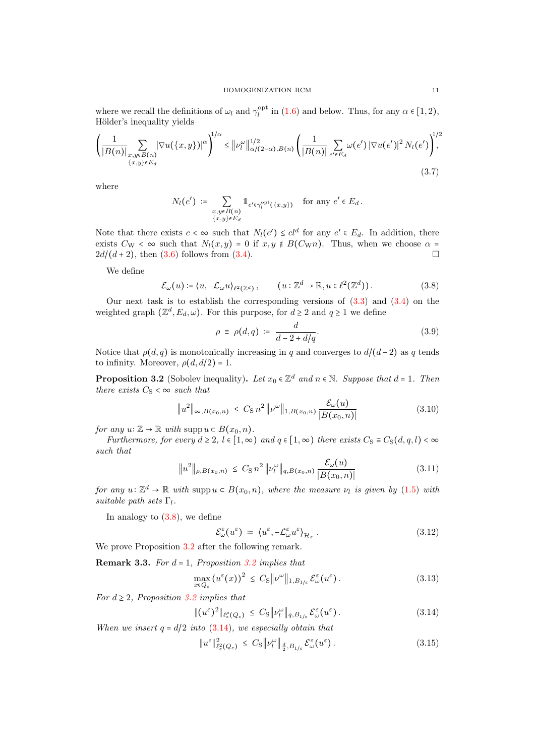where we recall the definitions of  $\omega_l$  and  $\gamma_l^{\text{opt}}$  in [\(1.6\)](#page-3-3) and below. Thus, for any  $\alpha \in [1,2)$ , Hölder's inequality yields

$$
\left(\frac{1}{|B(n)|}\sum_{\substack{x,y\in B(n)\\ \{x,y\}\in E_d}}|\nabla u(\{x,y\})|^{\alpha}\right)^{1/\alpha}\leq \|\nu_l^{\omega}\|_{\alpha/(2-\alpha),B(n)}^{1/2}\left(\frac{1}{|B(n)|}\sum_{e'\in E_d}\omega(e')|\nabla u(e')|^2 N_l(e')\right)^{1/2}
$$
\n(3.7)

where

<span id="page-10-6"></span>
$$
N_l(e') \coloneqq \sum_{\substack{x,y \in B(n) \\ \{x,y\} \in E_d}} 1_{e' \in \gamma_l^{\text{opt}}(\{x,y\})} \text{ for any } e' \in E_d.
$$

Note that there exists  $c < \infty$  such that  $N_l(e') \leq cl^d$  for any  $e' \in E_d$ . In addition, there exists  $C_W < \infty$  such that  $N_l(x, y) = 0$  if  $x, y \notin B(C_W n)$ . Thus, when we choose  $\alpha =$  $2d/(d+2)$ , then [\(3.6\)](#page-9-5) follows from [\(3.4\)](#page-9-3).

We define

$$
\mathcal{E}_{\omega}(u) \coloneqq \langle u, -\mathcal{L}_{\omega} u \rangle_{\ell^2(\mathbb{Z}^d)}, \qquad (u: \mathbb{Z}^d \to \mathbb{R}, u \in \ell^2(\mathbb{Z}^d)). \tag{3.8}
$$

Our next task is to establish the corresponding versions of  $(3.3)$  and  $(3.4)$  on the weighted graph  $(\mathbb{Z}^d, E_d, \omega)$ . For this purpose, for  $d \geq 2$  and  $q \geq 1$  we define

<span id="page-10-4"></span><span id="page-10-1"></span>
$$
\rho \equiv \rho(d, q) \coloneqq \frac{d}{d - 2 + d/q}.\tag{3.9}
$$

Notice that  $\rho(d,q)$  is monotonically increasing in q and converges to  $d/(d-2)$  as q tends to infinity. Moreover,  $\rho(d, d/2) = 1$ .

<span id="page-10-0"></span>**Proposition 3.2** (Sobolev inequality). Let  $x_0 \in \mathbb{Z}^d$  and  $n \in \mathbb{N}$ . Suppose that  $d = 1$ . Then there exists  $C_S < \infty$  such that

$$
\|u^{2}\|_{\infty,B(x_{0},n)} \leq C_{\mathrm{S}} n^{2} \|\nu^{\omega}\|_{1,B(x_{0},n)} \frac{\mathcal{E}_{\omega}(u)}{|B(x_{0},n)|}
$$
(3.10)

for any  $u: \mathbb{Z} \to \mathbb{R}$  with supp  $u \in B(x_0, n)$ .

Furthermore, for every  $d \geq 2$ ,  $l \in [1,\infty)$  and  $q \in [1,\infty)$  there exists  $C_S \equiv C_S(d,q,l) < \infty$ such that

$$
\|u^2\|_{\rho,B(x_0,n)} \leq C_S n^2 \|\nu_l^{\omega}\|_{q,B(x_0,n)} \frac{\mathcal{E}_{\omega}(u)}{|B(x_0,n)|}
$$
(3.11)

for any  $u: \mathbb{Z}^d \to \mathbb{R}$  with supp $u \in B(x_0, n)$ , where the measure  $\nu_l$  is given by  $(1.5)$  with suitable path sets  $\Gamma_l$ .

In analogy to  $(3.8)$ , we define

<span id="page-10-8"></span><span id="page-10-7"></span><span id="page-10-5"></span><span id="page-10-2"></span>
$$
\mathcal{E}_{\omega}^{\varepsilon}(u^{\varepsilon}) := \langle u^{\varepsilon}, -\mathcal{L}_{\omega}^{\varepsilon} u^{\varepsilon} \rangle_{\mathcal{H}_{\varepsilon}}.
$$
\n(3.12)

We prove Proposition [3.2](#page-10-0) after the following remark.

**Remark 3.3.** For  $d = 1$ , Proposition [3.2](#page-10-0) implies that

$$
\max_{x \in Q_{\varepsilon}} \left( u^{\varepsilon}(x) \right)^2 \leq C_{\mathrm{S}} \| \nu^{\omega} \|_{1, B_{1/\varepsilon}} \mathcal{E}_{\omega}^{\varepsilon}(u^{\varepsilon}). \tag{3.13}
$$

For  $d \geq 2$ , Proposition [3.2](#page-10-0) implies that

$$
\|(u^{\varepsilon})^2\|_{\ell^{\rho}_{\varepsilon}(Q_{\varepsilon})} \leq C_{\mathrm{S}}\|\nu_l^{\omega}\|_{q, B_{1/\varepsilon}}\,\mathcal{E}_{\omega}^{\varepsilon}(u^{\varepsilon}).\tag{3.14}
$$

When we insert  $q = d/2$  into  $(3.14)$ , we especially obtain that

<span id="page-10-3"></span>
$$
\|u^{\varepsilon}\|_{\ell_{\varepsilon}^{2}(Q_{\varepsilon})}^{2} \leq C_{\mathrm{S}}\|\nu_{l}^{\omega}\|_{\frac{d}{2},B_{1/\varepsilon}}\mathcal{E}_{\omega}^{\varepsilon}(u^{\varepsilon}). \tag{3.15}
$$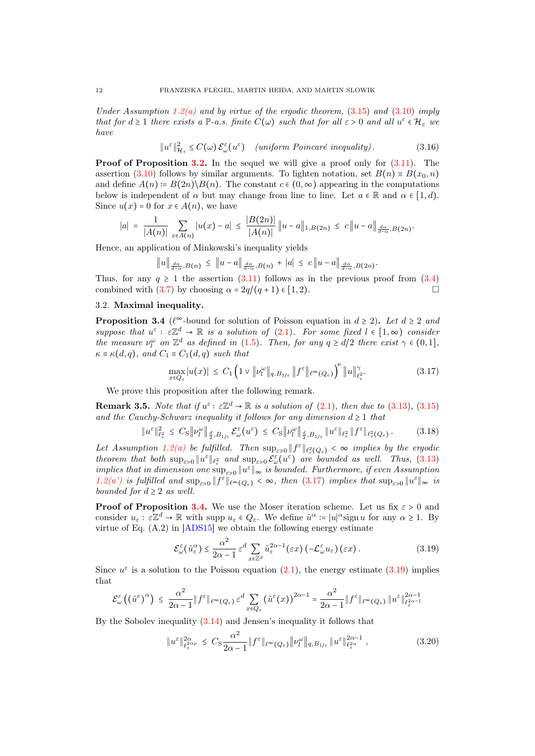Under Assumption [1.2](#page-3-0)[\(a\)](#page-3-4) and by virtue of the ergodic theorem,  $(3.15)$  and  $(3.10)$  imply that for  $d \geq 1$  there exists a  $\mathbb{P}\text{-}a.s.$  finite  $C(\omega)$  such that for all  $\varepsilon > 0$  and all  $u^{\varepsilon} \in \mathcal{H}_{\varepsilon}$  we have

<span id="page-11-1"></span>
$$
\|u^{\varepsilon}\|_{\mathcal{H}_{\varepsilon}}^{2} \le C(\omega) \mathcal{E}_{\omega}^{\varepsilon}(u^{\varepsilon}) \quad (uniform \ Poincaré \ inequality). \tag{3.16}
$$

**Proof of Proposition [3.2.](#page-10-0)** In the sequel we will give a proof only for  $(3.11)$ . The assertion [\(3.10\)](#page-10-4) follows by similar arguments. To lighten notation, set  $B(n) \equiv B(x_0, n)$ and define  $A(n) = B(2n) \setminus B(n)$ . The constant  $c \in (0, \infty)$  appearing in the computations below is independent of  $\alpha$  but may change from line to line. Let  $a \in \mathbb{R}$  and  $\alpha \in [1, d)$ . Since  $u(x) = 0$  for  $x \in A(n)$ , we have

$$
|a| = \frac{1}{|A(n)|} \sum_{x \in A(n)} |u(x) - a| \le \frac{|B(2n)|}{|A(n)|} ||u - a||_{1, B(2n)} \le c ||u - a||_{\frac{d\alpha}{d-\alpha}, B(2n)}.
$$

Hence, an application of Minkowski's inequality yields

$$
||u||_{\frac{d\alpha}{d-\alpha},B(n)} \leq ||u-a||_{\frac{d\alpha}{d-\alpha},B(n)} + |a| \leq c||u-a||_{\frac{d\alpha}{d-\alpha},B(2n)}.
$$

Thus, for any  $q \ge 1$  the assertion [\(3.11\)](#page-10-5) follows as in the previous proof from [\(3.4\)](#page-9-3) combined with [\(3.7\)](#page-10-6) by choosing  $\alpha = 2q/(q+1) \in [1, 2)$ .

## <span id="page-11-0"></span>3.2. Maximal inequality.

<span id="page-11-3"></span>**Proposition 3.4** ( $\ell^{\infty}$ -bound for solution of Poisson equation in  $d \geq 2$ ). Let  $d \geq 2$  and suppose that  $u^{\varepsilon}: \varepsilon \mathbb{Z}^d \to \mathbb{R}$  is a solution of [\(2.1\)](#page-5-3). For some fixed  $l \in [1,\infty)$  consider the measure  $\nu_l^{\omega}$  on  $\mathbb{Z}^d$  as defined in [\(1.5\)](#page-3-8). Then, for any  $q \ge d/2$  there exist  $\gamma \in (0,1]$ ,  $\kappa \equiv \kappa(d,q)$ , and  $C_1 \equiv C_1(d,q)$  such that

<span id="page-11-2"></span>
$$
\max_{x \in Q_{\varepsilon}} |u(x)| \leq C_1 \left( 1 \vee \| \nu_l^{\omega} \|_{q, B_{1/\varepsilon}} \| f^{\varepsilon} \|_{\ell^{\infty}(Q_{\varepsilon})} \right)^{\kappa} \| u \|_{\ell_{\varepsilon}^2}^{\gamma}.
$$
 (3.17)

We prove this proposition after the following remark.

<span id="page-11-6"></span>**Remark 3.5.** Note that if  $u^{\varepsilon} : \varepsilon \mathbb{Z}^d \to \mathbb{R}$  is a solution of [\(2.1\)](#page-5-3), then due to [\(3.13\)](#page-10-7), [\(3.15\)](#page-10-3) and the Cauchy-Schwarz inequality it follows for any dimension  $d \geq 1$  that

$$
\|u^{\varepsilon}\|_{\ell_{\varepsilon}^{2}}^{2} \leq C_{\mathrm{S}}\|\nu_{l}^{\omega}\|_{\frac{d}{2},B_{1/\varepsilon}}\mathcal{E}_{\omega}^{\varepsilon}(u^{\varepsilon}) \leq C_{\mathrm{S}}\|\nu_{l}^{\omega}\|_{\frac{d}{2},B_{1/\varepsilon}}\|u^{\varepsilon}\|_{\ell_{\varepsilon}^{2}}\|f^{\varepsilon}\|_{\ell_{\varepsilon}^{2}(Q_{\varepsilon})}. \tag{3.18}
$$

Let Assumption [1.2](#page-3-0)[\(a\)](#page-3-4) be fulfilled. Then  $\sup_{\varepsilon>0} ||f^{\varepsilon}||_{\ell_{\varepsilon}^{2}(Q_{\varepsilon})} < \infty$  implies by the ergodic theorem that both  $\sup_{\varepsilon>0} \|u^{\varepsilon}\|_{\ell^2_{\varepsilon}}$  and  $\sup_{\varepsilon>0} \mathcal{E}_{\omega}^{\varepsilon}(u^{\varepsilon})$  are bounded as well. Thus,  $(3.13)$ implies that in dimension one  $\sup_{\varepsilon>0} \|u^{\varepsilon}\|_{\infty}$  is bounded. Furthermore, if even Assumption [1.2](#page-3-0)[\(a'\)](#page-3-4) is fulfilled and  $\sup_{\varepsilon>0} ||f^{\varepsilon}||_{\ell^{\infty}(Q_{\varepsilon})} < \infty$ , then [\(3.17\)](#page-11-2) implies that  $\sup_{\varepsilon>0} ||u^{\varepsilon}||_{\infty}$  is bounded for  $d \geq 2$  as well.

**Proof of Proposition [3.4.](#page-11-3)** We use the Moser iteration scheme. Let us fix  $\varepsilon > 0$  and consider  $u_{\varepsilon}: \varepsilon \mathbb{Z}^d \to \mathbb{R}$  with supp  $u_{\varepsilon} \in Q_{\varepsilon}$ . We define  $\tilde{u}^{\alpha} \coloneqq |u|^{\alpha}$ sign u for any  $\alpha \geq 1$ . By virtue of Eq. (A.2) in [\[ADS15\]](#page-28-17) we obtain the following energy estimate

<span id="page-11-4"></span>
$$
\mathcal{E}_{\omega}^{\varepsilon}(\tilde{u}_{\varepsilon}^{\alpha}) \leq \frac{\alpha^{2}}{2\alpha - 1} \varepsilon^{d} \sum_{x \in \mathbb{Z}^{d}} \tilde{u}_{\varepsilon}^{2\alpha - 1}(\varepsilon x) \left( -\mathcal{L}_{\omega}^{\varepsilon} u_{\varepsilon} \right) (\varepsilon x). \tag{3.19}
$$

Since  $u^{\varepsilon}$  is a solution to the Poisson equation  $(2.1)$ , the energy estimate  $(3.19)$  implies that

$$
\mathcal{E}_{\omega}^{\varepsilon}\left(\left(\tilde{u}^{\varepsilon}\right)^{\alpha}\right) \leq \frac{\alpha^{2}}{2\alpha - 1} \|f^{\varepsilon}\|_{\ell^{\infty}\left(Q_{\varepsilon}\right)} \varepsilon^{d} \sum_{x \in Q_{\varepsilon}} \left(\tilde{u}^{\varepsilon}(x)\right)^{2\alpha - 1} = \frac{\alpha^{2}}{2\alpha - 1} \|f^{\varepsilon}\|_{\ell^{\infty}\left(Q_{\varepsilon}\right)} \|u^{\varepsilon}\|_{\ell^{\infty-1}}^{2\alpha - 1}
$$

By the Sobolev inequality [\(3.14\)](#page-10-2) and Jensen's inequality it follows that

<span id="page-11-5"></span>
$$
\|u^{\varepsilon}\|_{\ell_{\varepsilon}^{2\alpha\rho}}^{2\alpha} \leq C_{\mathrm{S}} \frac{\alpha^2}{2\alpha - 1} \|f^{\varepsilon}\|_{\ell^{\infty}(Q_{\varepsilon})} \|\nu_{l}^{\omega}\|_{q, B_{1/\varepsilon}} \|u^{\varepsilon}\|_{\ell_{\varepsilon}^{2\alpha}}^{2\alpha - 1} ,\tag{3.20}
$$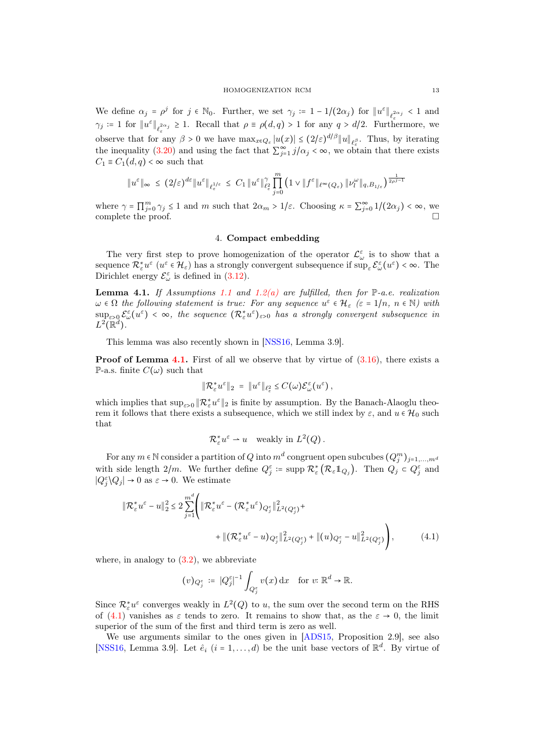We define  $\alpha_j = \rho^j$  for  $j \in \mathbb{N}_0$ . Further, we set  $\gamma_j := 1 - 1/(2\alpha_j)$  for  $||u^{\varepsilon}||_{\ell_{\varepsilon}^{2\alpha_j}} < 1$  and  $\gamma_j := 1$  for  $||u^{\varepsilon}||_{\ell_{\varepsilon}^{2\alpha_j}} \geq 1$ . Recall that  $\rho \equiv \rho(d,q) > 1$  for any  $q > d/2$ . Furthermore, we observe that for any  $\beta > 0$  we have  $\max_{x \in Q_{\varepsilon}} |u(x)| \leq (2/\varepsilon)^{d/\beta} ||u||_{\ell_{\varepsilon}^{\beta}}$ . Thus, by iterating the inequality [\(3.20\)](#page-11-5) and using the fact that  $\sum_{j=1}^{\infty} j/\alpha_j < \infty$ , we obtain that there exists  $C_1 \equiv C_1(d,q) < \infty$  such that

$$
\|u^\varepsilon\|_\infty\ \leq\ (2/\varepsilon)^{d\varepsilon}\|u^\varepsilon\|_{\ell^{1/\varepsilon}_\varepsilon}\ \leq\ C_1\,\|u^\varepsilon\|_{\ell^2_\varepsilon}^\gamma\prod_{j=0}^m\left(1\vee\|f^\varepsilon\|_{\ell^\infty(Q_\varepsilon)}\,\| \nu_l^\omega\|_{q,B_{1/\varepsilon}}\right)^{\frac{1}{2\rho^{j-1}}}
$$

where  $\gamma = \prod_{j=0}^m \gamma_j \le 1$  and m such that  $2\alpha_m > 1/\varepsilon$ . Choosing  $\kappa = \sum_{j=0}^{\infty} 1/(2\alpha_j) < \infty$ , we complete the proof.  $\Box$ 

### 4. Compact embedding

<span id="page-12-0"></span>The very first step to prove homogenization of the operator  $\mathcal{L}^{\varepsilon}_{\omega}$  is to show that a sequence  $\mathcal{R}_{\varepsilon}^* u^{\varepsilon}$   $(u^{\varepsilon} \in \mathcal{H}_{\varepsilon})$  has a strongly convergent subsequence if  $\sup_{\varepsilon} \mathcal{E}_{\omega}^{\varepsilon} (u^{\varepsilon}) < \infty$ . The Dirichlet energy  $\mathcal{E}_{\omega}^{\varepsilon}$  is defined in [\(3.12\)](#page-10-8).

<span id="page-12-1"></span>**Lemma 4.1.** If Assumptions [1.1](#page-3-1) and [1.2](#page-3-0)[\(a\)](#page-3-4) are fulfilled, then for  $\mathbb{P}\text{-}a.e.$  realization  $\omega \in \Omega$  the following statement is true: For any sequence  $u^{\varepsilon} \in \mathcal{H}_{\varepsilon}$  ( $\varepsilon = 1/n$ ,  $n \in \mathbb{N}$ ) with  $\sup_{\varepsilon>0} \mathcal{E}^{\varepsilon}_{\omega}(u^{\varepsilon}) < \infty$ , the sequence  $(\mathcal{R}_{\varepsilon}^{*}u^{\varepsilon})_{\varepsilon>0}$  has a strongly convergent subsequence in  $L^2(\mathbb{R}^d)$ .

This lemma was also recently shown in [\[NSS16,](#page-29-2) Lemma 3.9].

**Proof of Lemma [4.1.](#page-12-1)** First of all we observe that by virtue of  $(3.16)$ , there exists a P-a.s. finite  $C(\omega)$  such that

$$
\|\mathcal{R}_{\varepsilon}^* u^{\varepsilon}\|_2 = \|u^{\varepsilon}\|_{\ell_{\varepsilon}^2} \leq C(\omega)\mathcal{E}_{\omega}^{\varepsilon}(u^{\varepsilon}),
$$

which implies that  $\sup_{\varepsilon>0} \|\mathcal{R}_{\varepsilon}^* u^{\varepsilon}\|_2$  is finite by assumption. By the Banach-Alaoglu theorem it follows that there exists a subsequence, which we still index by  $\varepsilon$ , and  $u \in \mathcal{H}_0$  such that

<span id="page-12-2"></span>
$$
\mathcal{R}_{\varepsilon}^* u^{\varepsilon} \rightharpoonup u \quad \text{weakly in } L^2(Q).
$$

For any  $m \in \mathbb{N}$  consider a partition of  $Q$  into  $m^d$  congruent open subcubes  $(Q_j^m)_{j=1,...,m^d}$ with side length  $2/m$ . We further define  $Q_j^{\varepsilon}$  := supp  $\mathcal{R}_{\varepsilon}^*(\mathcal{R}_{\varepsilon} \mathbb{1}_{Q_j})$ . Then  $Q_j \subset Q_j^{\varepsilon}$  and  $|Q_j^{\varepsilon}\rangle Q_j| \to 0$  as  $\varepsilon \to 0$ . We estimate

$$
\|\mathcal{R}_{\varepsilon}^* u^{\varepsilon} - u\|_2^2 \le 2 \sum_{j=1}^{m^d} \Big( \|\mathcal{R}_{\varepsilon}^* u^{\varepsilon} - (\mathcal{R}_{\varepsilon}^* u^{\varepsilon})_{Q_j^{\varepsilon}}\|_{L^2(Q_j^{\varepsilon})}^2 + \|\big(\mathcal{R}_{\varepsilon}^* u^{\varepsilon} - u\big)_{Q_j^{\varepsilon}}\|_{L^2(Q_j^{\varepsilon})}^2 + \|(u)_{Q_j^{\varepsilon}} - u\|_{L^2(Q_j^{\varepsilon})}^2 \Big), \tag{4.1}
$$

where, in analogy to  $(3.2)$ , we abbreviate

$$
(v)_{Q_j^{\varepsilon}} := |Q_j^{\varepsilon}|^{-1} \int_{Q_j^{\varepsilon}} v(x) dx \quad \text{for } v \colon \mathbb{R}^d \to \mathbb{R}.
$$

Since  $\mathcal{R}_{\varepsilon}^* u^{\varepsilon}$  converges weakly in  $L^2(Q)$  to u, the sum over the second term on the RHS of [\(4.1\)](#page-12-2) vanishes as  $\varepsilon$  tends to zero. It remains to show that, as the  $\varepsilon \to 0$ , the limit superior of the sum of the first and third term is zero as well.

We use arguments similar to the ones given in [\[ADS15,](#page-28-17) Proposition 2.9], see also [\[NSS16,](#page-29-2) Lemma 3.9]. Let  $\hat{e}_i$   $(i = 1, ..., d)$  be the unit base vectors of  $\mathbb{R}^d$ . By virtue of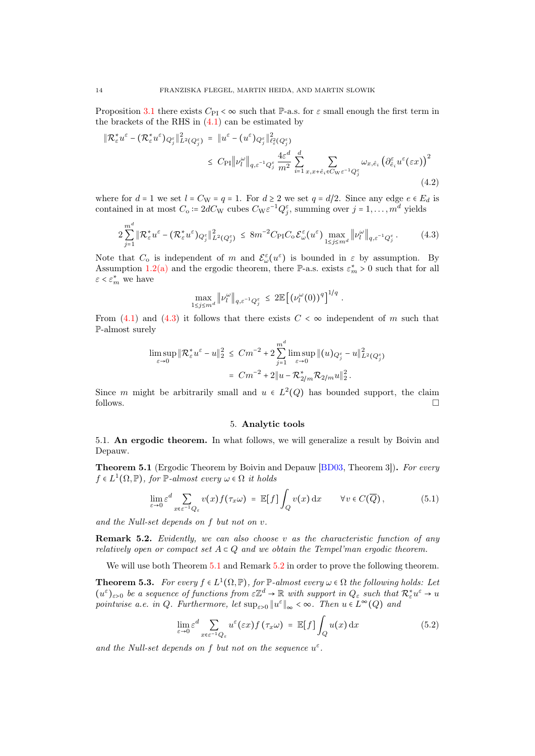Proposition [3.1](#page-9-1) there exists  $C_{\text{PI}} < \infty$  such that P-a.s. for  $\varepsilon$  small enough the first term in the brackets of the RHS in  $(4.1)$  can be estimated by

$$
\|\mathcal{R}_{\varepsilon}^* u^{\varepsilon} - (\mathcal{R}_{\varepsilon}^* u^{\varepsilon})_{Q_j^{\varepsilon}}\|_{L^2(Q_j^{\varepsilon})}^2 = \|u^{\varepsilon} - (u^{\varepsilon})_{Q_j^{\varepsilon}}\|_{\ell_{\varepsilon}^2(Q_j^{\varepsilon})}^2
$$
  

$$
\leq C_{\rm PI} \|v_l^{\omega}\|_{q,\varepsilon^{-1}Q_j^{\varepsilon}} \frac{4\varepsilon^d}{m^2} \sum_{i=1}^d \sum_{x,x+\hat{e}_i \in C_{\rm W}\varepsilon^{-1}Q_j^{\varepsilon}} \omega_{x,\hat{e}_i} \left(\partial_{\hat{e}_i}^{\varepsilon} u^{\varepsilon}(\varepsilon x)\right)^2
$$
\n(4.2)

where for  $d = 1$  we set  $l = C_{\text{W}} = q = 1$ . For  $d \geq 2$  we set  $q = d/2$ . Since any edge  $e \in E_d$  is contained in at most  $C_0 = 2dC_W$  cubes  $C_W \varepsilon^{-1} Q_j^{\varepsilon}$ , summing over  $j = 1, ..., m^d$  yields

$$
2\sum_{j=1}^{m^d} \|\mathcal{R}_{\varepsilon}^* u^{\varepsilon} - (\mathcal{R}_{\varepsilon}^* u^{\varepsilon})_{Q_j^{\varepsilon}}\|_{L^2(Q_j^{\varepsilon})}^2 \leq 8m^{-2}C_{\text{PI}}C_0 \mathcal{E}_{\omega}^{\varepsilon}(u^{\varepsilon}) \max_{1 \leq j \leq m^d} \|\nu_l^{\omega}\|_{q, \varepsilon^{-1} Q_j^{\varepsilon}}.
$$
 (4.3)

Note that  $C_0$  is independent of m and  $\mathcal{E}_{\omega}^{\varepsilon}(u^{\varepsilon})$  is bounded in  $\varepsilon$  by assumption. By Assumption [1.2](#page-3-0)[\(a\)](#page-3-4) and the ergodic theorem, there P-a.s. exists  $\varepsilon_m^* > 0$  such that for all  $\varepsilon < \varepsilon_m^*$  we have

<span id="page-13-2"></span>
$$
\max_{1 \leq j \leq m^d} \|\nu_l^{\omega}\|_{q,\varepsilon^{-1}Q_j^{\varepsilon}} \leq 2 \mathbb{E}\left[ \left(\nu_l^{\omega}(0)\right)^q\right]^{1/q}.
$$

From  $(4.1)$  and  $(4.3)$  it follows that there exists  $C < \infty$  independent of m such that P-almost surely

$$
\limsup_{\varepsilon \to 0} \| \mathcal{R}_{\varepsilon}^* u^{\varepsilon} - u \|_{2}^2 \le C m^{-2} + 2 \sum_{j=1}^{m^d} \limsup_{\varepsilon \to 0} \| (u)_{Q_j^{\varepsilon}} - u \|_{L^2(Q_j^{\varepsilon})}^2
$$

$$
= C m^{-2} + 2 \| u - \mathcal{R}_{2/m}^* \mathcal{R}_{2/m} u \|_{2}^2.
$$

Since m might be arbitrarily small and  $u \in L^2(Q)$  has bounded support, the claim follows.  $\Box$ 

#### <span id="page-13-5"></span>5. Analytic tools

<span id="page-13-1"></span><span id="page-13-0"></span>5.1. An ergodic theorem. In what follows, we will generalize a result by Boivin and Depauw.

<span id="page-13-3"></span>**Theorem 5.1** (Ergodic Theorem by Boivin and Depauw [\[BD03,](#page-28-10) Theorem 3]). For every  $f \in L^1(\Omega, \mathbb{P})$ , for  $\mathbb{P}\text{-almost every } \omega \in \Omega$  it holds

$$
\lim_{\varepsilon \to 0} \varepsilon^d \sum_{x \in \varepsilon^{-1} Q_{\varepsilon}} v(x) f(\tau_x \omega) = \mathbb{E}[f] \int_Q v(x) dx \qquad \forall v \in C(\overline{Q}), \tag{5.1}
$$

and the Null-set depends on f but not on v.

<span id="page-13-4"></span>**Remark 5.2.** Evidently, we can also choose v as the characteristic function of any relatively open or compact set  $A \subset Q$  and we obtain the Tempel'man ergodic theorem.

We will use both Theorem [5.1](#page-13-3) and Remark [5.2](#page-13-4) in order to prove the following theorem.

<span id="page-13-6"></span>**Theorem 5.3.** For every  $f \in L^1(\Omega, \mathbb{P})$ , for  $\mathbb{P}\text{-almost every } \omega \in \Omega$  the following holds: Let  $(u^{\varepsilon})_{\varepsilon>0}$  be a sequence of functions from  $\varepsilon\mathbb{Z}^d\to\mathbb{R}$  with support in  $Q_{\varepsilon}$  such that  $\mathcal{R}_{\varepsilon}^*u^{\varepsilon}\to u$ pointwise a.e. in Q. Furthermore, let  $\sup_{\varepsilon>0} ||u^{\varepsilon}||_{\infty} < \infty$ . Then  $u \in L^{\infty}(Q)$  and

$$
\lim_{\varepsilon \to 0} \varepsilon^d \sum_{x \in \varepsilon^{-1}Q_{\varepsilon}} u^{\varepsilon}(\varepsilon x) f(\tau_x \omega) = \mathbb{E}[f] \int_Q u(x) \, dx \tag{5.2}
$$

and the Null-set depends on f but not on the sequence  $u^{\varepsilon}$ .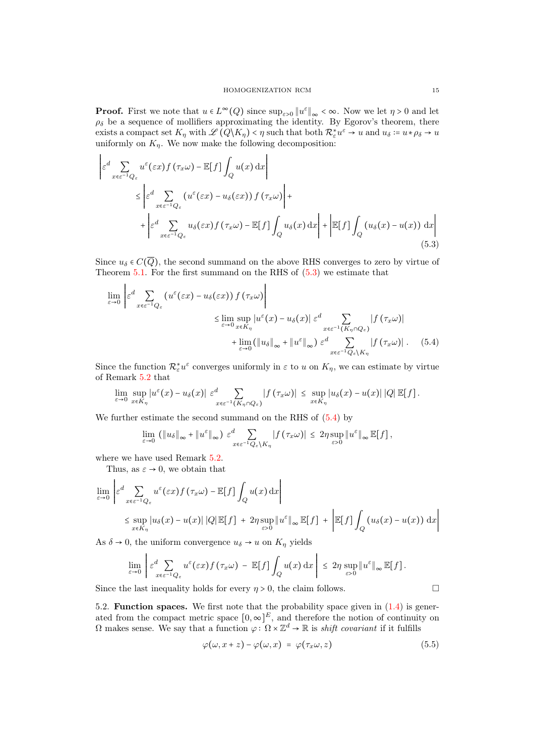**Proof.** First we note that  $u \in L^{\infty}(Q)$  since  $\sup_{\varepsilon>0} ||u^{\varepsilon}||_{\infty} < \infty$ . Now we let  $\eta > 0$  and let  $\rho_{\delta}$  be a sequence of mollifiers approximating the identity. By Egorov's theorem, there exists a compact set  $K_{\eta}$  with  $\mathscr{L}(Q \backslash K_{\eta}) < \eta$  such that both  $\mathcal{R}_{\varepsilon}^* u^{\varepsilon} \to u$  and  $u_{\delta} := u * \rho_{\delta} \to u$ uniformly on  $K_n$ . We now make the following decomposition:

$$
\begin{split}\n\left| \varepsilon^{d} \sum_{x \in \varepsilon^{-1} Q_{\varepsilon}} u^{\varepsilon}(\varepsilon x) f(\tau_{x} \omega) - \mathbb{E}[f] \int_{Q} u(x) dx \right| \\
&\leq \left| \varepsilon^{d} \sum_{x \in \varepsilon^{-1} Q_{\varepsilon}} \left( u^{\varepsilon}(\varepsilon x) - u_{\delta}(\varepsilon x) \right) f(\tau_{x} \omega) \right| + \\
&+ \left| \varepsilon^{d} \sum_{x \in \varepsilon^{-1} Q_{\varepsilon}} u_{\delta}(\varepsilon x) f(\tau_{x} \omega) - \mathbb{E}[f] \int_{Q} u_{\delta}(x) dx \right| + \left| \mathbb{E}[f] \int_{Q} \left( u_{\delta}(x) - u(x) \right) dx \right| \n\end{split} \tag{5.3}
$$

Since  $u_{\delta} \in C(\overline{Q})$ , the second summand on the above RHS converges to zero by virtue of Theorem  $5.1$ . For the first summand on the RHS of  $(5.3)$  we estimate that

<span id="page-14-1"></span>
$$
\lim_{\varepsilon \to 0} \left| \varepsilon^{d} \sum_{x \in \varepsilon^{-1} Q_{\varepsilon}} \left( u^{\varepsilon}(\varepsilon x) - u_{\delta}(\varepsilon x) \right) f(\tau_{x} \omega) \right|
$$
\n
$$
\leq \lim_{\varepsilon \to 0} \sup_{x \in K_{\eta}} |u^{\varepsilon}(x) - u_{\delta}(x)| \varepsilon^{d} \sum_{x \in \varepsilon^{-1}(K_{\eta} \cap Q_{\varepsilon})} |f(\tau_{x} \omega)|
$$
\n
$$
+ \lim_{\varepsilon \to 0} (\|u_{\delta}\|_{\infty} + \|u^{\varepsilon}\|_{\infty}) \varepsilon^{d} \sum_{x \in \varepsilon^{-1} Q_{\varepsilon} \setminus K_{\eta}} |f(\tau_{x} \omega)|. \quad (5.4)
$$

Since the function  $\mathcal{R}_{\varepsilon}^* u^{\varepsilon}$  converges uniformly in  $\varepsilon$  to u on  $K_{\eta}$ , we can estimate by virtue of Remark [5.2](#page-13-4) that

$$
\lim_{\varepsilon\to 0}\sup_{x\in K_{\eta}}|u^{\varepsilon}(x)-u_{\delta}(x)|\varepsilon^{d}\sum_{x\in \varepsilon^{-1}(K_{\eta}\cap Q_{\varepsilon})}|f(\tau_{x}\omega)|\leq \sup_{x\in K_{\eta}}|u_{\delta}(x)-u(x)|\,|Q|\,\mathbb{E}[f].
$$

We further estimate the second summand on the RHS of [\(5.4\)](#page-14-2) by

<span id="page-14-2"></span>
$$
\lim_{\varepsilon \to 0} (\|u_{\delta}\|_{\infty} + \|u^{\varepsilon}\|_{\infty}) \varepsilon_{x \in \varepsilon^{-1} Q_{\varepsilon} \setminus K_{\eta}}^{d} |f(\tau_{x} \omega)| \leq 2\eta \sup_{\varepsilon > 0} \|u^{\varepsilon}\|_{\infty} \mathbb{E}[f],
$$

where we have used Remark  $5.2$ .

Thus, as  $\varepsilon \to 0$ , we obtain that

$$
\lim_{\varepsilon \to 0} \left| \varepsilon^{d} \sum_{x \in \varepsilon^{-1} Q_{\varepsilon}} u^{\varepsilon}(\varepsilon x) f(\tau_{x} \omega) - \mathbb{E}[f] \int_{Q} u(x) dx \right|
$$
\n
$$
\leq \sup_{x \in K_{\eta}} |u_{\delta}(x) - u(x)| |Q| \mathbb{E}[f] + 2\eta \sup_{\varepsilon > 0} \|u^{\varepsilon}\|_{\infty} \mathbb{E}[f] + \left| \mathbb{E}[f] \int_{Q} (u_{\delta}(x) - u(x)) dx \right|
$$

As  $\delta \to 0$ , the uniform convergence  $u_{\delta} \to u$  on  $K_{\eta}$  yields

$$
\lim_{\varepsilon\to 0}\left|\varepsilon_{x\varepsilon\epsilon^{-1}Q_{\varepsilon}}^d u^{\varepsilon}(\varepsilon x)f(\tau_x\omega)-\mathbb{E}[f]\int_Q u(x)\,\mathrm{d} x\right|\leq 2\eta \sup_{\varepsilon>0} \|u^{\varepsilon}\|_{\infty}\,\mathbb{E}[f].
$$

Since the last inequality holds for every  $\eta > 0$ , the claim follows.

<span id="page-14-0"></span>5.2. Function spaces. We first note that the probability space given in [\(1.4\)](#page-3-9) is generated from the compact metric space  $[0, \infty]^E$ , and therefore the notion of continuity on  $\Omega$  makes sense. We say that a function  $\varphi : \Omega \times \mathbb{Z}^d \to \mathbb{R}$  is *shift covariant* if it fulfills

<span id="page-14-3"></span>
$$
\varphi(\omega, x+z) - \varphi(\omega, x) = \varphi(\tau_x \omega, z) \tag{5.5}
$$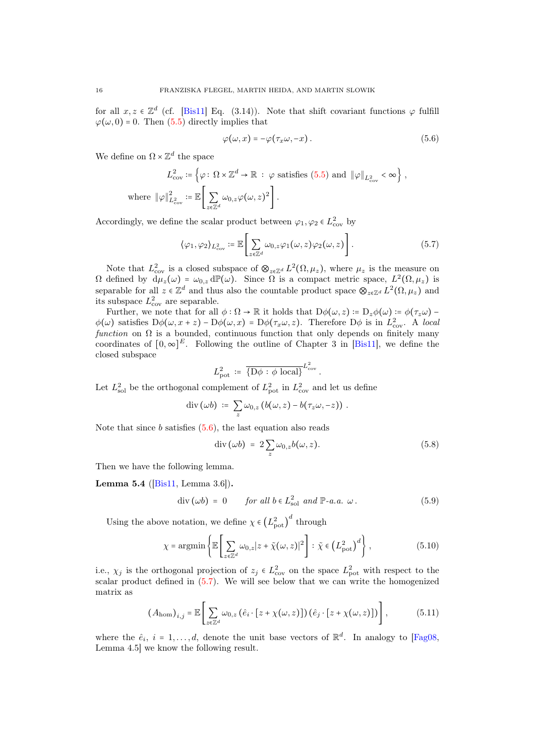for all  $x, z \in \mathbb{Z}^d$  (cf. [\[Bis11\]](#page-28-4) Eq. (3.14)). Note that shift covariant functions  $\varphi$  fulfill  $\varphi(\omega, 0) = 0$ . Then [\(5.5\)](#page-14-3) directly implies that

<span id="page-15-2"></span><span id="page-15-1"></span>
$$
\varphi(\omega, x) = -\varphi(\tau_x \omega, -x). \tag{5.6}
$$

We define on  $\Omega \times \mathbb{Z}^d$  the space

$$
L_{\text{cov}}^2 \coloneqq \left\{ \varphi : \Omega \times \mathbb{Z}^d \to \mathbb{R} \; : \; \varphi \text{ satisfies (5.5) and } \|\varphi\|_{L^2_{\text{cov}}} < \infty \right\},
$$
  
where 
$$
\|\varphi\|_{L^2_{\text{cov}}}^2 \coloneqq \mathbb{E}\left[\sum_{z \in \mathbb{Z}^d} \omega_{0,z} \varphi(\omega, z)^2\right].
$$

Accordingly, we define the scalar product between  $\varphi_1, \varphi_2 \in L^2_{\text{cov}}$  by

$$
\langle \varphi_1, \varphi_2 \rangle_{L^2_{\text{cov}}} := \mathbb{E} \left[ \sum_{z \in \mathbb{Z}^d} \omega_{0,z} \varphi_1(\omega, z) \varphi_2(\omega, z) \right]. \tag{5.7}
$$

Note that  $L^2_{\text{cov}}$  is a closed subspace of  $\otimes_{z \in \mathbb{Z}^d} L^2(\Omega, \mu_z)$ , where  $\mu_z$  is the measure on  $\Omega$  defined by  $\tilde{d}\mu_z(\omega) = \omega_{0,z} d\mathbb{P}(\omega)$ . Since  $\Omega$  is a compact metric space,  $L^2(\Omega, \mu_z)$  is separable for all  $z \in \mathbb{Z}^d$  and thus also the countable product space  $\otimes_{z \in \mathbb{Z}^d} L^2(\Omega, \mu_z)$  and its subspace  $L^2_{\text{cov}}$  are separable.

Further, we note that for all  $\phi : \Omega \to \mathbb{R}$  it holds that  $D\phi(\omega, z) := D_z\phi(\omega) := \phi(\tau_z\omega) - \frac{1}{2}\phi(\tau_z\omega)$  $\phi(\omega)$  satisfies  $D\phi(\omega, x+z) - D\phi(\omega, x) = D\phi(\tau_x \omega, z)$ . Therefore  $D\phi$  is in  $L^2_{\text{cov}}$ . A local function on  $\Omega$  is a bounded, continuous function that only depends on finitely many coordinates of  $[0,\infty]^E$ . Following the outline of Chapter 3 in [\[Bis11\]](#page-28-4), we define the closed subspace

$$
L_{\text{pot}}^2 \coloneqq \overline{\{D\phi : \phi \text{ local}\}}^{L_{\text{cov}}^2}.
$$

Let  $L^2_{\text{sol}}$  be the orthogonal complement of  $L^2_{\text{pot}}$  in  $L^2_{\text{cov}}$  and let us define

$$
\mathrm{div}\,(\omega b) \; \coloneqq \; \sum_{z} \omega_{0,z} \left( b(\omega,z) - b(\tau_z \omega, -z) \right) \, .
$$

Note that since  $b$  satisfies  $(5.6)$ , the last equation also reads

<span id="page-15-3"></span>
$$
\operatorname{div}(\omega b) = 2 \sum_{z} \omega_{0,z} b(\omega, z). \tag{5.8}
$$

Then we have the following lemma.

**Lemma 5.4** ( $[Bis11, Lemma 3.6]$  $[Bis11, Lemma 3.6]$ ).

$$
\text{div}\,(\omega b) = 0 \qquad \text{for all } b \in L^2_{\text{sol}} \text{ and } \mathbb{P}\text{-}a.\,a. \ \omega \,. \tag{5.9}
$$

Using the above notation, we define  $\chi \in (L^2_{\text{pot}})^d$  through

<span id="page-15-4"></span>
$$
\chi = \operatorname{argmin}\left\{ \mathbb{E}\left[\sum_{z \in \mathbb{Z}^d} \omega_{0,z} |z + \tilde{\chi}(\omega, z)|^2 \right] : \tilde{\chi} \in \left(L_{\text{pot}}^2\right)^d \right\},\tag{5.10}
$$

i.e.,  $\chi_j$  is the orthogonal projection of  $z_j \in L^2_{\text{cov}}$  on the space  $L^2_{\text{pot}}$  with respect to the scalar product defined in [\(5.7\)](#page-15-2). We will see below that we can write the homogenized matrix as

<span id="page-15-0"></span>
$$
(A_{\text{hom}})_{i,j} = \mathbb{E}\left[\sum_{z \in \mathbb{Z}^d} \omega_{0,z} \left(\hat{e}_i \cdot [z + \chi(\omega, z)]\right) \left(\hat{e}_j \cdot [z + \chi(\omega, z)]\right)\right],\tag{5.11}
$$

where the  $\hat{e}_i$ ,  $i = 1, ..., d$ , denote the unit base vectors of  $\mathbb{R}^d$ . In analogy to [\[Fag08,](#page-28-8) Lemma 4.5] we know the following result.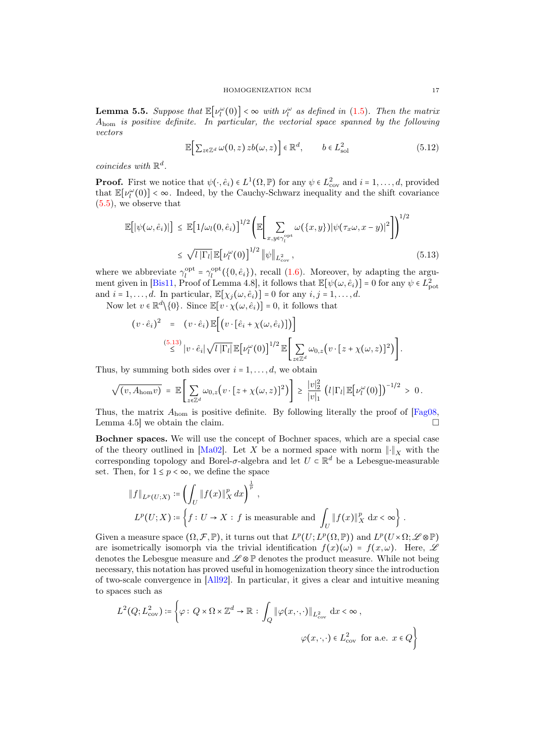<span id="page-16-0"></span>**Lemma 5.5.** Suppose that  $\mathbb{E}[\nu_l^{\omega}(0)] < \infty$  with  $\nu_l^{\omega}$  as defined in [\(1.5\)](#page-3-8). Then the matrix Ahom is positive definite. In particular, the vectorial space spanned by the following vectors

<span id="page-16-2"></span><span id="page-16-1"></span>
$$
\mathbb{E}\Big[\sum_{z\in\mathbb{Z}^d}\omega(0,z)\,zb(\omega,z)\Big]\in\mathbb{R}^d,\qquad b\in L^2_{\text{sol}}\tag{5.12}
$$

coincides with  $\mathbb{R}^d$ .

**Proof.** First we notice that  $\psi(\cdot, \hat{e}_i) \in L^1(\Omega, \mathbb{P})$  for any  $\psi \in L^2_{\text{cov}}$  and  $i = 1, ..., d$ , provided that  $\mathbb{E}[\nu_l^{\omega}(0)] < \infty$ . Indeed, by the Cauchy-Schwarz inequality and the shift covariance [\(5.5\)](#page-14-3), we observe that

$$
\mathbb{E}\big[\left|\psi(\omega,\hat{e}_i)\right|\big] \leq \mathbb{E}\big[1/\omega_l(0,\hat{e}_i)\big]^{1/2} \left(\mathbb{E}\bigg[\sum_{x,y \in \gamma_l^{\text{opt}}} \omega(\{x,y\})|\psi(\tau_x\omega,x-y)|^2\bigg]\right)^{1/2} \leq \sqrt{l\left|\Gamma_l\right|} \mathbb{E}\big[\nu_l^{\omega}(0)\big]^{1/2} \left|\psi\right|_{L^2_{\text{cov}}},\tag{5.13}
$$

where we abbreviate  $\gamma_l^{\text{opt}} = \gamma_l^{\text{opt}}(\{0, \hat{e}_i\})$ , recall [\(1.6\)](#page-3-3). Moreover, by adapting the argu-ment given in [\[Bis11,](#page-28-4) Proof of Lemma 4.8], it follows that  $\mathbb{E}[\psi(\omega, \hat{e}_i)] = 0$  for any  $\psi \in L^2_{\text{pot}}$ and  $i = 1, \ldots, d$ . In particular,  $\mathbb{E}[\chi_j(\omega, \hat{e}_i)] = 0$  for any  $i, j = 1, \ldots, d$ .

Now let  $v \in \mathbb{R}^d \setminus \{0\}$ . Since  $\mathbb{E}[v \cdot \chi(\omega, \hat{e}_i)] = 0$ , it follows that

$$
(v \cdot \hat{e}_i)^2 = (v \cdot \hat{e}_i) \mathbb{E}[(v \cdot [\hat{e}_i + \chi(\omega, \hat{e}_i)])]
$$
  

$$
\stackrel{(5.13)}{\leq} |v \cdot \hat{e}_i| \sqrt{l |\Gamma_l|} \mathbb{E}[\nu_l^{\omega}(0)]^{1/2} \mathbb{E}[\sum_{z \in \mathbb{Z}^d} \omega_{0,z}(v \cdot [z + \chi(\omega, z)]^2)].
$$

Thus, by summing both sides over  $i = 1, \ldots, d$ , we obtain

$$
\sqrt{(v, A_{\text{hom}}v)} = \mathbb{E}\left[\sum_{z\in\mathbb{Z}^d}\omega_{0,z}\left(v\cdot[z+\chi(\omega,z)]^2\right)\right] \geq \frac{|v|_2^2}{|v|_1} \left(l\left|\Gamma_l\right|\mathbb{E}\left[\nu_l^{\omega}(0)\right]\right)^{-1/2} > 0.
$$

Thus, the matrix  $A_{\text{hom}}$  is positive definite. By following literally the proof of  $[Fag08,$ Lemma 4.5 we obtain the claim.

Bochner spaces. We will use the concept of Bochner spaces, which are a special case of the theory outlined in [\[Ma02\]](#page-29-4). Let X be a normed space with norm  $\lVert \cdot \rVert_X$  with the corresponding topology and Borel- $\sigma$ -algebra and let  $U \subset \mathbb{R}^d$  be a Lebesgue-measurable set. Then, for  $1 \leq p < \infty$ , we define the space

$$
\|f\|_{L^p(U;X)} := \left(\int_U \|f(x)\|_X^p dx\right)^{\frac{1}{p}},
$$
  

$$
L^p(U;X) := \left\{f: U \to X: f \text{ is measurable and } \int_U \|f(x)\|_X^p dx < \infty\right\}.
$$

Given a measure space  $(\Omega, \mathcal{F}, \mathbb{P})$ , it turns out that  $L^p(U; L^p(\Omega, \mathbb{P}))$  and  $L^p(U \times \Omega; \mathscr{L} \otimes \mathbb{P})$ are isometrically isomorph via the trivial identification  $f(x)(\omega) = f(x, \omega)$ . Here, Let denotes the Lebesgue measure and  $\mathscr{L} \otimes \mathbb{P}$  denotes the product measure. While not being necessary, this notation has proved useful in homogenization theory since the introduction of two-scale convergence in [\[All92\]](#page-28-18). In particular, it gives a clear and intuitive meaning to spaces such as

$$
L^{2}(Q; L^{2}_{cov}) \coloneqq \left\{ \varphi : Q \times \Omega \times \mathbb{Z}^{d} \to \mathbb{R} : \int_{Q} \|\varphi(x, \cdot, \cdot)\|_{L^{2}_{cov}} dx < \infty, \right\}
$$
  

$$
\varphi(x, \cdot, \cdot) \in L^{2}_{cov} \text{ for a.e. } x \in Q \right\}
$$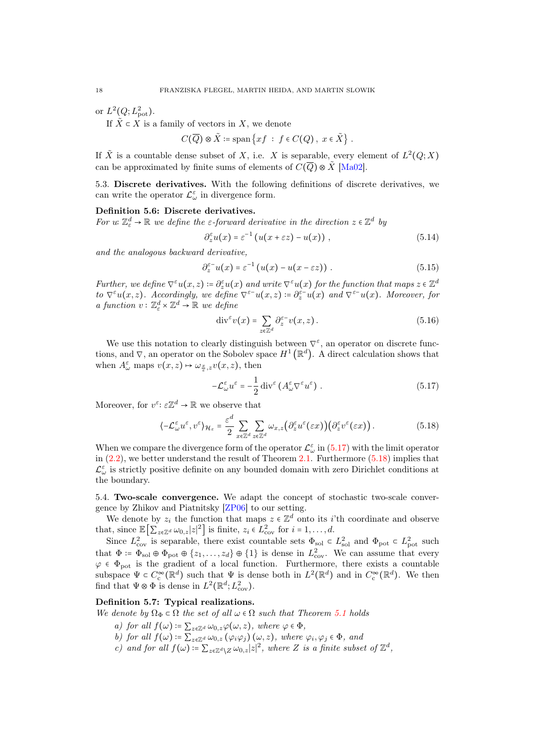or  $L^2(Q;L^2_{\text{pot}})$ .

If  $\tilde{X} \subset X$  is a family of vectors in X, we denote

$$
C(\overline{Q}) \otimes \tilde{X} \coloneqq \text{span}\left\{xf \; : \; f \in C(Q), \; x \in \tilde{X}\right\}.
$$

If  $\tilde{X}$  is a countable dense subset of X, i.e. X is separable, every element of  $L^2(Q;X)$ can be approximated by finite sums of elements of  $C(\overline{Q}) \otimes \overline{X}$  [\[Ma02\]](#page-29-4).

<span id="page-17-0"></span>5.3. Discrete derivatives. With the following definitions of discrete derivatives, we can write the operator  $\mathcal{L}^{\varepsilon}_{\omega}$  in divergence form.

#### Definition 5.6: Discrete derivatives.

For  $u: \mathbb{Z}_{\varepsilon}^d \to \mathbb{R}$  we define the  $\varepsilon$ -forward derivative in the direction  $z \in \mathbb{Z}^d$  by

$$
\partial_z^{\varepsilon} u(x) = \varepsilon^{-1} \left( u(x + \varepsilon z) - u(x) \right) , \qquad (5.14)
$$

and the analogous backward derivative,

$$
\partial_z^{\varepsilon^-} u(x) = \varepsilon^{-1} \left( u(x) - u(x - \varepsilon z) \right) . \tag{5.15}
$$

Further, we define  $\nabla^{\varepsilon}u(x, z) \coloneqq \partial_z^{\varepsilon}u(x)$  and write  $\nabla^{\varepsilon}u(x)$  for the function that maps  $z \in \mathbb{Z}^d$ to  $\nabla^{\varepsilon}u(x,z)$ . Accordingly, we define  $\nabla^{\varepsilon-}u(x,z) = \partial_z^{\varepsilon-}u(x)$  and  $\nabla^{\varepsilon-}u(x)$ . Moreover, for a function  $v: \mathbb{Z}_{\varepsilon}^d \times \mathbb{Z}^d \to \mathbb{R}$  we define

$$
\operatorname{div}^{\varepsilon} v(x) = \sum_{z \in \mathbb{Z}^d} \partial_z^{\varepsilon -} v(x, z).
$$
 (5.16)

We use this notation to clearly distinguish between  $\nabla^{\varepsilon}$ , an operator on discrete functions, and  $\nabla$ , an operator on the Sobolev space  $H^1(\mathbb{R}^d)$ . A direct calculation shows that when  $A_{\omega}^{\varepsilon}$  maps  $v(x, z) \mapsto \omega_{\frac{x}{\varepsilon}, z} v(x, z)$ , then

<span id="page-17-3"></span><span id="page-17-2"></span>
$$
-\mathcal{L}_{\omega}^{\varepsilon}u^{\varepsilon} = -\frac{1}{2} \operatorname{div}^{\varepsilon} \left( A_{\omega}^{\varepsilon} \nabla^{\varepsilon} u^{\varepsilon} \right) . \tag{5.17}
$$

Moreover, for  $v^{\varepsilon}$ :  $\varepsilon \mathbb{Z}^d \to \mathbb{R}$  we observe that

$$
\langle -\mathcal{L}_{\omega}^{\varepsilon} u^{\varepsilon}, v^{\varepsilon} \rangle_{\mathcal{H}_{\varepsilon}} = \frac{\varepsilon^{d}}{2} \sum_{x \in \mathbb{Z}^{d}} \sum_{z \in \mathbb{Z}^{d}} \omega_{x,z} \big( \partial_{z}^{\varepsilon} u^{\varepsilon}(\varepsilon x) \big) \big( \partial_{z}^{\varepsilon} v^{\varepsilon}(\varepsilon x) \big). \tag{5.18}
$$

When we compare the divergence form of the operator  $\mathcal{L}^{\varepsilon}_{\omega}$  in [\(5.17\)](#page-17-2) with the limit operator in [\(2.2\)](#page-5-6), we better understand the result of Theorem [2.1.](#page-5-2) Furthermore [\(5.18\)](#page-17-3) implies that  $\mathcal{L}^{\varepsilon}_{\omega}$  is strictly positive definite on any bounded domain with zero Dirichlet conditions at the boundary.

<span id="page-17-1"></span>5.4. Two-scale convergence. We adapt the concept of stochastic two-scale convergence by Zhikov and Piatnitsky [\[ZP06\]](#page-29-0) to our setting.

We denote by  $z_i$  the function that maps  $z \in \mathbb{Z}^d$  onto its *i*'th coordinate and observe that, since  $\mathbb{E}\left[\sum_{z\in\mathbb{Z}^d}\omega_{0,z}|z|^2\right]$  is finite,  $z_i \in L^2_{\text{cov}}$  for  $i = 1, \ldots, d$ .

Since  $L^2_{\text{cov}}$  is separable, there exist countable sets  $\Phi_{\text{sol}} \subset L^2_{\text{sol}}$  and  $\Phi_{\text{pot}} \subset L^2_{\text{pot}}$  such that  $\Phi \coloneqq \Phi_{sol} \oplus \Phi_{pot} \oplus \{z_1, \ldots, z_d\} \oplus \{1\}$  is dense in  $L^2_{cov}$ . We can assume that every  $\varphi \in \Phi_{\text{pot}}$  is the gradient of a local function. Furthermore, there exists a countable subspace  $\Psi \in C_c^{\infty}(\mathbb{R}^d)$  such that  $\Psi$  is dense both in  $L^2(\mathbb{R}^d)$  and in  $C_c^{\infty}(\mathbb{R}^d)$ . We then find that  $\Psi \otimes \Phi$  is dense in  $L^2(\mathbb{R}^d; L^2_{\text{cov}})$ .

## Definition 5.7: Typical realizations.

We denote by  $\Omega_{\Phi} \subset \Omega$  the set of all  $\omega \in \Omega$  such that Theorem [5.1](#page-13-3) holds

- a) for all  $f(\omega) \coloneqq \sum_{z \in \mathbb{Z}^d} \omega_{0,z} \varphi(\omega, z)$ , where  $\varphi \in \Phi$ ,
- b) for all  $f(\omega) \coloneqq \sum_{z \in \mathbb{Z}^d} \omega_{0,z} (\varphi_i \varphi_j) (\omega, z)$ , where  $\varphi_i, \varphi_j \in \Phi$ , and
- c) and for all  $f(\omega) \coloneqq \sum_{z \in \mathbb{Z}^d \setminus Z} \omega_{0,z} |z|^2$ , where Z is a finite subset of  $\mathbb{Z}^d$ ,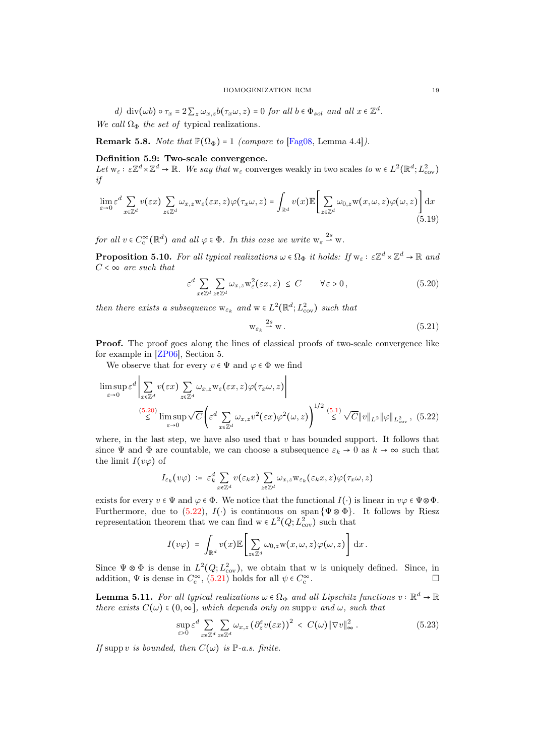d) div( $\omega b$ )  $\circ \tau_x = 2 \sum_z \omega_{x,z} b(\tau_x \omega, z) = 0$  for all  $b \in \Phi_{sol}$  and all  $x \in \mathbb{Z}^d$ .

We call  $\Omega_{\Phi}$  the set of typical realizations.

**Remark 5.8.** Note that  $\mathbb{P}(\Omega_{\Phi}) = 1$  (compare to [\[Fag08,](#page-28-8) Lemma 4.4]).

# Definition 5.9: Two-scale convergence.

Let  $w_{\varepsilon}: \varepsilon \mathbb{Z}^d \times \mathbb{Z}^d \to \mathbb{R}$ . We say that  $w_{\varepsilon}$  converges weakly in two scales to  $w \in L^2(\mathbb{R}^d; L^2_{\text{cov}})$ if

$$
\lim_{\varepsilon \to 0} \varepsilon^d \sum_{x \in \mathbb{Z}^d} v(\varepsilon x) \sum_{z \in \mathbb{Z}^d} \omega_{x,z} \mathbf{w}_{\varepsilon}(\varepsilon x,z) \varphi(\tau_x \omega, z) = \int_{\mathbb{R}^d} v(x) \mathbb{E} \left[ \sum_{z \in \mathbb{Z}^d} \omega_{0,z} \mathbf{w}(x, \omega, z) \varphi(\omega, z) \right] dx
$$
\n(5.19)

for all  $v \in C_c^{\infty}(\mathbb{R}^d)$  and all  $\varphi \in \Phi$ . In this case we write  $w_{\varepsilon} \stackrel{2s}{\rightharpoonup} w$ .

<span id="page-18-4"></span>**Proposition 5.10.** For all typical realizations  $\omega \in \Omega_{\Phi}$  it holds: If  $w_{\varepsilon}: \varepsilon \mathbb{Z}^d \times \mathbb{Z}^d \to \mathbb{R}$  and  $C < \infty$  are such that

$$
\varepsilon^d \sum_{x \in \mathbb{Z}^d} \sum_{z \in \mathbb{Z}^d} \omega_{x,z} \mathbf{w}_{\varepsilon}^2(\varepsilon x, z) \le C \qquad \forall \varepsilon > 0,
$$
\n(5.20)

then there exists a subsequence  $w_{\varepsilon_k}$  and  $w \in L^2(\mathbb{R}^d; L^2_{\text{cov}})$  such that

<span id="page-18-2"></span><span id="page-18-1"></span><span id="page-18-0"></span>
$$
\mathbf{w}_{\varepsilon_k} \stackrel{2s}{\rightharpoonup} \mathbf{w} \,. \tag{5.21}
$$

Proof. The proof goes along the lines of classical proofs of two-scale convergence like for example in [\[ZP06\]](#page-29-0), Section 5.

We observe that for every  $v \in \Psi$  and  $\varphi \in \Phi$  we find

$$
\limsup_{\varepsilon \to 0} \varepsilon^{d} \left| \sum_{x \in \mathbb{Z}^{d}} v(\varepsilon x) \sum_{z \in \mathbb{Z}^{d}} \omega_{x,z} \mathbf{w}_{\varepsilon}(\varepsilon x,z) \varphi(\tau_{x}\omega,z) \right|
$$
\n
$$
\stackrel{(5.20)}{\leq} \limsup_{\varepsilon \to 0} \sqrt{C} \left( \varepsilon^{d} \sum_{x \in \mathbb{Z}^{d}} \omega_{x,z} v^{2}(\varepsilon x) \varphi^{2}(\omega,z) \right)^{1/2} \stackrel{(5.1)}{\leq} \sqrt{C} \|v\|_{L^{2}} \|\varphi\|_{L^{2}_{\text{cov}}}, \quad (5.22)
$$

where, in the last step, we have also used that  $v$  has bounded support. It follows that since  $\Psi$  and  $\Phi$  are countable, we can choose a subsequence  $\varepsilon_k \to 0$  as  $k \to \infty$  such that the limit  $I(v\varphi)$  of

$$
I_{\varepsilon_k}(v\varphi)\,\coloneqq\,\varepsilon_k^d\sum_{x\in\mathbb{Z}^d}v(\varepsilon_kx)\sum_{z\in\mathbb{Z}^d}\omega_{x,z}\mathrm{w}_{\varepsilon_k}(\varepsilon_kx,z)\varphi(\tau_x\omega,z)
$$

exists for every  $v \in \Psi$  and  $\varphi \in \Phi$ . We notice that the functional  $I(\cdot)$  is linear in  $v\varphi \in \Psi \otimes \Phi$ . Furthermore, due to [\(5.22\)](#page-18-1),  $I(\cdot)$  is continuous on span { $\Psi \otimes \Phi$ }. It follows by Riesz representation theorem that we can find  $w \in L^2(Q; L^2_{\text{cov}})$  such that

$$
I(v\varphi) = \int_{\mathbb{R}^d} v(x) \mathbb{E} \left[ \sum_{z \in \mathbb{Z}^d} \omega_{0,z} \mathbf{w}(x,\omega,z) \varphi(\omega,z) \right] dx.
$$

Since  $\Psi \otimes \Phi$  is dense in  $L^2(Q; L^2_{\text{cov}})$ , we obtain that w is uniquely defined. Since, in addition,  $\Psi$  is dense in  $C_c^{\infty}$ , [\(5.21\)](#page-18-2) holds for all  $\psi \in C_c^{\infty}$ .

<span id="page-18-3"></span>**Lemma 5.11.** For all typical realizations  $\omega \in \Omega_{\Phi}$  and all Lipschitz functions  $v : \mathbb{R}^d \to \mathbb{R}$ there exists  $C(\omega) \in (0, \infty]$ , which depends only on supp v and  $\omega$ , such that

$$
\sup_{\varepsilon>0} \varepsilon^d \sum_{x \in \mathbb{Z}^d} \sum_{z \in \mathbb{Z}^d} \omega_{x,z} \left( \partial_z^{\varepsilon} v(\varepsilon x) \right)^2 < C(\omega) \|\nabla v\|_{\infty}^2. \tag{5.23}
$$

If supp v is bounded, then  $C(\omega)$  is  $\mathbb{P}\text{-}a.s.$  finite.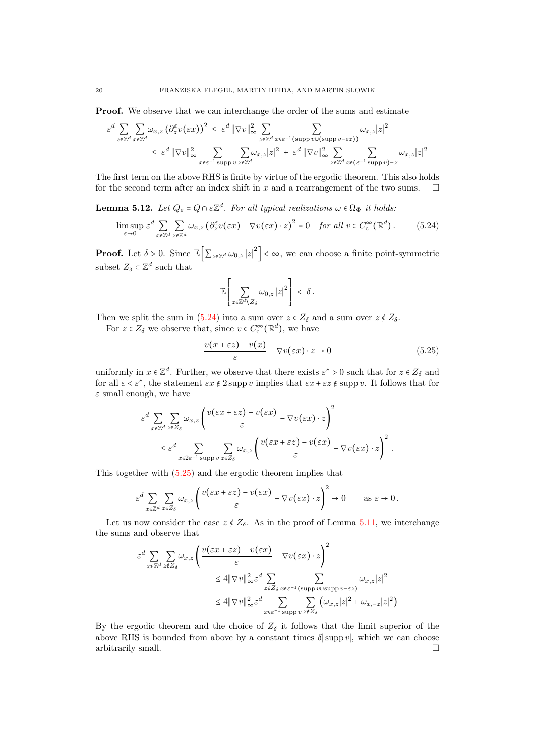Proof. We observe that we can interchange the order of the sums and estimate

$$
\varepsilon^{d} \sum_{z \in \mathbb{Z}^{d}} \sum_{x \in \mathbb{Z}^{d}} \omega_{x,z} \left( \partial_{z}^{\varepsilon} v(\varepsilon x) \right)^{2} \leq \varepsilon^{d} \|\nabla v\|_{\infty}^{2} \sum_{z \in \mathbb{Z}^{d}} \sum_{x \in \varepsilon^{-1} \text{ (supp } v \cup \text{ (supp } v - \varepsilon z) )} \omega_{x,z} |z|^{2}
$$
  

$$
\leq \varepsilon^{d} \|\nabla v\|_{\infty}^{2} \sum_{x \in \varepsilon^{-1} \text{ supp } v} \sum_{z \in \mathbb{Z}^{d}} \omega_{x,z} |z|^{2} + \varepsilon^{d} \|\nabla v\|_{\infty}^{2} \sum_{z \in \mathbb{Z}^{d}} \sum_{x \in (\varepsilon^{-1} \text{ supp } v) - z} \omega_{x,z} |z|^{2}
$$

The first term on the above RHS is finite by virtue of the ergodic theorem. This also holds for the second term after an index shift in x and a rearrangement of the two sums.  $\Box$ 

<span id="page-19-2"></span>**Lemma 5.12.** Let  $Q_{\varepsilon} = Q \cap \varepsilon \mathbb{Z}^d$ . For all typical realizations  $\omega \in \Omega_{\Phi}$  it holds:

$$
\limsup_{\varepsilon \to 0} \varepsilon^d \sum_{x \in \mathbb{Z}^d} \sum_{z \in \mathbb{Z}^d} \omega_{x,z} \left( \partial_z^{\varepsilon} v(\varepsilon x) - \nabla v(\varepsilon x) \cdot z \right)^2 = 0 \quad \text{for all } v \in C_c^{\infty}(\mathbb{R}^d). \tag{5.24}
$$

**Proof.** Let  $\delta > 0$ . Since  $\mathbb{E} \left[ \sum_{z \in \mathbb{Z}^d} \omega_{0,z} |z|^2 \right] < \infty$ , we can choose a finite point-symmetric subset  $Z_{\delta} \subset \mathbb{Z}^d$  such that

<span id="page-19-1"></span><span id="page-19-0"></span>
$$
\mathbb{E}\Bigg[\sum_{z\in\mathbb{Z}^d\backslash Z_\delta}\omega_{0,z}\left|z\right|^2\Bigg]\,<\,\delta\,.
$$

Then we split the sum in [\(5.24\)](#page-19-0) into a sum over  $z \in Z_\delta$  and a sum over  $z \notin Z_\delta$ .

For  $z \in Z_{\delta}$  we observe that, since  $v \in C_{\mathrm{c}}^{\infty}(\mathbb{R}^{d})$ , we have

$$
\frac{v(x+\varepsilon z) - v(x)}{\varepsilon} - \nabla v(\varepsilon x) \cdot z \to 0 \tag{5.25}
$$

uniformly in  $x \in \mathbb{Z}^d$ . Further, we observe that there exists  $\varepsilon^* > 0$  such that for  $z \in Z_\delta$  and for all  $\varepsilon < \varepsilon^*$ , the statement  $\varepsilon x \notin 2$  supp v implies that  $\varepsilon x + \varepsilon z \notin \text{supp } v$ . It follows that for  $\varepsilon$  small enough, we have

$$
\varepsilon^{d} \sum_{x \in \mathbb{Z}^{d}} \sum_{z \in Z_{\delta}} \omega_{x,z} \left( \frac{v(\varepsilon x + \varepsilon z) - v(\varepsilon x)}{\varepsilon} - \nabla v(\varepsilon x) \cdot z \right)^{2}
$$
  

$$
\leq \varepsilon^{d} \sum_{x \in 2\varepsilon^{-1} \text{ supp } v} \sum_{z \in Z_{\delta}} \omega_{x,z} \left( \frac{v(\varepsilon x + \varepsilon z) - v(\varepsilon x)}{\varepsilon} - \nabla v(\varepsilon x) \cdot z \right)^{2}.
$$

This together with [\(5.25\)](#page-19-1) and the ergodic theorem implies that

$$
\varepsilon^d \sum_{x \in \mathbb{Z}^d} \sum_{z \in Z_\delta} \omega_{x,z} \left( \frac{v(\varepsilon x + \varepsilon z) - v(\varepsilon x)}{\varepsilon} - \nabla v(\varepsilon x) \cdot z \right)^2 \to 0 \quad \text{as } \varepsilon \to 0.
$$

Let us now consider the case  $z \notin Z_{\delta}$ . As in the proof of Lemma [5.11,](#page-18-3) we interchange the sums and observe that

$$
\varepsilon^{d} \sum_{x \in \mathbb{Z}^{d}} \sum_{z \notin Z_{\delta}} \omega_{x,z} \left( \frac{v(\varepsilon x + \varepsilon z) - v(\varepsilon x)}{\varepsilon} - \nabla v(\varepsilon x) \cdot z \right)^{2}
$$
  

$$
\leq 4 \|\nabla v\|_{\infty}^{2} \varepsilon^{d} \sum_{z \notin Z_{\delta}} \sum_{x \in \varepsilon^{-1}(\text{supp } v \text{ is upper } -\varepsilon z)} \omega_{x,z} |z|^{2}
$$
  

$$
\leq 4 \|\nabla v\|_{\infty}^{2} \varepsilon^{d} \sum_{x \in \varepsilon^{-1}(\text{supp } v \leq \varepsilon z)} \sum_{z \notin Z_{\delta}} (\omega_{x,z} |z|^{2} + \omega_{x,-z} |z|^{2})
$$

By the ergodic theorem and the choice of  $Z_{\delta}$  it follows that the limit superior of the above RHS is bounded from above by a constant times  $\delta$ |supp v|, which we can choose arbitrarily small.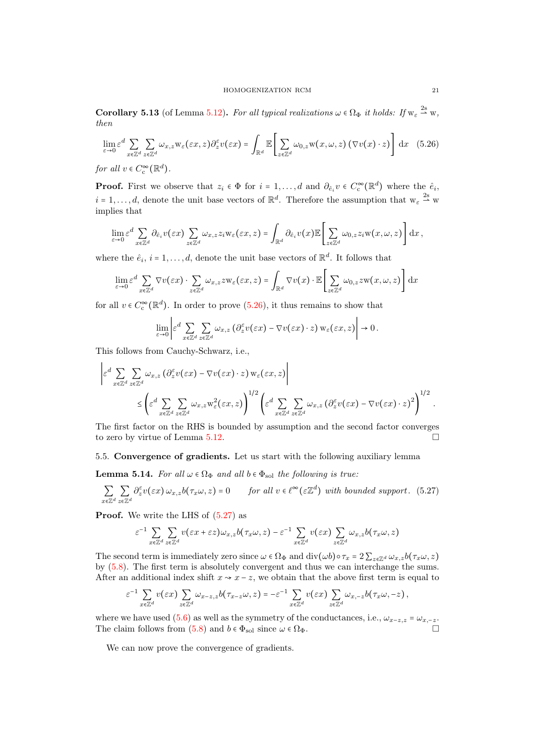<span id="page-20-3"></span>**Corollary 5.13** (of Lemma [5.12\)](#page-19-2). For all typical realizations  $\omega \in \Omega_{\Phi}$  it holds: If  $w_{\varepsilon} \stackrel{2s}{\rightharpoonup} w$ , then

<span id="page-20-1"></span>
$$
\lim_{\varepsilon \to 0} \varepsilon^d \sum_{x \in \mathbb{Z}^d} \sum_{z \in \mathbb{Z}^d} \omega_{x,z} \mathbf{w}_{\varepsilon}(\varepsilon x, z) \partial_z^{\varepsilon} v(\varepsilon x) = \int_{\mathbb{R}^d} \mathbb{E} \left[ \sum_{z \in \mathbb{Z}^d} \omega_{0,z} \mathbf{w}(x, \omega, z) \left( \nabla v(x) \cdot z \right) \right] dx \quad (5.26)
$$

for all  $v \in C_{\mathrm{c}}^{\infty}(\mathbb{R}^d)$ .

**Proof.** First we observe that  $z_i \in \Phi$  for  $i = 1, ..., d$  and  $\partial_{\hat{e}_i} v \in C_c^{\infty}(\mathbb{R}^d)$  where the  $\hat{e}_i$ ,  $i = 1, \ldots, d$ , denote the unit base vectors of  $\mathbb{R}^d$ . Therefore the assumption that  $w_{\varepsilon} \stackrel{2s}{\rightharpoonup} w$ implies that

$$
\lim_{\varepsilon\to 0} \varepsilon^d \sum_{x\in\mathbb{Z}^d} \partial_{\hat{e}_i} v(\varepsilon x) \sum_{z\in\mathbb{Z}^d} \omega_{x,z} z_i w_\varepsilon(\varepsilon x,z) = \int_{\mathbb{R}^d} \partial_{\hat{e}_i} v(x) \mathbb{E} \left[ \sum_{z\in\mathbb{Z}^d} \omega_{0,z} z_i w(x,\omega,z) \right] dx,
$$

where the  $\hat{e}_i$ ,  $i = 1, \ldots, d$ , denote the unit base vectors of  $\mathbb{R}^d$ . It follows that

$$
\lim_{\varepsilon \to 0} \varepsilon^d \sum_{x \in \mathbb{Z}^d} \nabla v(\varepsilon x) \cdot \sum_{z \in \mathbb{Z}^d} \omega_{x,z} z \mathbf{w}_{\varepsilon}(\varepsilon x, z) = \int_{\mathbb{R}^d} \nabla v(x) \cdot \mathbb{E} \left[ \sum_{z \in \mathbb{Z}^d} \omega_{0,z} z \mathbf{w}(x, \omega, z) \right] dx
$$

for all  $v \in C_c^{\infty}(\mathbb{R}^d)$ . In order to prove [\(5.26\)](#page-20-1), it thus remains to show that

$$
\lim_{\varepsilon \to 0} \left| \varepsilon^d \sum_{x \in \mathbb{Z}^d} \sum_{z \in \mathbb{Z}^d} \omega_{x,z} \left( \partial_z^\varepsilon v(\varepsilon x) - \nabla v(\varepsilon x) \cdot z \right) w_\varepsilon(\varepsilon x, z) \right| \to 0.
$$

This follows from Cauchy-Schwarz, i.e.,

$$
\begin{aligned} \left| \varepsilon^{d} \sum_{x \in \mathbb{Z}^{d}} \sum_{z \in \mathbb{Z}^{d}} \omega_{x,z} \left( \partial_{z}^{\varepsilon} v(\varepsilon x) - \nabla v(\varepsilon x) \cdot z \right) w_{\varepsilon}(\varepsilon x, z) \right| \\ \leq & \left( \varepsilon^{d} \sum_{x \in \mathbb{Z}^{d}} \sum_{z \in \mathbb{Z}^{d}} \omega_{x,z} w_{\varepsilon}^{2}(\varepsilon x, z) \right)^{1/2} \left( \varepsilon^{d} \sum_{x \in \mathbb{Z}^{d}} \sum_{z \in \mathbb{Z}^{d}} \omega_{x,z} \left( \partial_{z}^{\varepsilon} v(\varepsilon x) - \nabla v(\varepsilon x) \cdot z \right)^{2} \right)^{1/2}. \end{aligned}
$$

The first factor on the RHS is bounded by assumption and the second factor converges to zero by virtue of Lemma [5.12.](#page-19-2)

<span id="page-20-0"></span>5.5. Convergence of gradients. Let us start with the following auxiliary lemma

**Lemma 5.14.** For all  $\omega \in \Omega_{\Phi}$  and all  $b \in \Phi_{\text{sol}}$  the following is true:

$$
\sum_{x \in \mathbb{Z}^d} \sum_{z \in \mathbb{Z}^d} \partial_z^\varepsilon v(\varepsilon x) \,\omega_{x,z} b(\tau_x \omega, z) = 0 \qquad \text{for all } v \in \ell^\infty(\varepsilon \mathbb{Z}^d) \text{ with bounded support.} \tag{5.27}
$$

**Proof.** We write the LHS of  $(5.27)$  as

<span id="page-20-2"></span>
$$
\varepsilon^{-1} \sum_{x \in \mathbb{Z}^d} \sum_{z \in \mathbb{Z}^d} v(\varepsilon x + \varepsilon z) \omega_{x,z} b(\tau_x \omega, z) - \varepsilon^{-1} \sum_{x \in \mathbb{Z}^d} v(\varepsilon x) \sum_{z \in \mathbb{Z}^d} \omega_{x,z} b(\tau_x \omega, z)
$$

The second term is immediately zero since  $\omega \in \Omega_{\Phi}$  and  $\text{div}(\omega b) \circ \tau_x = 2 \sum_{z \in \mathbb{Z}^d} \omega_x z_b(\tau_x \omega, z)$ by [\(5.8\)](#page-15-3). The first term is absolutely convergent and thus we can interchange the sums. After an additional index shift  $x \sim x - z$ , we obtain that the above first term is equal to

$$
\varepsilon^{-1} \sum_{x \in \mathbb{Z}^d} v(\varepsilon x) \sum_{z \in \mathbb{Z}^d} \omega_{x-z, z} b(\tau_{x-z} \omega, z) = -\varepsilon^{-1} \sum_{x \in \mathbb{Z}^d} v(\varepsilon x) \sum_{z \in \mathbb{Z}^d} \omega_{x, -z} b(\tau_x \omega, -z),
$$

where we have used [\(5.6\)](#page-15-1) as well as the symmetry of the conductances, i.e.,  $\omega_{x-z,z} = \omega_{x,-z}$ .<br>The claim follows from (5.8) and  $b \in \Phi_{x+1}$  since  $a \in \Omega$ . The claim follows from [\(5.8\)](#page-15-3) and  $b \in \Phi_{\rm sol}$  since  $\omega \in \Omega_\Phi.$ 

We can now prove the convergence of gradients.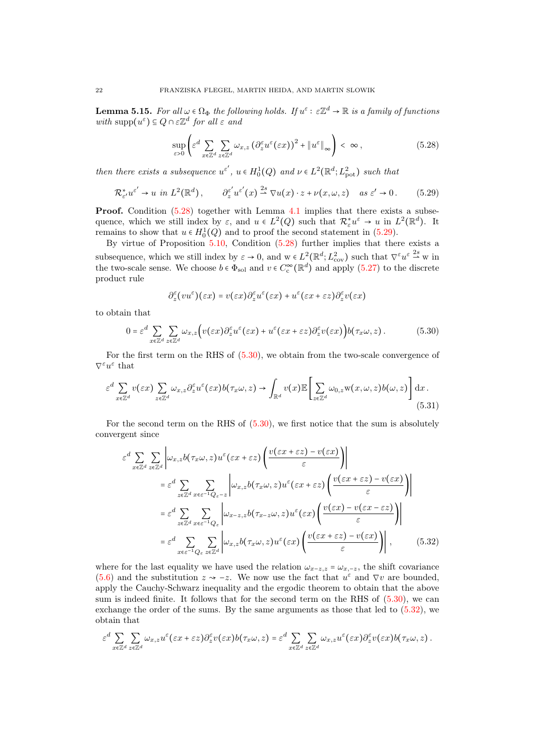<span id="page-21-4"></span>**Lemma 5.15.** For all  $\omega \in \Omega_{\Phi}$  the following holds. If  $u^{\varepsilon} : \varepsilon \mathbb{Z}^d \to \mathbb{R}$  is a family of functions with  $\text{supp}(u^{\varepsilon}) \subseteq Q \cap \varepsilon \mathbb{Z}^d$  for all  $\varepsilon$  and

<span id="page-21-0"></span>
$$
\sup_{\varepsilon>0} \left( \varepsilon^d \sum_{x \in \mathbb{Z}^d} \sum_{z \in \mathbb{Z}^d} \omega_{x,z} \left( \partial_z^{\varepsilon} u^{\varepsilon} (\varepsilon x) \right)^2 + \| u^{\varepsilon} \|_{\infty} \right) < \infty , \tag{5.28}
$$

then there exists a subsequence  $u^{\varepsilon'}$ ,  $u \in H_0^1(Q)$  and  $\nu \in L^2(\mathbb{R}^d; L^2_{pot})$  such that

<span id="page-21-1"></span>
$$
\mathcal{R}_{\varepsilon'}^* u^{\varepsilon'} \to u \text{ in } L^2(\mathbb{R}^d), \qquad \partial_{z}^{\varepsilon'} u^{\varepsilon'}(x) \stackrel{2s}{\to} \nabla u(x) \cdot z + \nu(x, \omega, z) \quad \text{as } \varepsilon' \to 0. \tag{5.29}
$$

Proof. Condition [\(5.28\)](#page-21-0) together with Lemma [4.1](#page-12-1) implies that there exists a subsequence, which we still index by  $\varepsilon$ , and  $u \in L^2(Q)$  such that  $\mathcal{R}^*_{\varepsilon}u^{\varepsilon} \to u$  in  $L^2(\mathbb{R}^d)$ . It remains to show that  $u \in H_0^1(Q)$  and to proof the second statement in [\(5.29\)](#page-21-1).

By virtue of Proposition [5.10,](#page-18-4) Condition [\(5.28\)](#page-21-0) further implies that there exists a subsequence, which we still index by  $\varepsilon \to 0$ , and  $w \in L^2(\mathbb{R}^d; L^2_{\text{cov}})$  such that  $\nabla^{\varepsilon} u^{\varepsilon} \stackrel{2s}{\rightharpoonup} w$  in the two-scale sense. We choose  $b \in \Phi_{\text{sol}}$  and  $v \in C_{\text{c}}^{\infty}(\mathbb{R}^d)$  and apply  $(5.27)$  to the discrete product rule

<span id="page-21-2"></span>
$$
\partial_z^{\varepsilon}(vu^{\varepsilon})(\varepsilon x)=v(\varepsilon x)\partial_z^{\varepsilon}u^{\varepsilon}(\varepsilon x)+u^{\varepsilon}(\varepsilon x+\varepsilon z)\partial_z^{\varepsilon}v(\varepsilon x)
$$

to obtain that

$$
0 = \varepsilon^{d} \sum_{x \in \mathbb{Z}^{d}} \sum_{z \in \mathbb{Z}^{d}} \omega_{x,z} \Big( v(\varepsilon x) \partial_{z}^{\varepsilon} u^{\varepsilon}(\varepsilon x) + u^{\varepsilon} (\varepsilon x + \varepsilon z) \partial_{z}^{\varepsilon} v(\varepsilon x) \Big) b(\tau_{x} \omega, z).
$$
 (5.30)

For the first term on the RHS of [\(5.30\)](#page-21-2), we obtain from the two-scale convergence of  $\nabla^\varepsilon u^\varepsilon$  that

$$
\varepsilon^{d} \sum_{x \in \mathbb{Z}^{d}} v(\varepsilon x) \sum_{z \in \mathbb{Z}^{d}} \omega_{x,z} \partial_{z}^{\varepsilon} u^{\varepsilon}(\varepsilon x) b(\tau_{x} \omega, z) \to \int_{\mathbb{R}^{d}} v(x) \mathbb{E} \left[ \sum_{z \in \mathbb{Z}^{d}} \omega_{0,z} w(x, \omega, z) b(\omega, z) \right] dx.
$$
\n(5.31)

For the second term on the RHS of [\(5.30\)](#page-21-2), we first notice that the sum is absolutely convergent since

<span id="page-21-3"></span>
$$
\varepsilon^{d} \sum_{x \in \mathbb{Z}^{d}} \sum_{z \in \mathbb{Z}^{d}} \left| \omega_{x,z} b(\tau_{x}\omega, z) u^{\varepsilon} (\varepsilon x + \varepsilon z) \left( \frac{v(\varepsilon x + \varepsilon z) - v(\varepsilon x)}{\varepsilon} \right) \right|
$$
\n
$$
= \varepsilon^{d} \sum_{z \in \mathbb{Z}^{d}} \sum_{x \in \varepsilon^{-1} Q_{\varepsilon} - z} \left| \omega_{x,z} b(\tau_{x}\omega, z) u^{\varepsilon} (\varepsilon x + \varepsilon z) \left( \frac{v(\varepsilon x + \varepsilon z) - v(\varepsilon x)}{\varepsilon} \right) \right|
$$
\n
$$
= \varepsilon^{d} \sum_{z \in \mathbb{Z}^{d}} \sum_{x \in \varepsilon^{-1} Q_{\varepsilon}} \left| \omega_{x-z,z} b(\tau_{x-z}\omega, z) u^{\varepsilon} (\varepsilon x) \left( \frac{v(\varepsilon x) - v(\varepsilon x - \varepsilon z)}{\varepsilon} \right) \right|
$$
\n
$$
= \varepsilon^{d} \sum_{x \in \varepsilon^{-1} Q_{\varepsilon}} \sum_{z \in \mathbb{Z}^{d}} \left| \omega_{x,z} b(\tau_{x}\omega, z) u^{\varepsilon} (\varepsilon x) \left( \frac{v(\varepsilon x + \varepsilon z) - v(\varepsilon x)}{\varepsilon} \right) \right|,
$$
\n(5.32)

where for the last equality we have used the relation  $\omega_{x-z,z} = \omega_{x,-z}$ , the shift covariance [\(5.6\)](#page-15-1) and the substitution  $z \rightarrow -z$ . We now use the fact that  $u^{\varepsilon}$  and  $\nabla v$  are bounded, apply the Cauchy-Schwarz inequality and the ergodic theorem to obtain that the above sum is indeed finite. It follows that for the second term on the RHS of [\(5.30\)](#page-21-2), we can exchange the order of the sums. By the same arguments as those that led to [\(5.32\)](#page-21-3), we obtain that

$$
\varepsilon^d \sum_{x \in \mathbb{Z}^d} \sum_{z \in \mathbb{Z}^d} \omega_{x,z} u^\varepsilon(\varepsilon x + \varepsilon z) \partial_z^\varepsilon v(\varepsilon x) b(\tau_x \omega, z) = \varepsilon^d \sum_{x \in \mathbb{Z}^d} \sum_{z \in \mathbb{Z}^d} \omega_{x,z} u^\varepsilon(\varepsilon x) \partial_z^\varepsilon v(\varepsilon x) b(\tau_x \omega, z).
$$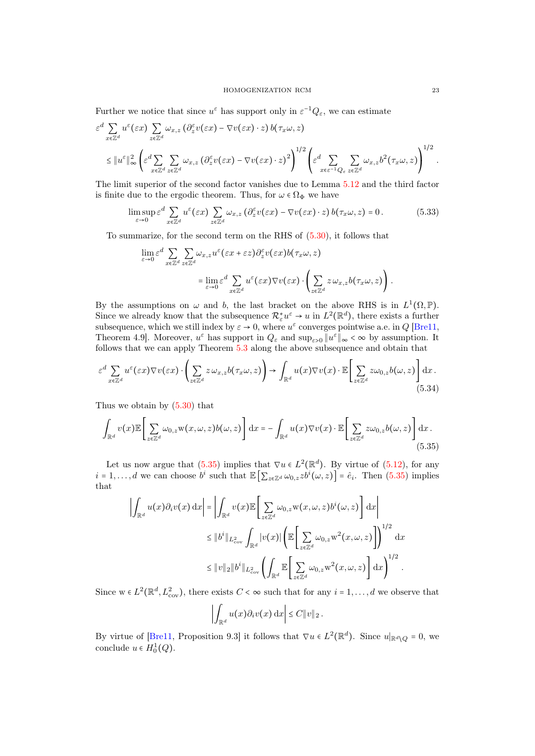Further we notice that since  $u^{\varepsilon}$  has support only in  $\varepsilon^{-1}Q_{\varepsilon}$ , we can estimate

$$
\varepsilon^{d} \sum_{x \in \mathbb{Z}^{d}} u^{\varepsilon}(\varepsilon x) \sum_{z \in \mathbb{Z}^{d}} \omega_{x,z} (\partial_{z}^{\varepsilon} v(\varepsilon x) - \nabla v(\varepsilon x) \cdot z) b(\tau_{x}\omega, z)
$$
\n
$$
\leq \|u^{\varepsilon}\|_{\infty}^{2} \left( \varepsilon^{d} \sum_{x \in \mathbb{Z}^{d}} \sum_{z \in \mathbb{Z}^{d}} \omega_{x,z} (\partial_{z}^{\varepsilon} v(\varepsilon x) - \nabla v(\varepsilon x) \cdot z)^{2} \right)^{1/2} \left( \varepsilon^{d} \sum_{x \in \varepsilon^{-1} Q_{\varepsilon}} \sum_{z \in \mathbb{Z}^{d}} \omega_{x,z} b^{2}(\tau_{x}\omega, z) \right)^{1/2} .
$$

The limit superior of the second factor vanishes due to Lemma [5.12](#page-19-2) and the third factor is finite due to the ergodic theorem. Thus, for  $\omega \in \Omega_{\Phi}$  we have

$$
\limsup_{\varepsilon \to 0} \varepsilon^d \sum_{x \in \mathbb{Z}^d} u^{\varepsilon}(\varepsilon x) \sum_{z \in \mathbb{Z}^d} \omega_{x,z} (\partial_z^{\varepsilon} v(\varepsilon x) - \nabla v(\varepsilon x) \cdot z) b(\tau_x \omega, z) = 0.
$$
 (5.33)

To summarize, for the second term on the RHS of [\(5.30\)](#page-21-2), it follows that

$$
\lim_{\varepsilon \to 0} \varepsilon^d \sum_{x \in \mathbb{Z}^d} \sum_{z \in \mathbb{Z}^d} \omega_{x,z} u^{\varepsilon} (\varepsilon x + \varepsilon z) \partial_z^{\varepsilon} v (\varepsilon x) b(\tau_x \omega, z) \n= \lim_{\varepsilon \to 0} \varepsilon^d \sum_{x \in \mathbb{Z}^d} u^{\varepsilon} (\varepsilon x) \nabla v (\varepsilon x) \cdot \left( \sum_{z \in \mathbb{Z}^d} z \omega_{x,z} b(\tau_x \omega, z) \right).
$$

By the assumptions on  $\omega$  and b, the last bracket on the above RHS is in  $L^1(\Omega, \mathbb{P})$ . Since we already know that the subsequence  $\mathcal{R}_{\varepsilon}^* u^{\varepsilon} \to u$  in  $L^2(\mathbb{R}^d)$ , there exists a further subsequence, which we still index by  $\varepsilon \to 0$ , where  $u^{\varepsilon}$  converges pointwise a.e. in Q [\[Bre11,](#page-28-19) Theorem 4.9. Moreover,  $u^{\varepsilon}$  has support in  $Q_{\varepsilon}$  and  $\sup_{\varepsilon>0} ||u^{\varepsilon}||_{\infty} < \infty$  by assumption. It follows that we can apply Theorem [5.3](#page-13-6) along the above subsequence and obtain that

$$
\varepsilon^{d} \sum_{x \in \mathbb{Z}^{d}} u^{\varepsilon}(\varepsilon x) \nabla v(\varepsilon x) \cdot \left( \sum_{z \in \mathbb{Z}^{d}} z \, \omega_{x,z} b(\tau_{x} \omega, z) \right) \to \int_{\mathbb{R}^{d}} u(x) \nabla v(x) \cdot \mathbb{E} \left[ \sum_{z \in \mathbb{Z}^{d}} z \omega_{0,z} b(\omega, z) \right] dx. \tag{5.34}
$$

Thus we obtain by [\(5.30\)](#page-21-2) that

$$
\int_{\mathbb{R}^d} v(x) \mathbb{E} \left[ \sum_{z \in \mathbb{Z}^d} \omega_{0,z} \mathbf{w}(x,\omega,z) b(\omega,z) \right] dx = - \int_{\mathbb{R}^d} u(x) \nabla v(x) \cdot \mathbb{E} \left[ \sum_{z \in \mathbb{Z}^d} z \omega_{0,z} b(\omega,z) \right] dx.
$$
\n(5.35)

Let us now argue that  $(5.35)$  implies that  $\nabla u \in L^2(\mathbb{R}^d)$ . By virtue of  $(5.12)$ , for any  $i = 1, \ldots, d$  we can choose  $b^i$  such that  $\mathbb{E}\left[\sum_{z \in \mathbb{Z}^d} \omega_{0,z} z b^i(\omega, z)\right] = \hat{e}_i$ . Then [\(5.35\)](#page-22-0) implies that

$$
\left| \int_{\mathbb{R}^d} u(x) \partial_i v(x) dx \right| = \left| \int_{\mathbb{R}^d} v(x) \mathbb{E} \left[ \sum_{z \in \mathbb{Z}^d} \omega_{0,z} \mathbf{w}(x, \omega, z) b^i(\omega, z) \right] dx \right|
$$
  

$$
\leq \|b^i\|_{L^2_{\text{cov}}} \int_{\mathbb{R}^d} |v(x)| \left( \mathbb{E} \left[ \sum_{z \in \mathbb{Z}^d} \omega_{0,z} \mathbf{w}^2(x, \omega, z) \right] \right)^{1/2} dx
$$
  

$$
\leq \|v\|_2 \|b^i\|_{L^2_{\text{cov}}} \left( \int_{\mathbb{R}^d} \mathbb{E} \left[ \sum_{z \in \mathbb{Z}^d} \omega_{0,z} \mathbf{w}^2(x, \omega, z) \right] dx \right)^{1/2}.
$$

Since  $w \in L^2(\mathbb{R}^d, L^2_{\text{cov}})$ , there exists  $C < \infty$  such that for any  $i = 1, ..., d$  we observe that

<span id="page-22-0"></span>
$$
\left|\int_{\mathbb{R}^d} u(x)\partial_i v(x)\,\mathrm{d} x\right| \leq C \|v\|_2.
$$

By virtue of [\[Bre11,](#page-28-19) Proposition 9.3] it follows that  $\nabla u \in L^2(\mathbb{R}^d)$ . Since  $u|_{\mathbb{R}^d \setminus Q} = 0$ , we conclude  $u \in H_0^1(Q)$ .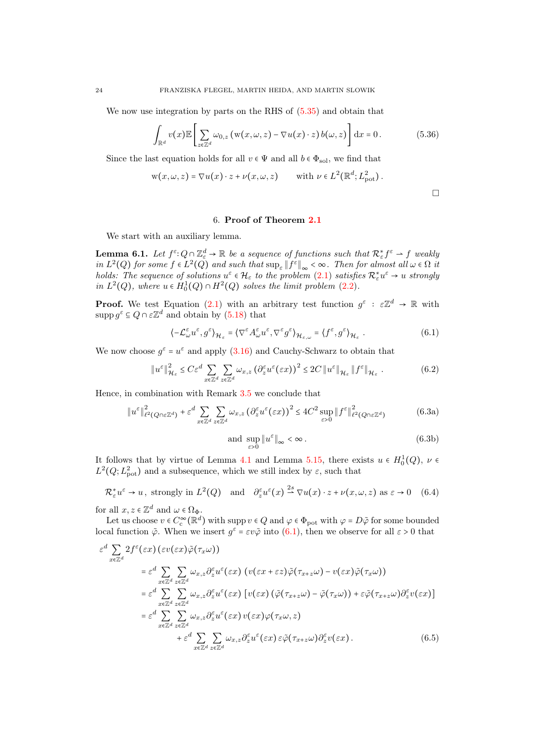We now use integration by parts on the RHS of [\(5.35\)](#page-22-0) and obtain that

$$
\int_{\mathbb{R}^d} v(x) \mathbb{E} \left[ \sum_{z \in \mathbb{Z}^d} \omega_{0,z} \left( \mathbf{w}(x,\omega,z) - \nabla u(x) \cdot z \right) b(\omega,z) \right] dx = 0.
$$
 (5.36)

<span id="page-23-7"></span> $\Box$ 

Since the last equation holds for all  $v \in \Psi$  and all  $b \in \Phi_{sol}$ , we find that

$$
w(x,\omega,z) = \nabla u(x) \cdot z + \nu(x,\omega,z)
$$
 with  $\nu \in L^2(\mathbb{R}^d; L^2_{\text{pot}})$ .

### 6. Proof of Theorem [2.1](#page-5-2)

<span id="page-23-0"></span>We start with an auxiliary lemma.

<span id="page-23-6"></span>**Lemma 6.1.** Let  $f^{\varepsilon} \colon Q \cap \mathbb{Z}_{\varepsilon}^d \to \mathbb{R}$  be a sequence of functions such that  $\mathcal{R}_{\varepsilon}^* f^{\varepsilon} \to f$  weakly in  $L^2(Q)$  for some  $f \in L^2(Q)$  and such that  $\sup_{\varepsilon} ||f^{\varepsilon}||_{\infty} < \infty$ . Then for almost all  $\omega \in \Omega$  it holds: The sequence of solutions  $u^{\varepsilon} \in \mathcal{H}_{\varepsilon}$  to the problem  $(2.1)$  satisfies  $\mathcal{R}_{\varepsilon}^{*}u^{\varepsilon} \to u$  strongly in  $L^2(Q)$ , where  $u \in H_0^1(Q) \cap H^2(Q)$  solves the limit problem [\(2.2\)](#page-5-6).

**Proof.** We test Equation [\(2.1\)](#page-5-3) with an arbitrary test function  $g^{\varepsilon}: \varepsilon \mathbb{Z}^d \to \mathbb{R}$  with supp  $g^{\varepsilon} \subseteq Q \cap \varepsilon \mathbb{Z}^d$  and obtain by  $(5.18)$  that

<span id="page-23-1"></span>
$$
\langle -\mathcal{L}_{\omega}^{\varepsilon} u^{\varepsilon}, g^{\varepsilon} \rangle_{\mathcal{H}_{\varepsilon}} = \langle \nabla^{\varepsilon} A_{\omega}^{\varepsilon} u^{\varepsilon}, \nabla^{\varepsilon} g^{\varepsilon} \rangle_{\mathcal{H}_{\varepsilon,\omega}} = \langle f^{\varepsilon}, g^{\varepsilon} \rangle_{\mathcal{H}_{\varepsilon}}.
$$
 (6.1)

We now choose  $g^{\varepsilon} = u^{\varepsilon}$  and apply  $(3.16)$  and Cauchy-Schwarz to obtain that

$$
\|u^{\varepsilon}\|_{\mathcal{H}_{\varepsilon}}^{2} \leq C\varepsilon^{d} \sum_{x \in \mathbb{Z}^{d}} \sum_{z \in \mathbb{Z}^{d}} \omega_{x,z} \left(\partial_{z}^{\varepsilon} u^{\varepsilon}(\varepsilon x)\right)^{2} \leq 2C \left\|u^{\varepsilon}\right\|_{\mathcal{H}_{\varepsilon}} \|f^{\varepsilon}\|_{\mathcal{H}_{\varepsilon}}.
$$
 (6.2)

Hence, in combination with Remark [3.5](#page-11-6) we conclude that

<span id="page-23-5"></span>
$$
\|u^{\varepsilon}\|_{\ell^2(Q\cap\varepsilon\mathbb{Z}^d)}^2 + \varepsilon^d \sum_{x\in\mathbb{Z}^d} \sum_{z\in\mathbb{Z}^d} \omega_{x,z} \left(\partial_z^{\varepsilon} u^{\varepsilon}(\varepsilon x)\right)^2 \le 4C^2 \sup_{\varepsilon>0} \|f^{\varepsilon}\|_{\ell^2(Q\cap\varepsilon\mathbb{Z}^d)}^2
$$
(6.3a)

<span id="page-23-3"></span><span id="page-23-2"></span>and 
$$
\sup_{\varepsilon>0} \|u^{\varepsilon}\|_{\infty} < \infty
$$
. (6.3b)

It follows that by virtue of Lemma [4.1](#page-12-1) and Lemma [5.15,](#page-21-4) there exists  $u \in H_0^1(Q)$ ,  $\nu \in$  $L^2(Q; L^2_{pot})$  and a subsequence, which we still index by  $\varepsilon$ , such that

<span id="page-23-4"></span>
$$
\mathcal{R}_{\varepsilon}^* u^{\varepsilon} \to u, \text{ strongly in } L^2(Q) \quad \text{and} \quad \partial_z^{\varepsilon} u^{\varepsilon}(x) \xrightarrow{2s} \nabla u(x) \cdot z + \nu(x, \omega, z) \text{ as } \varepsilon \to 0 \quad (6.4)
$$

for all  $x, z \in \mathbb{Z}^d$  and  $\omega \in \Omega_{\Phi}$ .

Let us choose  $v \in C_c^{\infty}(\mathbb{R}^d)$  with supp  $v \in Q$  and  $\varphi \in \Phi_{\text{pot}}$  with  $\varphi = D\tilde{\varphi}$  for some bounded local function  $\tilde{\varphi}$ . When we insert  $g^{\varepsilon} = \varepsilon v \tilde{\varphi}$  into [\(6.1\)](#page-23-1), then we observe for all  $\varepsilon > 0$  that

$$
\varepsilon^{d} \sum_{x \in \mathbb{Z}^{d}} 2f^{\varepsilon}(\varepsilon x) \left( \varepsilon v(\varepsilon x) \tilde{\varphi}(\tau_{x} \omega) \right)
$$
\n
$$
= \varepsilon^{d} \sum_{x \in \mathbb{Z}^{d}} \sum_{z \in \mathbb{Z}^{d}} \omega_{x,z} \partial_{z}^{\varepsilon} u^{\varepsilon}(\varepsilon x) \left( v(\varepsilon x + \varepsilon z) \tilde{\varphi}(\tau_{x+z} \omega) - v(\varepsilon x) \tilde{\varphi}(\tau_{x} \omega) \right)
$$
\n
$$
= \varepsilon^{d} \sum_{x \in \mathbb{Z}^{d}} \sum_{z \in \mathbb{Z}^{d}} \omega_{x,z} \partial_{z}^{\varepsilon} u^{\varepsilon}(\varepsilon x) \left[ v(\varepsilon x) \left( \tilde{\varphi}(\tau_{x+z} \omega) - \tilde{\varphi}(\tau_{x} \omega) \right) + \varepsilon \tilde{\varphi}(\tau_{x+z} \omega) \partial_{z}^{\varepsilon} v(\varepsilon x) \right]
$$
\n
$$
= \varepsilon^{d} \sum_{x \in \mathbb{Z}^{d}} \sum_{z \in \mathbb{Z}^{d}} \omega_{x,z} \partial_{z}^{\varepsilon} u^{\varepsilon}(\varepsilon x) v(\varepsilon x) \varphi(\tau_{x} \omega, z)
$$
\n
$$
+ \varepsilon^{d} \sum_{x \in \mathbb{Z}^{d}} \sum_{z \in \mathbb{Z}^{d}} \omega_{x,z} \partial_{z}^{\varepsilon} u^{\varepsilon}(\varepsilon x) \varepsilon \tilde{\varphi}(\tau_{x+z} \omega) \partial_{z}^{\varepsilon} v(\varepsilon x) . \tag{6.5}
$$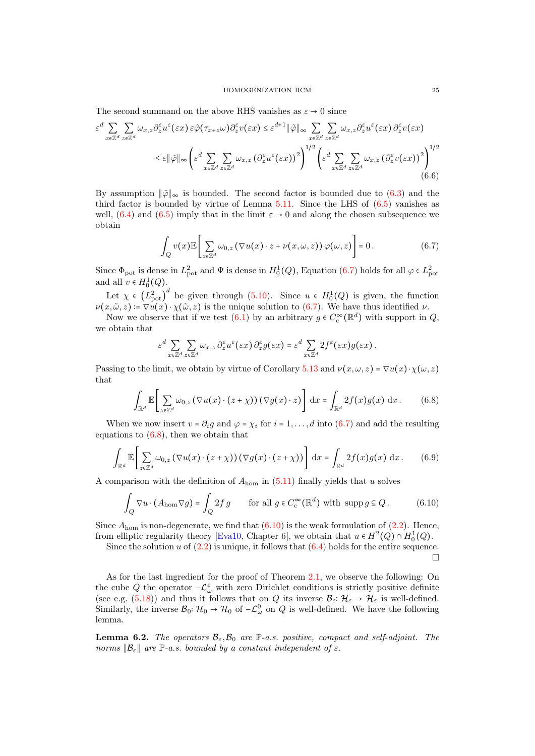The second summand on the above RHS vanishes as  $\varepsilon \to 0$  since

$$
\varepsilon^{d} \sum_{x \in \mathbb{Z}^{d}} \sum_{z \in \mathbb{Z}^{d}} \omega_{x,z} \partial_{z}^{\varepsilon} u^{\varepsilon}(\varepsilon x) \, \varepsilon \tilde{\varphi}(\tau_{x+z} \omega) \partial_{z}^{\varepsilon} v(\varepsilon x) \leq \varepsilon^{d+1} \|\tilde{\varphi}\|_{\infty} \sum_{x \in \mathbb{Z}^{d}} \sum_{z \in \mathbb{Z}^{d}} \omega_{x,z} \partial_{z}^{\varepsilon} u^{\varepsilon}(\varepsilon x) \partial_{z}^{\varepsilon} v(\varepsilon x)
$$

$$
\leq \varepsilon \|\tilde{\varphi}\|_{\infty} \left(\varepsilon^{d} \sum_{x \in \mathbb{Z}^{d}} \sum_{z \in \mathbb{Z}^{d}} \omega_{x,z} \left(\partial_{z}^{\varepsilon} u^{\varepsilon}(\varepsilon x)\right)^{2}\right)^{1/2} \left(\varepsilon^{d} \sum_{x \in \mathbb{Z}^{d}} \sum_{z \in \mathbb{Z}^{d}} \omega_{x,z} \left(\partial_{z}^{\varepsilon} v(\varepsilon x)\right)^{2}\right)^{1/2} (6.6)
$$

By assumption  $\|\tilde{\varphi}\|_{\infty}$  is bounded. The second factor is bounded due to [\(6.3\)](#page-23-2) and the third factor is bounded by virtue of Lemma  $5.11$ . Since the LHS of  $(6.5)$  vanishes as well, [\(6.4\)](#page-23-4) and [\(6.5\)](#page-23-3) imply that in the limit  $\varepsilon \to 0$  and along the chosen subsequence we obtain

<span id="page-24-0"></span>
$$
\int_{Q} v(x) \mathbb{E} \bigg[ \sum_{z \in \mathbb{Z}^d} \omega_{0,z} \left( \nabla u(x) \cdot z + \nu(x,\omega,z) \right) \varphi(\omega,z) \bigg] = 0. \tag{6.7}
$$

Since  $\Phi_{\text{pot}}$  is dense in  $L^2_{\text{pot}}$  and  $\Psi$  is dense in  $H_0^1(Q)$ , Equation [\(6.7\)](#page-24-0) holds for all  $\varphi \in L^2_{\text{pot}}$ and all  $v \in H_0^1(Q)$ .

Let  $\chi \in (L_{pot}^2)^d$  be given through [\(5.10\)](#page-15-4). Since  $u \in H_0^1(Q)$  is given, the function  $\nu(x,\tilde{\omega},z) = \nabla u(x) \cdot \chi(\tilde{\omega},z)$  is the unique solution to [\(6.7\)](#page-24-0). We have thus identified  $\nu$ .

Now we observe that if we test  $(6.1)$  by an arbitrary  $g \in C_c^{\infty}(\mathbb{R}^d)$  with support in  $Q$ , we obtain that

<span id="page-24-1"></span>
$$
\varepsilon^d \sum_{x \in \mathbb{Z}^d} \sum_{z \in \mathbb{Z}^d} \omega_{x,z} \, \partial_z^\varepsilon u^\varepsilon(\varepsilon x) \, \partial_z^\varepsilon g(\varepsilon x) = \varepsilon^d \sum_{x \in \mathbb{Z}^d} 2f^\varepsilon(\varepsilon x) g(\varepsilon x) \, .
$$

Passing to the limit, we obtain by virtue of Corollary [5.13](#page-20-3) and  $\nu(x,\omega,z) = \nabla u(x) \cdot \chi(\omega,z)$ that

$$
\int_{\mathbb{R}^d} \mathbb{E}\left[\sum_{z\in\mathbb{Z}^d} \omega_{0,z} \left(\nabla u(x)\cdot (z+\chi)\right) \left(\nabla g(x)\cdot z\right)\right] \,\mathrm{d}x = \int_{\mathbb{R}^d} 2f(x)g(x) \,\mathrm{d}x. \tag{6.8}
$$

When we now insert  $v = \partial_i g$  and  $\varphi = \chi_i$  for  $i = 1, ..., d$  into [\(6.7\)](#page-24-0) and add the resulting equations to  $(6.8)$ , then we obtain that

$$
\int_{\mathbb{R}^d} \mathbb{E}\bigg[\sum_{z\in\mathbb{Z}^d} \omega_{0,z} \left(\nabla u(x)\cdot (z+\chi)\right) \left(\nabla g(x)\cdot (z+\chi)\right)\bigg] \, \mathrm{d}x = \int_{\mathbb{R}^d} 2f(x)g(x) \, \mathrm{d}x. \tag{6.9}
$$

A comparison with the definition of  $A_{\text{hom}}$  in  $(5.11)$  finally yields that u solves

<span id="page-24-2"></span>
$$
\int_{Q} \nabla u \cdot (A_{\text{hom}} \nabla g) = \int_{Q} 2f g \qquad \text{for all } g \in C_{\text{c}}^{\infty}(\mathbb{R}^{d}) \text{ with } \operatorname{supp} g \subseteq Q. \tag{6.10}
$$

Since  $A_{\text{hom}}$  is non-degenerate, we find that  $(6.10)$  is the weak formulation of  $(2.2)$ . Hence, from elliptic regularity theory [\[Eva10,](#page-28-20) Chapter 6], we obtain that  $u \in H^2(Q) \cap H_0^1(Q)$ .

Since the solution u of  $(2.2)$  is unique, it follows that  $(6.4)$  holds for the entire sequence.  $\Box$ 

As for the last ingredient for the proof of Theorem [2.1,](#page-5-2) we observe the following: On the cube Q the operator  $-\mathcal{L}^{\varepsilon}_{\omega}$  with zero Dirichlet conditions is strictly positive definite (see e.g. [\(5.18\)](#page-17-3)) and thus it follows that on Q its inverse  $\mathcal{B}_{\varepsilon} : \mathcal{H}_{\varepsilon} \to \mathcal{H}_{\varepsilon}$  is well-defined. Similarly, the inverse  $\mathcal{B}_0: \mathcal{H}_0 \to \mathcal{H}_0$  of  $-\mathcal{L}^0_\omega$  on  $Q$  is well-defined. We have the following lemma.

<span id="page-24-3"></span>**Lemma 6.2.** The operators  $\mathcal{B}_{\varepsilon}, \mathcal{B}_0$  are P-a.s. positive, compact and self-adjoint. The norms  $\mathcal{B}_{\varepsilon}$  are  $\mathbb{P}_{\varepsilon}$ -a.s. bounded by a constant independent of  $\varepsilon$ .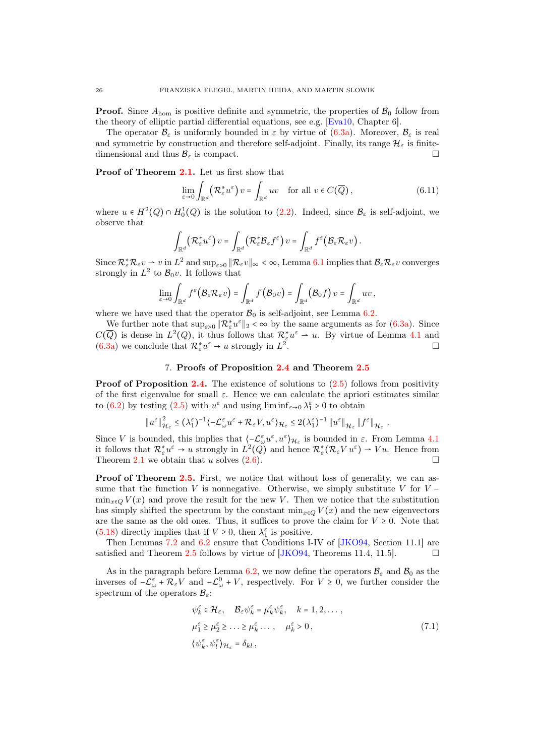**Proof.** Since  $A_{\text{hom}}$  is positive definite and symmetric, the properties of  $\mathcal{B}_0$  follow from the theory of elliptic partial differential equations, see e.g. [\[Eva10,](#page-28-20) Chapter 6].

The operator  $\mathcal{B}_{\varepsilon}$  is uniformly bounded in  $\varepsilon$  by virtue of [\(6.3a\)](#page-23-5). Moreover,  $\mathcal{B}_{\varepsilon}$  is real and symmetric by construction and therefore self-adjoint. Finally, its range  $\mathcal{H}_{\varepsilon}$  is finitedimensional and thus  $\mathcal{B}_{\varepsilon}$  is compact.

Proof of Theorem [2.1.](#page-5-2) Let us first show that

$$
\lim_{\varepsilon \to 0} \int_{\mathbb{R}^d} \left( \mathcal{R}_{\varepsilon}^* u^{\varepsilon} \right) v = \int_{\mathbb{R}^d} u v \quad \text{for all } v \in C(\overline{Q}), \tag{6.11}
$$

where  $u \in H^2(Q) \cap H_0^1(Q)$  is the solution to [\(2.2\)](#page-5-6). Indeed, since  $\mathcal{B}_{\varepsilon}$  is self-adjoint, we observe that

$$
\int_{\mathbb{R}^d} \left( \mathcal{R}_{\varepsilon}^* u^{\varepsilon} \right) v = \int_{\mathbb{R}^d} \left( \mathcal{R}_{\varepsilon}^* \mathcal{B}_{\varepsilon} f^{\varepsilon} \right) v = \int_{\mathbb{R}^d} f^{\varepsilon} \left( \mathcal{B}_{\varepsilon} \mathcal{R}_{\varepsilon} v \right).
$$

Since  $\mathcal{R}_{\varepsilon}^* \mathcal{R}_{\varepsilon} v \rightharpoonup v$  in  $L^2$  and  $\sup_{\varepsilon>0} \|\mathcal{R}_{\varepsilon} v\|_{\infty} < \infty$ , Lemma [6.1](#page-23-6) implies that  $\mathcal{B}_{\varepsilon} \mathcal{R}_{\varepsilon} v$  converges strongly in  $L^2$  to  $\mathcal{B}_0 v$ . It follows that

$$
\lim_{\varepsilon\to 0}\int_{\mathbb{R}^d}f^\varepsilon\big(\mathcal{B}_\varepsilon\mathcal{R}_\varepsilon v\big)=\int_{\mathbb{R}^d}f\big(\mathcal{B}_0v\big)=\int_{\mathbb{R}^d}\big(\mathcal{B}_0f\big)v=\int_{\mathbb{R}^d}uv\,,
$$

where we have used that the operator  $\mathcal{B}_0$  is self-adjoint, see Lemma [6.2.](#page-24-3)

We further note that  $\sup_{\varepsilon>0} \|\mathcal{R}_{\varepsilon}^* u^{\varepsilon}\|_2 < \infty$  by the same arguments as for  $(6.3a)$ . Since  $C(\overline{Q})$  is dense in  $L^2(Q)$ , it thus follows that  $\mathcal{R}^*_{\varepsilon}u^{\varepsilon} \rightharpoonup u$ . By virtue of Lemma [4.1](#page-12-1) and [\(6.3a\)](#page-23-5) we conclude that  $\mathcal{R}_{\varepsilon}^* u^{\varepsilon} \to u$  strongly in  $L^2$ .

## 7. Proofs of Proposition [2.4](#page-6-0) and Theorem [2.5](#page-6-1)

<span id="page-25-0"></span>**Proof of Proposition [2.4.](#page-6-0)** The existence of solutions to  $(2.5)$  follows from positivity of the first eigenvalue for small  $\varepsilon$ . Hence we can calculate the apriori estimates similar to [\(6.2\)](#page-23-7) by testing [\(2.5\)](#page-6-4) with  $u^{\varepsilon}$  and using  $\liminf_{\varepsilon \to 0} \lambda_1^{\varepsilon} > 0$  to obtain

$$
\left\|u^{\varepsilon}\right\|^{2}_{{\mathcal H}_{\varepsilon}}\leq \left(\lambda^{\varepsilon}_{1}\right)^{-1}\left\langle -{\mathcal L}_{\omega}^{\varepsilon}u^{\varepsilon}+{\mathcal R}_{\varepsilon}V,u^{\varepsilon}\right\rangle_{{\mathcal H}_{\varepsilon}}\leq 2\big(\lambda^{\varepsilon}_{1}\big)^{-1} \left\|u^{\varepsilon}\right\|_{{\mathcal H}_{\varepsilon}}\left\|f^{\varepsilon}\right\|_{{\mathcal H}_{\varepsilon}}.
$$

Since V is bounded, this implies that  $\langle -\mathcal{L}_{\omega}^{\varepsilon}u^{\varepsilon}, u^{\varepsilon}\rangle_{\mathcal{H}_{\varepsilon}}$  is bounded in  $\varepsilon$ . From Lemma [4.1](#page-12-1) it follows that  $\mathcal{R}^*_{\varepsilon}u^{\varepsilon} \to u$  strongly in  $L^2(Q)$  and hence  $\mathcal{R}^*_{\varepsilon}(\mathcal{R}_{\varepsilon}Vu^{\varepsilon}) \to Vu$ . Hence from Theorem [2.1](#page-5-2) we obtain that u solves  $(2.6)$ .

Proof of Theorem [2.5.](#page-6-1) First, we notice that without loss of generality, we can assume that the function V is nonnegative. Otherwise, we simply substitute V for  $V$  −  $\min_{x \in Q} V(x)$  and prove the result for the new V. Then we notice that the substitution has simply shifted the spectrum by the constant  $\min_{x \in Q} V(x)$  and the new eigenvectors are the same as the old ones. Thus, it suffices to prove the claim for  $V ">= 0$ . Note that [\(5.18\)](#page-17-3) directly implies that if  $V \geq 0$ , then  $\lambda_1^{\varepsilon}$  is positive.

Then Lemmas [7.2](#page-26-0) and [6.2](#page-24-3) ensure that Conditions I-IV of [\[JKO94,](#page-28-2) Section 11.1] are satisfied and Theorem [2.5](#page-6-1) follows by virtue of [\[JKO94,](#page-28-2) Theorems 11.4, 11.5].  $\Box$ 

As in the paragraph before Lemma [6.2,](#page-24-3) we now define the operators  $\mathcal{B}_{\varepsilon}$  and  $\mathcal{B}_{0}$  as the inverses of  $-\mathcal{L}_{\omega}^{\varepsilon} + \mathcal{R}_{\varepsilon}V$  and  $-\mathcal{L}_{\omega}^{0} + V$ , respectively. For  $V \geq 0$ , we further consider the spectrum of the operators  $\mathcal{B}_{\varepsilon}$ :

$$
\psi_{k}^{\varepsilon} \in \mathcal{H}_{\varepsilon}, \quad \mathcal{B}_{\varepsilon} \psi_{k}^{\varepsilon} = \mu_{k}^{\varepsilon} \psi_{k}^{\varepsilon}, \quad k = 1, 2, \dots,
$$
  

$$
\mu_{1}^{\varepsilon} \ge \mu_{2}^{\varepsilon} \ge \dots \ge \mu_{k}^{\varepsilon} \dots, \quad \mu_{k}^{\varepsilon} > 0,
$$
  

$$
\{\psi_{k}^{\varepsilon}, \psi_{l}^{\varepsilon}\}_{\mathcal{H}_{\varepsilon}} = \delta_{kl},
$$
\n(7.1)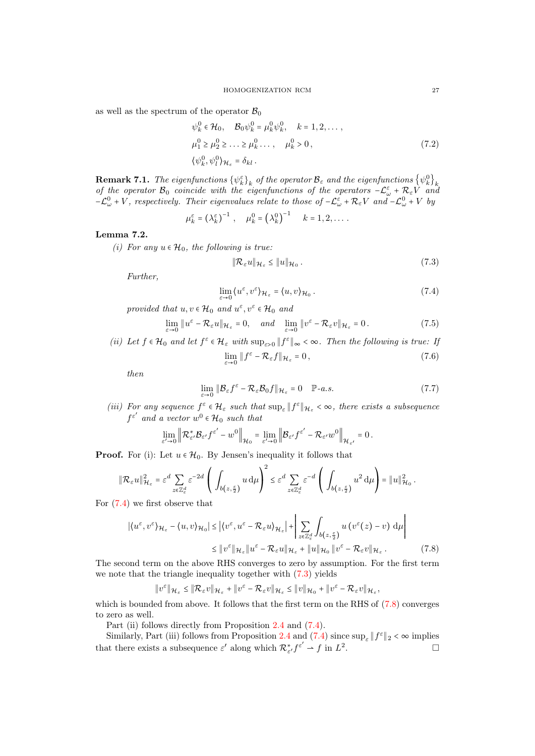as well as the spectrum of the operator  $\mathcal{B}_0$ 

$$
\psi_k^0 \in \mathcal{H}_0, \quad \mathcal{B}_0 \psi_k^0 = \mu_k^0 \psi_k^0, \quad k = 1, 2, \dots, \n\mu_1^0 \ge \mu_2^0 \ge \dots \ge \mu_k^0 \dots, \quad \mu_k^0 > 0, \n\{\psi_k^0, \psi_l^0\}_{\mathcal{H}_\varepsilon} = \delta_{kl}.
$$
\n(7.2)

**Remark 7.1.** The eigenfunctions  $\{\psi_k^{\varepsilon}\}_k$  of the operator  $\mathcal{B}_{\varepsilon}$  and the eigenfunctions  $\{\psi_k^0\}_k$  of the operators  $-\mathcal{L}_{\omega}^{\varepsilon} + \mathcal{R}_{\varepsilon}V$  and  $\mathcal{B}_{\varepsilon}$  and  $\mathcal{B}_{\varepsilon}$  of the operators  $-\mathcal{L}_{$  $-\mathcal{L}_{\omega}^0 + V$ , respectively. Their eigenvalues relate to those of  $-\mathcal{L}_{\omega}^{\varepsilon} + \mathcal{R}_{\varepsilon}V$  and  $-\mathcal{L}_{\omega}^0 + V$  by

$$
\mu_k^{\varepsilon} = \left(\lambda_k^{\varepsilon}\right)^{-1}, \quad \mu_k^0 = \left(\lambda_k^0\right)^{-1} \quad k = 1, 2, \dots.
$$

## <span id="page-26-0"></span>Lemma 7.2.

(i) For any  $u \in \mathcal{H}_0$ , the following is true:

<span id="page-26-2"></span><span id="page-26-1"></span>
$$
\|\mathcal{R}_{\varepsilon}u\|_{\mathcal{H}_{\varepsilon}} \le \|u\|_{\mathcal{H}_{0}}.\tag{7.3}
$$

Further,

$$
\lim_{\varepsilon \to 0} \langle u^{\varepsilon}, v^{\varepsilon} \rangle_{\mathcal{H}_{\varepsilon}} = \langle u, v \rangle_{\mathcal{H}_{0}}. \tag{7.4}
$$

provided that  $u, v \in \mathcal{H}_0$  and  $u^{\varepsilon}, v^{\varepsilon} \in \mathcal{H}_0$  and

$$
\lim_{\varepsilon \to 0} \|u^{\varepsilon} - \mathcal{R}_{\varepsilon}u\|_{\mathcal{H}_{\varepsilon}} = 0, \quad \text{and} \quad \lim_{\varepsilon \to 0} \|v^{\varepsilon} - \mathcal{R}_{\varepsilon}v\|_{\mathcal{H}_{\varepsilon}} = 0.
$$
\n(7.5)

(ii) Let  $f \in \mathcal{H}_0$  and let  $f^{\varepsilon} \in \mathcal{H}_{\varepsilon}$  with  $\sup_{\varepsilon>0} ||f^{\varepsilon}||_{\infty} < \infty$ . Then the following is true: If  $\lim_{\varepsilon \to 0} \|f^{\varepsilon} - \mathcal{R}_{\varepsilon} f\|_{\mathcal{H}_{\varepsilon}} = 0,$ (7.6)

then

<span id="page-26-3"></span>
$$
\lim_{\varepsilon \to 0} \|\mathcal{B}_{\varepsilon} f^{\varepsilon} - \mathcal{R}_{\varepsilon} \mathcal{B}_0 f\|_{\mathcal{H}_{\varepsilon}} = 0 \quad \mathbb{P}\text{-}a.s.
$$
\n(7.7)

(iii) For any sequence  $f^{\varepsilon} \in \mathcal{H}_{\varepsilon}$  such that  $\sup_{\varepsilon} ||f^{\varepsilon}||_{\mathcal{H}_{\varepsilon}} < \infty$ , there exists a subsequence  $f^{\varepsilon'}$  and a vector  $w^0 \in \mathcal{H}_0$  such that

$$
\lim_{\varepsilon'\to 0}\left\|{\mathcal R}^*_{\varepsilon'}{\mathcal B}_{\varepsilon'}f^{\varepsilon'}-w^0\right\|_{{\mathcal H}_0}=\lim_{\varepsilon'\to 0}\left\|{\mathcal B}_{\varepsilon'}f^{\varepsilon'}-{\mathcal R}_{\varepsilon'}w^0\right\|_{{\mathcal H}_{\varepsilon'}}=0\,.
$$

**Proof.** For (i): Let  $u \in \mathcal{H}_0$ . By Jensen's inequality it follows that

$$
\|\mathcal{R}_{\varepsilon}u\|_{\mathcal{H}_{\varepsilon}}^2=\varepsilon^d\sum_{z\in\mathbb{Z}_{\varepsilon}^d}\varepsilon^{-2d}\left(\;\int_{b\left(z,\frac{\varepsilon}{2}\right)}u\,\mathrm{d}\mu\right)^2\leq\varepsilon^d\sum_{z\in\mathbb{Z}_{\varepsilon}^d}\varepsilon^{-d}\left(\;\int_{b\left(z,\frac{\varepsilon}{2}\right)}u^2\,\mathrm{d}\mu\right)=\|u\|_{\mathcal{H}_0}^2\,.
$$

For [\(7.4\)](#page-26-1) we first observe that

$$
|\langle u^{\varepsilon}, v^{\varepsilon}\rangle_{\mathcal{H}_{\varepsilon}} - \langle u, v \rangle_{\mathcal{H}_{0}}| \leq |\langle v^{\varepsilon}, u^{\varepsilon} - \mathcal{R}_{\varepsilon} u \rangle_{\mathcal{H}_{\varepsilon}}| + \left| \sum_{z \in \mathbb{Z}_{\varepsilon}^{d}} \int_{b(z, \frac{\varepsilon}{2})} u(v^{\varepsilon}(z) - v) d\mu \right|
$$
  
\$\leq \|v^{\varepsilon}\|\_{\mathcal{H}\_{\varepsilon}} \|u^{\varepsilon} - \mathcal{R}\_{\varepsilon} u\|\_{\mathcal{H}\_{\varepsilon}} + \|u\|\_{\mathcal{H}\_{0}} \|v^{\varepsilon} - \mathcal{R}\_{\varepsilon} v\|\_{\mathcal{H}\_{\varepsilon}}. \qquad (7.8)

The second term on the above RHS converges to zero by assumption. For the first term we note that the triangle inequality together with  $(7.3)$  yields

$$
\|v^\varepsilon\|_{\mathcal{H}_\varepsilon}\leq \|\mathcal{R}_\varepsilon v\|_{\mathcal{H}_\varepsilon}+\|v^\varepsilon-\mathcal{R}_\varepsilon v\|_{\mathcal{H}_\varepsilon}\leq \|v\|_{\mathcal{H}_0}+\|v^\varepsilon-\mathcal{R}_\varepsilon v\|_{\mathcal{H}_\varepsilon},
$$

which is bounded from above. It follows that the first term on the RHS of  $(7.8)$  converges to zero as well.

Part (ii) follows directly from Proposition [2.4](#page-6-0) and  $(7.4)$ .

Similarly, Part (iii) follows from Proposition [2.4](#page-6-0) and [\(7.4\)](#page-26-1) since  $\sup_{\varepsilon} ||f^{\varepsilon}||_2 < \infty$  implies that there exists a subsequence  $\varepsilon'$  along which  $\mathcal{R}^*_{\varepsilon'}f^{\varepsilon'} \rightharpoonup f$  in  $L^2$ .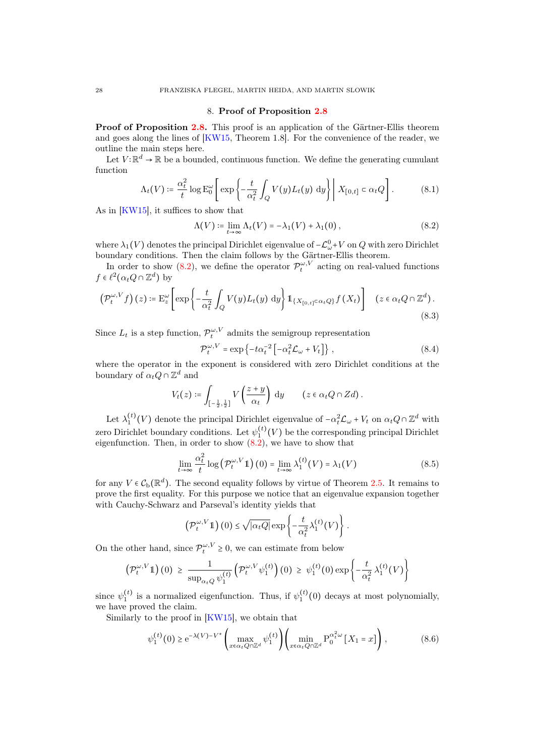#### 8. Proof of Proposition [2.8](#page-8-1)

<span id="page-27-0"></span>Proof of Proposition [2.8.](#page-8-1) This proof is an application of the Gärtner-Ellis theorem and goes along the lines of [\[KW15,](#page-29-1) Theorem 1.8]. For the convenience of the reader, we outline the main steps here.

Let  $V: \mathbb{R}^d \to \mathbb{R}$  be a bounded, continuous function. We define the generating cumulant function

$$
\Lambda_t(V) \coloneqq \frac{\alpha_t^2}{t} \log \mathcal{E}_0^{\omega} \left[ \exp \left\{ -\frac{t}{\alpha_t^2} \int_Q V(y) L_t(y) \, \mathrm{d}y \right\} \middle| \ X_{[0,t]} \subset \alpha_t Q \right]. \tag{8.1}
$$

As in [\[KW15\]](#page-29-1), it suffices to show that

<span id="page-27-1"></span>
$$
\Lambda(V) \coloneqq \lim_{t \to \infty} \Lambda_t(V) = -\lambda_1(V) + \lambda_1(0), \tag{8.2}
$$

where  $\lambda_1(V)$  denotes the principal Dirichlet eigenvalue of  $-\mathcal{L}^0_\omega+V$  on  $Q$  with zero Dirichlet boundary conditions. Then the claim follows by the Gärtner-Ellis theorem.

In order to show [\(8.2\)](#page-27-1), we define the operator  $\mathcal{P}_t^{\omega,V}$  acting on real-valued functions  $f \in \ell^2(\alpha_t Q \cap \mathbb{Z}^d)$  by

$$
\left(\mathcal{P}_t^{\omega,V}f\right)(z) \coloneqq \mathcal{E}_z^{\omega}\left[\exp\left\{-\frac{t}{\alpha_t^2} \int_Q V(y)L_t(y) \, \mathrm{d}y\right\} \mathbb{1}_{\{X_{[0,t]} \subset \alpha_t Q\}} f\left(X_t\right)\right] \quad (z \in \alpha_t Q \cap \mathbb{Z}^d). \tag{8.3}
$$

Since  $L_t$  is a step function,  $\mathcal{P}_t^{\omega,V}$  admits the semigroup representation

$$
\mathcal{P}_t^{\omega,V} = \exp\left\{-t\alpha_t^{-2} \left[-\alpha_t^2 \mathcal{L}_\omega + V_t\right]\right\},\tag{8.4}
$$

where the operator in the exponent is considered with zero Dirichlet conditions at the boundary of  $\alpha_t Q \cap \mathbb{Z}^d$  and

$$
V_t(z) \coloneqq \int_{\left[-\frac{1}{2},\frac{1}{2}\right]} V\left(\frac{z+y}{\alpha_t}\right) dy \qquad (z \in \alpha_t Q \cap Zd).
$$

Let  $\lambda_1^{(t)}(V)$  denote the principal Dirichlet eigenvalue of  $-\alpha_t^2 \mathcal{L}_{\omega} + V_t$  on  $\alpha_t Q \cap \mathbb{Z}^d$  with zero Dirichlet boundary conditions. Let  $\psi_1^{(t)}(V)$  be the corresponding principal Dirichlet eigenfunction. Then, in order to show  $(8.2)$ , we have to show that

$$
\lim_{t \to \infty} \frac{\alpha_t^2}{t} \log \left( \mathcal{P}_t^{\omega, V} \mathbb{1} \right) (0) = \lim_{t \to \infty} \lambda_1^{(t)}(V) = \lambda_1(V) \tag{8.5}
$$

for any  $V \in C_{\rm b}(\mathbb{R}^d)$ . The second equality follows by virtue of Theorem [2.5.](#page-6-1) It remains to prove the first equality. For this purpose we notice that an eigenvalue expansion together with Cauchy-Schwarz and Parseval's identity yields that

$$
\left(\mathcal{P}_t^{\omega,V}\mathbb{1}\right)(0) \leq \sqrt{|\alpha_t Q|} \exp\left\{-\frac{t}{\alpha_t^2} \lambda_1^{(t)}(V)\right\}.
$$

On the other hand, since  $\mathcal{P}_t^{\omega, V} \geq 0$ , we can estimate from below

$$
\left(\mathcal{P}_t^{\omega,V}\mathbb{1}\right)(0) \geq \frac{1}{\sup_{\alpha_t Q} \psi_1^{(t)}} \left(\mathcal{P}_t^{\omega,V}\psi_1^{(t)}\right)(0) \geq \psi_1^{(t)}(0) \exp\left\{-\frac{t}{\alpha_t^2} \lambda_1^{(t)}(V)\right\}
$$

since  $\psi_1^{(t)}$  is a normalized eigenfunction. Thus, if  $\psi_1^{(t)}(0)$  decays at most polynomially, we have proved the claim.

Similarly to the proof in [\[KW15\]](#page-29-1), we obtain that

$$
\psi_1^{(t)}(0) \ge e^{-\lambda(V) - V^*} \left( \max_{x \in \alpha_t Q \cap \mathbb{Z}^d} \psi_1^{(t)} \right) \left( \min_{x \in \alpha_t Q \cap \mathbb{Z}^d} P_0^{\alpha_t^2 \omega} \left[ X_1 = x \right] \right),\tag{8.6}
$$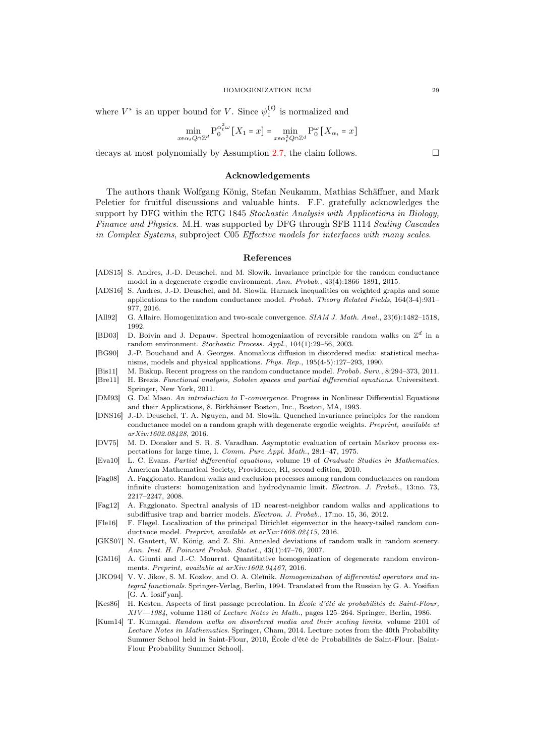where  $V^*$  is an upper bound for V. Since  $\psi_1^{(t)}$  is normalized and

$$
\min_{x \in \alpha_t Q \cap \mathbb{Z}^d} \mathcal{P}_0^{\alpha_t^2 \omega} \left[ X_1 = x \right] = \min_{x \in \alpha_t^2 Q \cap \mathbb{Z}^d} \mathcal{P}_0^{\omega} \left[ X_{\alpha_t} = x \right]
$$

decays at most polynomially by Assumption [2.7,](#page-8-3) the claim follows.  $\square$ 

#### <span id="page-28-0"></span>Acknowledgements

The authors thank Wolfgang König, Stefan Neukamm, Mathias Schäffner, and Mark Peletier for fruitful discussions and valuable hints. F.F. gratefully acknowledges the support by DFG within the RTG 1845 Stochastic Analysis with Applications in Biology. Finance and Physics. M.H. was supported by DFG through SFB 1114 Scaling Cascades in Complex Systems, subproject C05 Effective models for interfaces with many scales.

#### <span id="page-28-1"></span>References

- <span id="page-28-17"></span>[ADS15] S. Andres, J.-D. Deuschel, and M. Slowik. Invariance principle for the random conductance model in a degenerate ergodic environment. Ann. Probab., 43(4):1866–1891, 2015.
- <span id="page-28-6"></span>[ADS16] S. Andres, J.-D. Deuschel, and M. Slowik. Harnack inequalities on weighted graphs and some applications to the random conductance model. Probab. Theory Related Fields, 164(3-4):931– 977, 2016.
- <span id="page-28-18"></span>[All92] G. Allaire. Homogenization and two-scale convergence. SIAM J. Math. Anal., 23(6):1482–1518, 1992.
- <span id="page-28-10"></span>[BD03] D. Boivin and J. Depauw. Spectral homogenization of reversible random walks on  $\mathbb{Z}^d$  in a random environment. Stochastic Process. Appl., 104(1):29–56, 2003.
- <span id="page-28-5"></span>[BG90] J.-P. Bouchaud and A. Georges. Anomalous diffusion in disordered media: statistical mechanisms, models and physical applications. Phys. Rep., 195(4-5):127–293, 1990.
- <span id="page-28-4"></span>[Bis11] M. Biskup. Recent progress on the random conductance model. Probab. Surv., 8:294–373, 2011.
- <span id="page-28-19"></span>[Bre11] H. Brezis. Functional analysis, Sobolev spaces and partial differential equations. Universitext. Springer, New York, 2011.
- <span id="page-28-11"></span>[DM93] G. Dal Maso. An introduction to Γ-convergence. Progress in Nonlinear Differential Equations and their Applications, 8. Birkhäuser Boston, Inc., Boston, MA, 1993.
- <span id="page-28-13"></span>[DNS16] J.-D. Deuschel, T. A. Nguyen, and M. Slowik. Quenched invariance principles for the random conductance model on a random graph with degenerate ergodic weights. Preprint, available at arXiv:1602.08428, 2016.
- <span id="page-28-3"></span>[DV75] M. D. Donsker and S. R. S. Varadhan. Asymptotic evaluation of certain Markov process expectations for large time, I. Comm. Pure Appl. Math., 28:1–47, 1975.
- <span id="page-28-20"></span>[Eva10] L. C. Evans. Partial differential equations, volume 19 of Graduate Studies in Mathematics. American Mathematical Society, Providence, RI, second edition, 2010.
- <span id="page-28-8"></span>[Fag08] A. Faggionato. Random walks and exclusion processes among random conductances on random infinite clusters: homogenization and hydrodynamic limit. Electron. J. Probab., 13:no. 73, 2217–2247, 2008.
- <span id="page-28-9"></span>[Fag12] A. Faggionato. Spectral analysis of 1D nearest-neighbor random walks and applications to subdiffusive trap and barrier models. Electron. J. Probab., 17:no. 15, 36, 2012.
- <span id="page-28-7"></span>[Fle16] F. Flegel. Localization of the principal Dirichlet eigenvector in the heavy-tailed random conductance model. Preprint, available at arXiv:1608.02415, 2016.
- <span id="page-28-14"></span>[GKS07] N. Gantert, W. König, and Z. Shi. Annealed deviations of random walk in random scenery. Ann. Inst. H. Poincaré Probab. Statist., 43(1):47–76, 2007.
- <span id="page-28-16"></span>[GM16] A. Giunti and J.-C. Mourrat. Quantitative homogenization of degenerate random environments. Preprint, available at arXiv:1602.04467, 2016.
- <span id="page-28-2"></span>[JKO94] V. V. Jikov, S. M. Kozlov, and O. A. Oleĭnik. Homogenization of differential operators and integral functionals. Springer-Verlag, Berlin, 1994. Translated from the Russian by G. A. Yosifian [G. A. Iosif′yan].
- <span id="page-28-12"></span>[Kes86] H. Kesten. Aspects of first passage percolation. In École d'été de probabilités de Saint-Flour, XIV—1984, volume 1180 of Lecture Notes in Math., pages 125–264. Springer, Berlin, 1986.
- <span id="page-28-15"></span>[Kum14] T. Kumagai. Random walks on disordered media and their scaling limits, volume 2101 of Lecture Notes in Mathematics. Springer, Cham, 2014. Lecture notes from the 40th Probability Summer School held in Saint-Flour, 2010, École d'été de Probabilités de Saint-Flour. [Saint-Flour Probability Summer School].